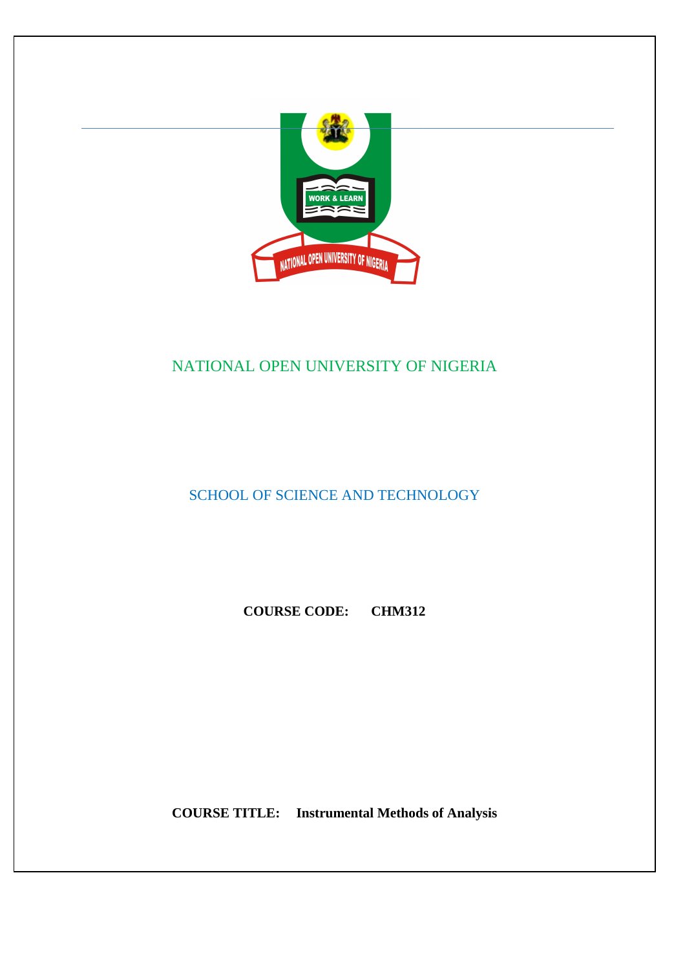

### NATIONAL OPEN UNIVERSITY OF NIGERIA

SCHOOL OF SCIENCE AND TECHNOLOGY

**COURSE CODE: CHM312** 

**COURSE TITLE: Instrumental Methods of Analysis**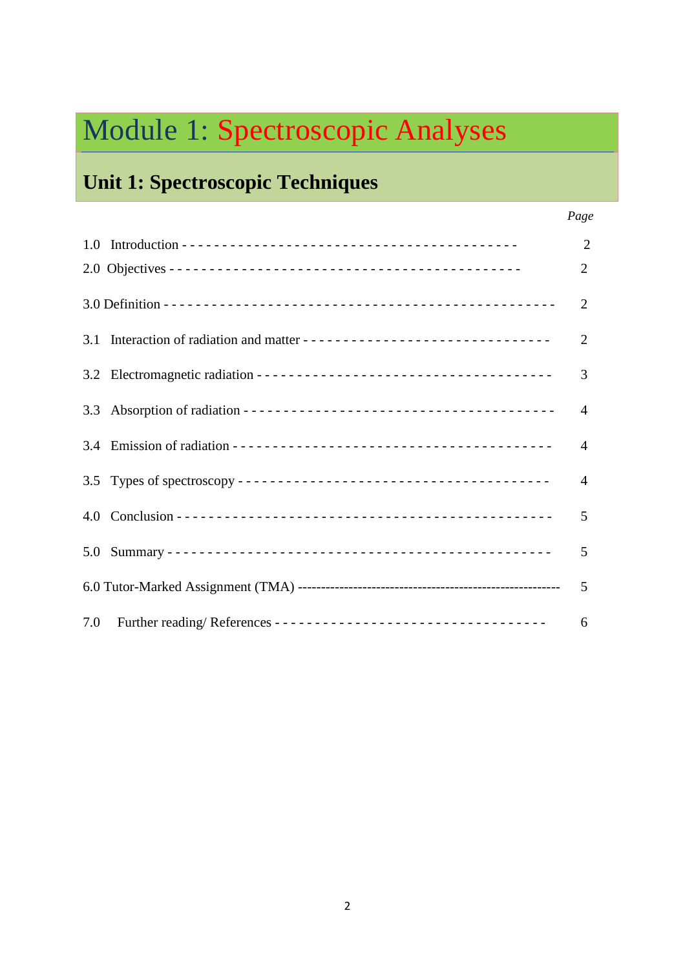# Module 1: Spectroscopic Analyses

### **Unit 1: Spectroscopic Techniques**

|     | $\overline{2}$ |
|-----|----------------|
|     | $\overline{2}$ |
|     | $\overline{2}$ |
|     | 2              |
|     | 3              |
|     | $\overline{4}$ |
|     | 4              |
| 3.5 | $\overline{4}$ |
|     | 5              |
|     | 5              |
|     | 5              |
| 7.0 | 6              |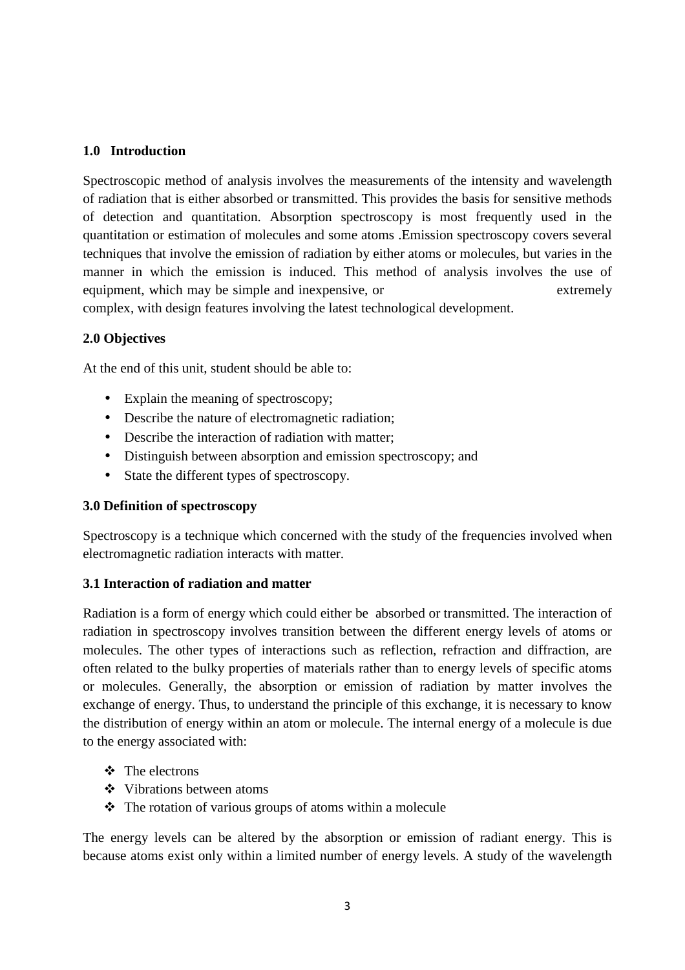#### **1.0 Introduction**

Spectroscopic method of analysis involves the measurements of the intensity and wavelength of radiation that is either absorbed or transmitted. This provides the basis for sensitive methods of detection and quantitation. Absorption spectroscopy is most frequently used in the quantitation or estimation of molecules and some atoms .Emission spectroscopy covers several techniques that involve the emission of radiation by either atoms or molecules, but varies in the manner in which the emission is induced. This method of analysis involves the use of equipment, which may be simple and inexpensive, or extremely complex, with design features involving the latest technological development.

#### **2.0 Objectives**

At the end of this unit, student should be able to:

- Explain the meaning of spectroscopy;
- Describe the nature of electromagnetic radiation;
- Describe the interaction of radiation with matter:
- Distinguish between absorption and emission spectroscopy; and
- State the different types of spectroscopy.

#### **3.0 Definition of spectroscopy**

Spectroscopy is a technique which concerned with the study of the frequencies involved when electromagnetic radiation interacts with matter.

#### **3.1 Interaction of radiation and matter**

Radiation is a form of energy which could either be absorbed or transmitted. The interaction of radiation in spectroscopy involves transition between the different energy levels of atoms or molecules. The other types of interactions such as reflection, refraction and diffraction, are often related to the bulky properties of materials rather than to energy levels of specific atoms or molecules. Generally, the absorption or emission of radiation by matter involves the exchange of energy. Thus, to understand the principle of this exchange, it is necessary to know the distribution of energy within an atom or molecule. The internal energy of a molecule is due to the energy associated with:

- The electrons
- Vibrations between atoms
- $\triangle$  The rotation of various groups of atoms within a molecule

The energy levels can be altered by the absorption or emission of radiant energy. This is because atoms exist only within a limited number of energy levels. A study of the wavelength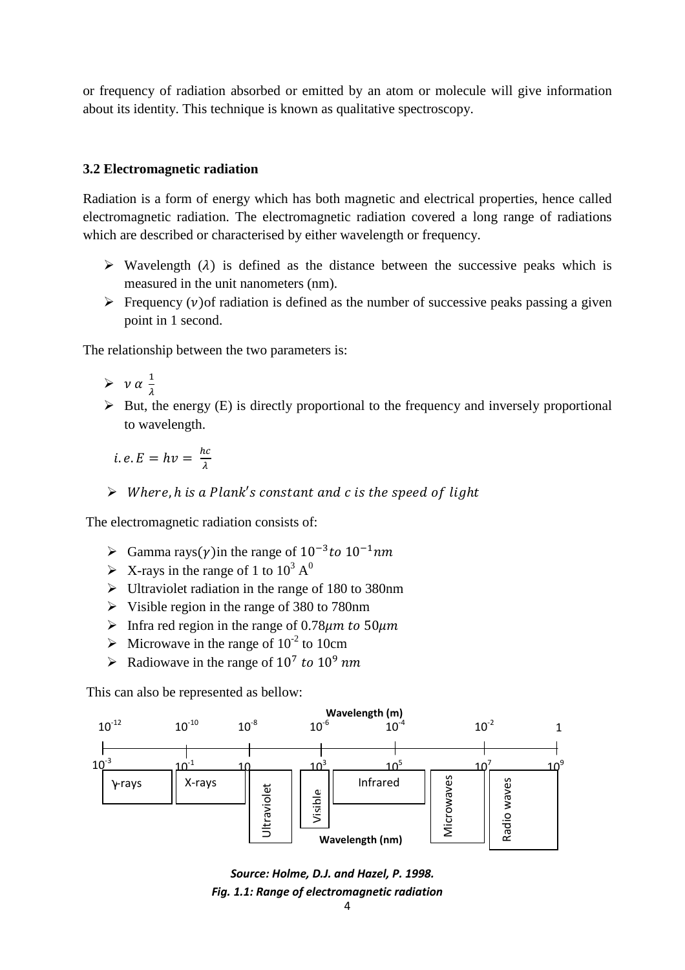or frequency of radiation absorbed or emitted by an atom or molecule will give information about its identity. This technique is known as qualitative spectroscopy.

#### **3.2 Electromagnetic radiation**

Radiation is a form of energy which has both magnetic and electrical properties, hence called electromagnetic radiation. The electromagnetic radiation covered a long range of radiations which are described or characterised by either wavelength or frequency.

- $\triangleright$  Wavelength ( $\lambda$ ) is defined as the distance between the successive peaks which is measured in the unit nanometers (nm).
- $\triangleright$  Frequency (v) of radiation is defined as the number of successive peaks passing a given point in 1 second.

The relationship between the two parameters is:

- $\triangleright \ \nu \alpha \frac{1}{2}$  $\frac{1}{\lambda}$
- > But, the energy (E) is directly proportional to the frequency and inversely proportional to wavelength.
- *i.e.*  $E = hv = \frac{hc}{\lambda}$ 
	- $\triangleright$  Where, h is a Plank's constant and c is the speed of light

The electromagnetic radiation consists of:

- $\triangleright$  Gamma rays(y) in the range of  $10^{-3}$  to  $10^{-1}$ nm
- $\triangleright$  X-rays in the range of 1 to 10<sup>3</sup> A<sup>0</sup>
- If Ultraviolet radiation in the range of 180 to 380nm
- Visible region in the range of 380 to 780nm
- $\triangleright$  Infra red region in the range of 0.78 $\mu$ m to 50 $\mu$ m
- $\triangleright$  Microwave in the range of 10<sup>-2</sup> to 10cm
- Arr Radiowave in the range of  $10^7$  to  $10^9$  nm

This can also be represented as bellow:



*Fig. 1.1: Range of electromagnetic radiation Source: Holme, D.J. and Hazel, P. 1998.*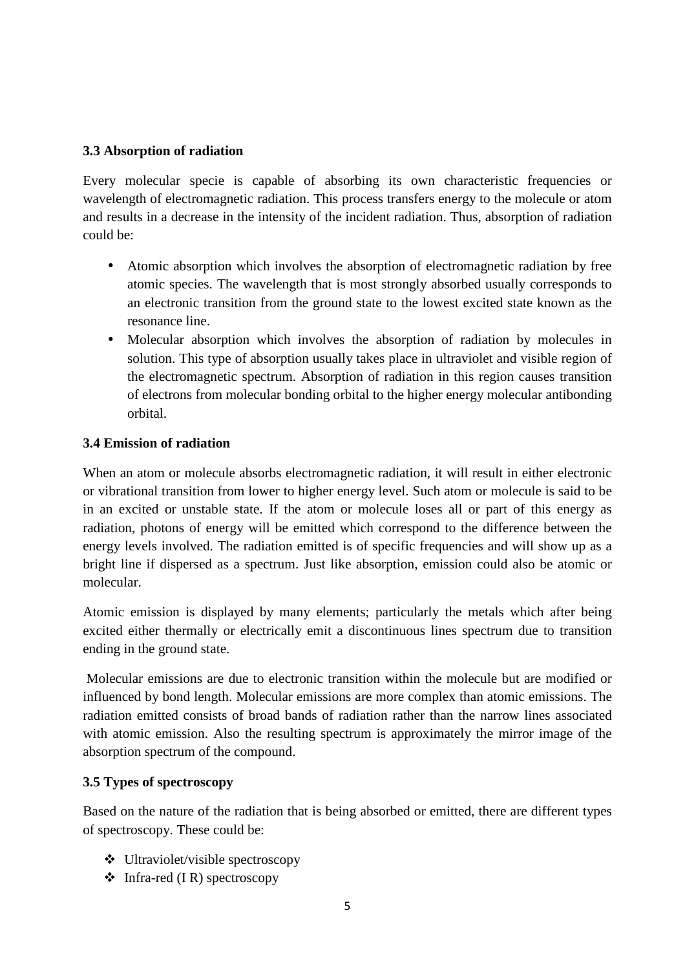#### **3.3 Absorption of radiation**

Every molecular specie is capable of absorbing its own characteristic frequencies or wavelength of electromagnetic radiation. This process transfers energy to the molecule or atom and results in a decrease in the intensity of the incident radiation. Thus, absorption of radiation could be:

- Atomic absorption which involves the absorption of electromagnetic radiation by free atomic species. The wavelength that is most strongly absorbed usually corresponds to an electronic transition from the ground state to the lowest excited state known as the resonance line.
- Molecular absorption which involves the absorption of radiation by molecules in solution. This type of absorption usually takes place in ultraviolet and visible region of the electromagnetic spectrum. Absorption of radiation in this region causes transition of electrons from molecular bonding orbital to the higher energy molecular antibonding orbital.

#### **3.4 Emission of radiation**

When an atom or molecule absorbs electromagnetic radiation, it will result in either electronic or vibrational transition from lower to higher energy level. Such atom or molecule is said to be in an excited or unstable state. If the atom or molecule loses all or part of this energy as radiation, photons of energy will be emitted which correspond to the difference between the energy levels involved. The radiation emitted is of specific frequencies and will show up as a bright line if dispersed as a spectrum. Just like absorption, emission could also be atomic or molecular.

Atomic emission is displayed by many elements; particularly the metals which after being excited either thermally or electrically emit a discontinuous lines spectrum due to transition ending in the ground state.

 Molecular emissions are due to electronic transition within the molecule but are modified or influenced by bond length. Molecular emissions are more complex than atomic emissions. The radiation emitted consists of broad bands of radiation rather than the narrow lines associated with atomic emission. Also the resulting spectrum is approximately the mirror image of the absorption spectrum of the compound.

#### **3.5 Types of spectroscopy**

Based on the nature of the radiation that is being absorbed or emitted, there are different types of spectroscopy. These could be:

- Ultraviolet/visible spectroscopy
- $\triangleleft$  Infra-red (IR) spectroscopy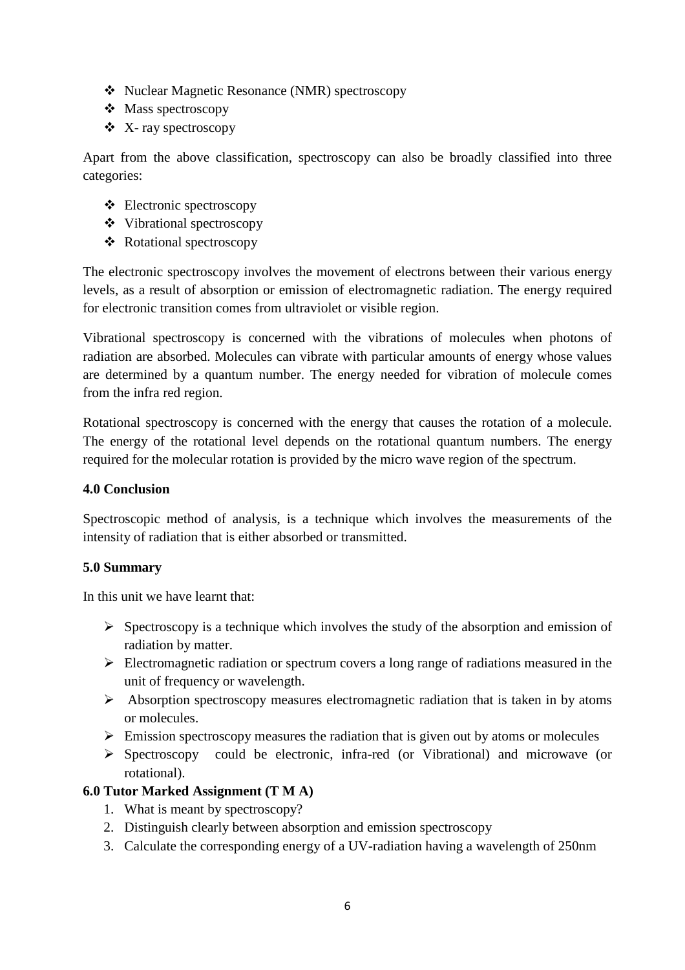- Nuclear Magnetic Resonance (NMR) spectroscopy
- ❖ Mass spectroscopy
- X- ray spectroscopy

Apart from the above classification, spectroscopy can also be broadly classified into three categories:

- Electronic spectroscopy
- Vibrational spectroscopy
- Rotational spectroscopy

The electronic spectroscopy involves the movement of electrons between their various energy levels, as a result of absorption or emission of electromagnetic radiation. The energy required for electronic transition comes from ultraviolet or visible region.

Vibrational spectroscopy is concerned with the vibrations of molecules when photons of radiation are absorbed. Molecules can vibrate with particular amounts of energy whose values are determined by a quantum number. The energy needed for vibration of molecule comes from the infra red region.

Rotational spectroscopy is concerned with the energy that causes the rotation of a molecule. The energy of the rotational level depends on the rotational quantum numbers. The energy required for the molecular rotation is provided by the micro wave region of the spectrum.

#### **4.0 Conclusion**

Spectroscopic method of analysis, is a technique which involves the measurements of the intensity of radiation that is either absorbed or transmitted.

#### **5.0 Summary**

In this unit we have learnt that:

- Spectroscopy is a technique which involves the study of the absorption and emission of radiation by matter.
- > Electromagnetic radiation or spectrum covers a long range of radiations measured in the unit of frequency or wavelength.
- > Absorption spectroscopy measures electromagnetic radiation that is taken in by atoms or molecules.
- > Emission spectroscopy measures the radiation that is given out by atoms or molecules
- Spectroscopy could be electronic, infra-red (or Vibrational) and microwave (or rotational).

#### **6.0 Tutor Marked Assignment (T M A)**

- 1. What is meant by spectroscopy?
- 2. Distinguish clearly between absorption and emission spectroscopy
- 3. Calculate the corresponding energy of a UV-radiation having a wavelength of 250nm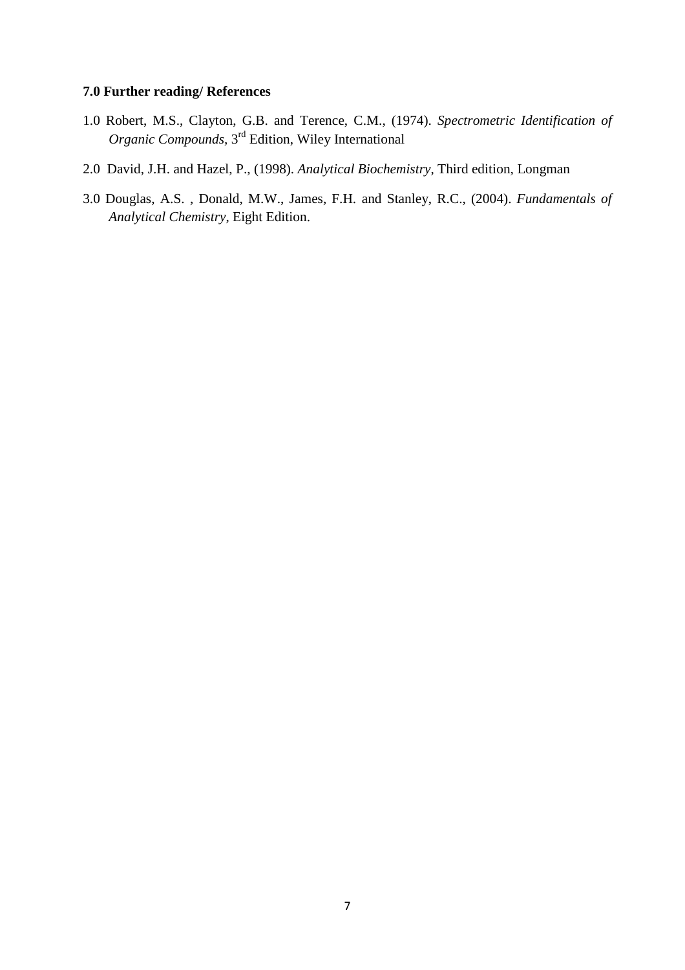#### **7.0 Further reading/ References**

- 1.0 Robert, M.S., Clayton, G.B. and Terence, C.M., (1974). *Spectrometric Identification of Organic Compounds,* 3rd Edition, Wiley International
- 2.0 David, J.H. and Hazel, P., (1998). *Analytical Biochemistry*, Third edition, Longman
- 3.0 Douglas, A.S. , Donald, M.W., James, F.H. and Stanley, R.C., (2004). *Fundamentals of Analytical Chemistry*, Eight Edition.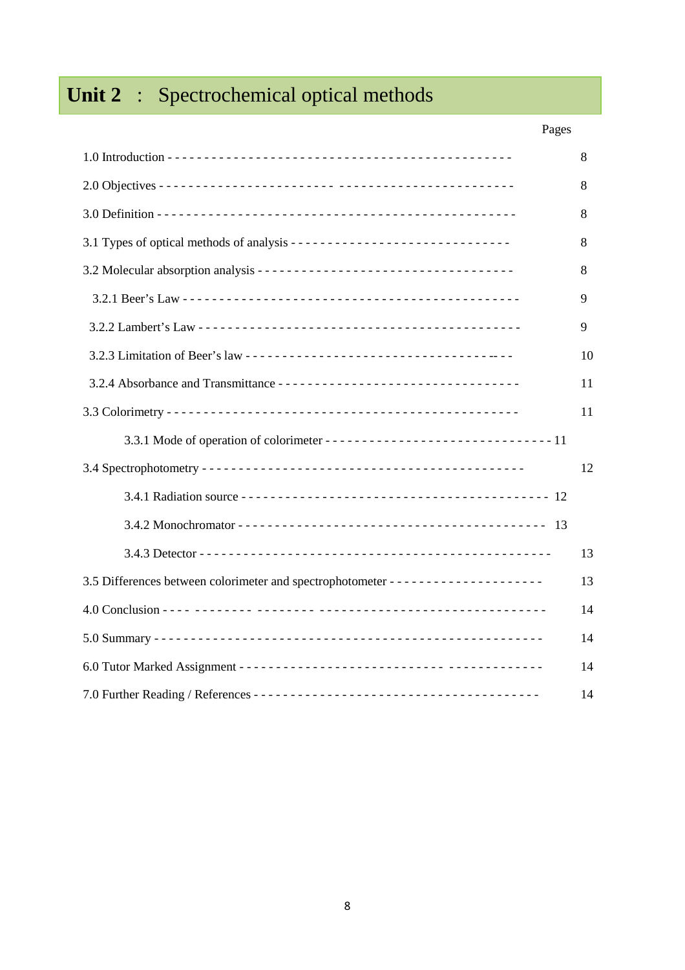# Unit 2 : Spectrochemical optical methods

### Pages

|                                                                          | 8  |
|--------------------------------------------------------------------------|----|
|                                                                          | 8  |
|                                                                          | 8  |
| 3.1 Types of optical methods of analysis ------------------------------- | 8  |
|                                                                          | 8  |
|                                                                          | 9  |
|                                                                          | 9  |
|                                                                          | 10 |
|                                                                          | 11 |
|                                                                          | 11 |
|                                                                          |    |
|                                                                          | 12 |
|                                                                          |    |
|                                                                          |    |
|                                                                          | 13 |
|                                                                          | 13 |
|                                                                          | 14 |
|                                                                          | 14 |
|                                                                          | 14 |
|                                                                          | 14 |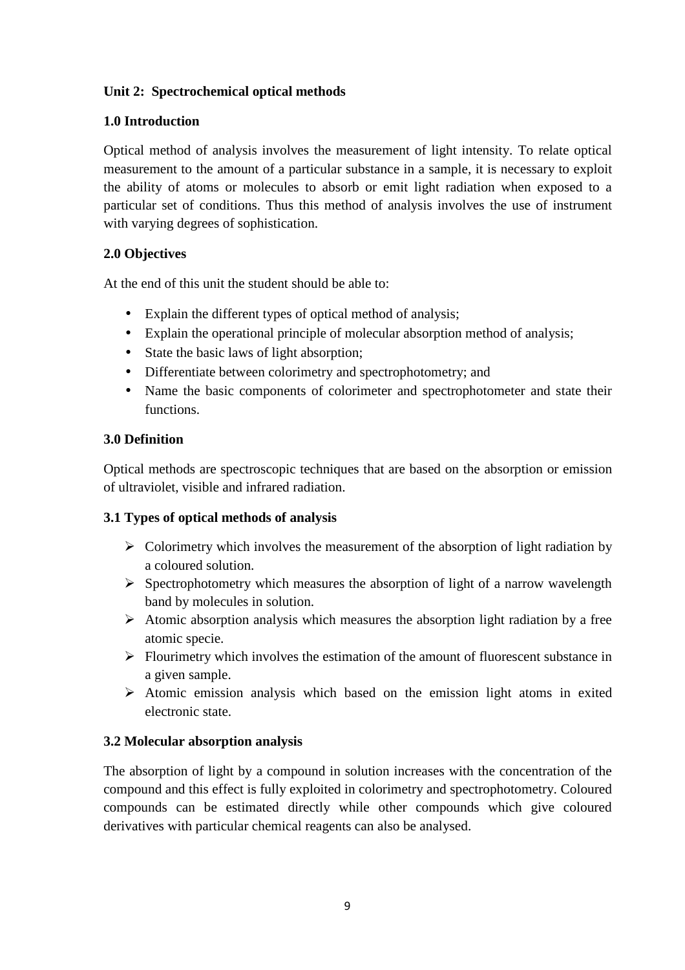#### **Unit 2: Spectrochemical optical methods**

#### **1.0 Introduction**

Optical method of analysis involves the measurement of light intensity. To relate optical measurement to the amount of a particular substance in a sample, it is necessary to exploit the ability of atoms or molecules to absorb or emit light radiation when exposed to a particular set of conditions. Thus this method of analysis involves the use of instrument with varying degrees of sophistication.

#### **2.0 Objectives**

At the end of this unit the student should be able to:

- Explain the different types of optical method of analysis;
- Explain the operational principle of molecular absorption method of analysis;
- State the basic laws of light absorption;
- Differentiate between colorimetry and spectrophotometry; and
- Name the basic components of colorimeter and spectrophotometer and state their functions.

#### **3.0 Definition**

Optical methods are spectroscopic techniques that are based on the absorption or emission of ultraviolet, visible and infrared radiation.

#### **3.1 Types of optical methods of analysis**

- > Colorimetry which involves the measurement of the absorption of light radiation by a coloured solution.
- > Spectrophotometry which measures the absorption of light of a narrow wavelength band by molecules in solution.
- > Atomic absorption analysis which measures the absorption light radiation by a free atomic specie.
- > Flourimetry which involves the estimation of the amount of fluorescent substance in a given sample.
- Atomic emission analysis which based on the emission light atoms in exited electronic state.

#### **3.2 Molecular absorption analysis**

The absorption of light by a compound in solution increases with the concentration of the compound and this effect is fully exploited in colorimetry and spectrophotometry. Coloured compounds can be estimated directly while other compounds which give coloured derivatives with particular chemical reagents can also be analysed.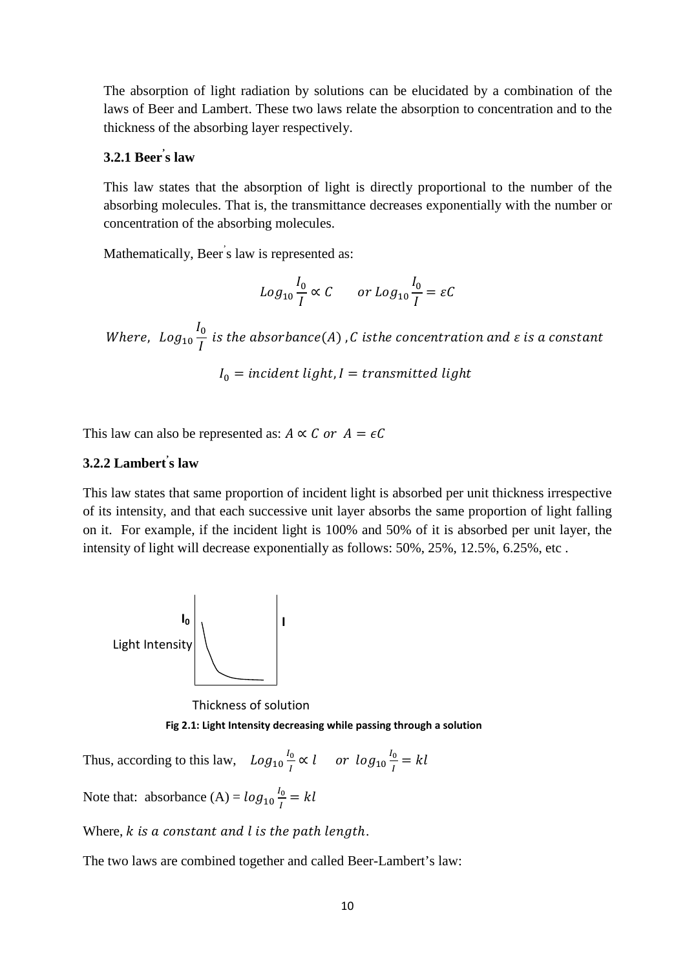The absorption of light radiation by solutions can be elucidated by a combination of the laws of Beer and Lambert. These two laws relate the absorption to concentration and to the thickness of the absorbing layer respectively.

#### **3.2.1 Beer' s law**

This law states that the absorption of light is directly proportional to the number of the absorbing molecules. That is, the transmittance decreases exponentially with the number or concentration of the absorbing molecules.

Mathematically, Beer' s law is represented as:

$$
Log_{10} \frac{I_0}{I} \propto C \qquad or \ Log_{10} \frac{I_0}{I} = \varepsilon C
$$

Where, 
$$
Log_{10} \frac{I_0}{I}
$$
 is the absorbance(A), C is the concentration and  $\varepsilon$  is a constant  

$$
I_0 = incident light, I = transmitted light
$$

This law can also be represented as:  $A \propto C$  or  $A = \epsilon C$ 

#### **3.2.2 Lambert' s law**

This law states that same proportion of incident light is absorbed per unit thickness irrespective of its intensity, and that each successive unit layer absorbs the same proportion of light falling on it. For example, if the incident light is 100% and 50% of it is absorbed per unit layer, the intensity of light will decrease exponentially as follows: 50%, 25%, 12.5%, 6.25%, etc .



Thickness of solution

**Fig 2.1: Light Intensity decreasing while passing through a solution** 

Thus, according to this law,  $Log_{10} \frac{I_0}{I}$  $\frac{a_0}{I} \propto l$  or  $log_{10} \frac{I_0}{I}$  $\frac{6}{l} = kl$ 

Note that: absorbance (A) =  $log_{10} \frac{I_0}{I}$  $\frac{6}{l} = kl$ 

Where,  $k$  is a constant and  $l$  is the path length.

The two laws are combined together and called Beer-Lambert's law: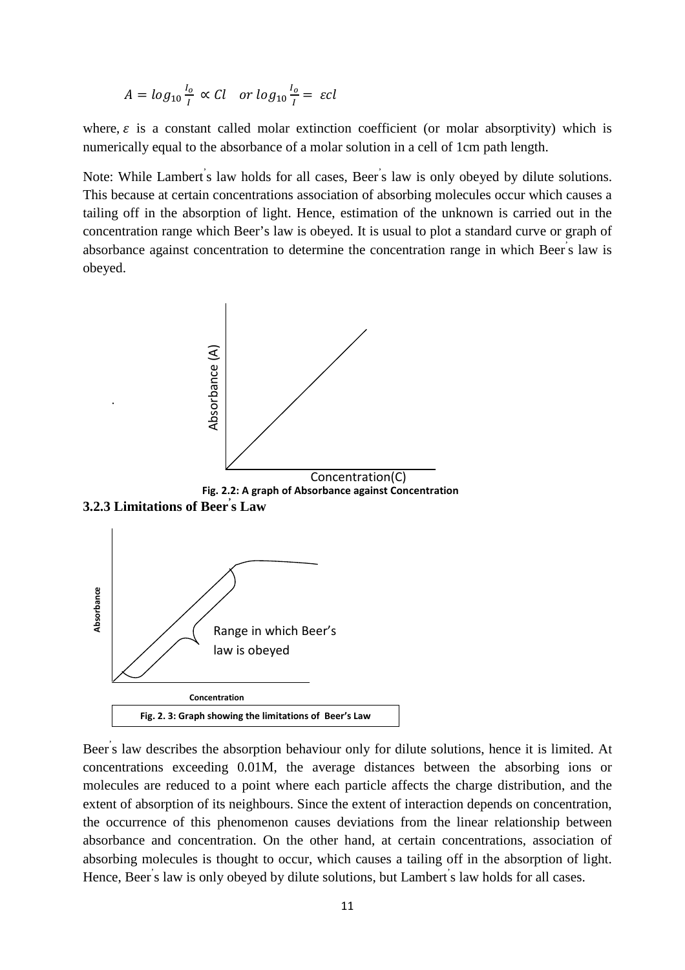$$
A = \log_{10} \frac{l_o}{I} \propto Cl \quad or \log_{10} \frac{l_o}{I} = \varepsilon cl
$$

where,  $\varepsilon$  is a constant called molar extinction coefficient (or molar absorptivity) which is numerically equal to the absorbance of a molar solution in a cell of 1cm path length.

Note: While Lambert's law holds for all cases, Beer's law is only obeyed by dilute solutions. This because at certain concentrations association of absorbing molecules occur which causes a tailing off in the absorption of light. Hence, estimation of the unknown is carried out in the concentration range which Beer's law is obeyed. It is usual to plot a standard curve or graph of absorbance against concentration to determine the concentration range in which Beer's law is obeyed.



Beer's law describes the absorption behaviour only for dilute solutions, hence it is limited. At concentrations exceeding 0.01M, the average distances between the absorbing ions or molecules are reduced to a point where each particle affects the charge distribution, and the extent of absorption of its neighbours. Since the extent of interaction depends on concentration, the occurrence of this phenomenon causes deviations from the linear relationship between absorbance and concentration. On the other hand, at certain concentrations, association of absorbing molecules is thought to occur, which causes a tailing off in the absorption of light. Hence, Beer's law is only obeyed by dilute solutions, but Lambert's law holds for all cases.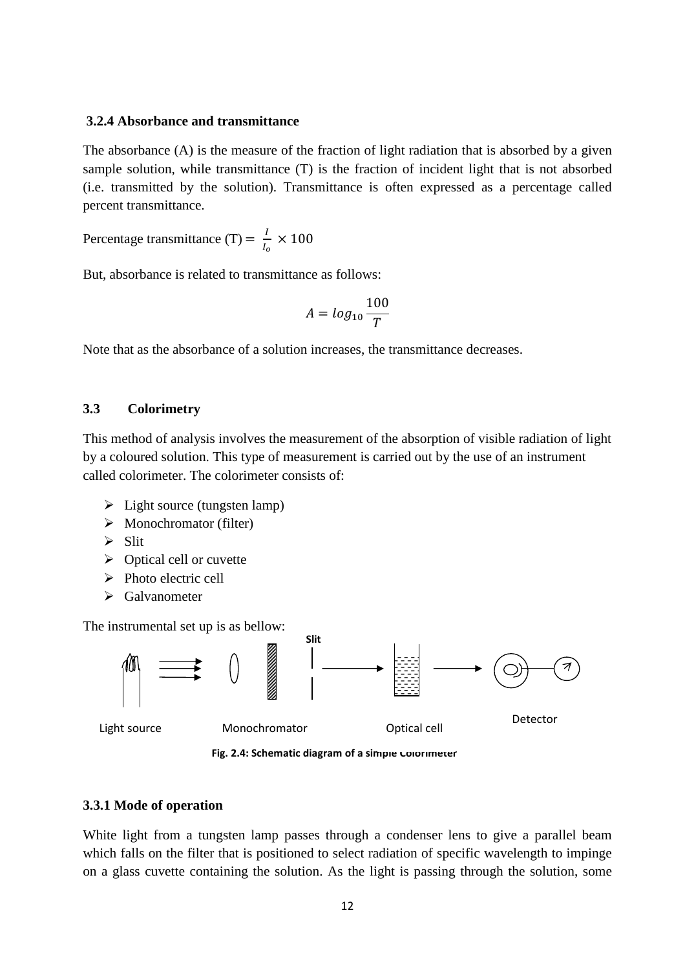#### **3.2.4 Absorbance and transmittance**

The absorbance (A) is the measure of the fraction of light radiation that is absorbed by a given sample solution, while transmittance (T) is the fraction of incident light that is not absorbed (i.e. transmitted by the solution). Transmittance is often expressed as a percentage called percent transmittance.

Percentage transmittance (T) =  $\frac{I}{I}$  $\frac{1}{I_o} \times 100$ 

But, absorbance is related to transmittance as follows:

$$
A = \log_{10} \frac{100}{T}
$$

Note that as the absorbance of a solution increases, the transmittance decreases.

#### **3.3 Colorimetry**

This method of analysis involves the measurement of the absorption of visible radiation of light by a coloured solution. This type of measurement is carried out by the use of an instrument called colorimeter. The colorimeter consists of:

- > Light source (tungsten lamp)
- > Monochromator (filter)
- $\triangleright$  Slit
- > Optical cell or cuvette
- > Photo electric cell
- > Galvanometer

The instrumental set up is as bellow:



Fig. 2.4: Schematic diagram of a simple colorimeter

#### **3.3.1 Mode of operation**

White light from a tungsten lamp passes through a condenser lens to give a parallel beam which falls on the filter that is positioned to select radiation of specific wavelength to impinge on a glass cuvette containing the solution. As the light is passing through the solution, some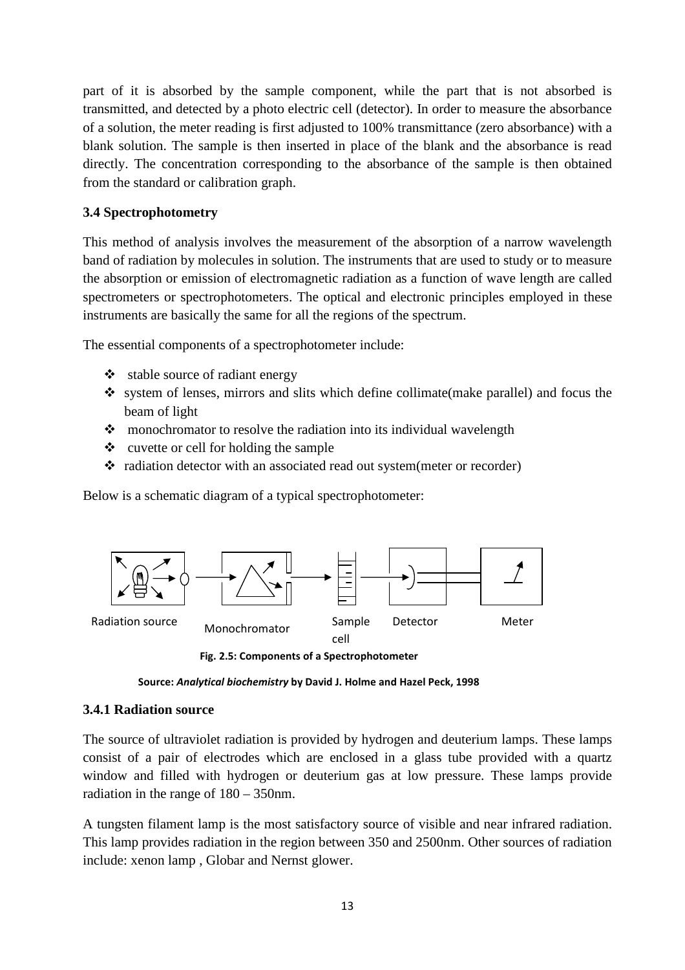part of it is absorbed by the sample component, while the part that is not absorbed is transmitted, and detected by a photo electric cell (detector). In order to measure the absorbance of a solution, the meter reading is first adjusted to 100% transmittance (zero absorbance) with a blank solution. The sample is then inserted in place of the blank and the absorbance is read directly. The concentration corresponding to the absorbance of the sample is then obtained from the standard or calibration graph.

#### **3.4 Spectrophotometry**

This method of analysis involves the measurement of the absorption of a narrow wavelength band of radiation by molecules in solution. The instruments that are used to study or to measure the absorption or emission of electromagnetic radiation as a function of wave length are called spectrometers or spectrophotometers. The optical and electronic principles employed in these instruments are basically the same for all the regions of the spectrum.

The essential components of a spectrophotometer include:

- $\triangleleft$  stable source of radiant energy
- system of lenses, mirrors and slits which define collimate(make parallel) and focus the beam of light
- $\cdot$  monochromator to resolve the radiation into its individual wavelength
- cuvette or cell for holding the sample
- radiation detector with an associated read out system(meter or recorder)

Below is a schematic diagram of a typical spectrophotometer:



**Fig. 2.5: Components of a Spectrophotometer** 

**Source:** *Analytical biochemistry* **by David J. Holme and Hazel Peck, 1998** 

#### **3.4.1 Radiation source**

The source of ultraviolet radiation is provided by hydrogen and deuterium lamps. These lamps consist of a pair of electrodes which are enclosed in a glass tube provided with a quartz window and filled with hydrogen or deuterium gas at low pressure. These lamps provide radiation in the range of 180 – 350nm.

A tungsten filament lamp is the most satisfactory source of visible and near infrared radiation. This lamp provides radiation in the region between 350 and 2500nm. Other sources of radiation include: xenon lamp , Globar and Nernst glower.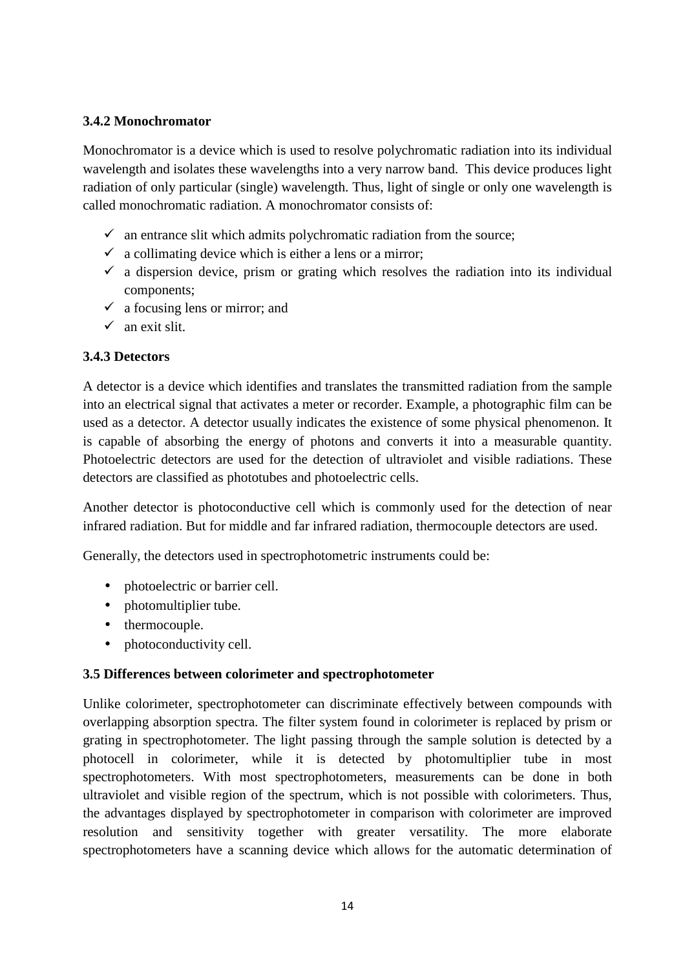#### **3.4.2 Monochromator**

Monochromator is a device which is used to resolve polychromatic radiation into its individual wavelength and isolates these wavelengths into a very narrow band. This device produces light radiation of only particular (single) wavelength. Thus, light of single or only one wavelength is called monochromatic radiation. A monochromator consists of:

- $\checkmark$  an entrance slit which admits polychromatic radiation from the source;
- $\checkmark$  a collimating device which is either a lens or a mirror;
- $\checkmark$  a dispersion device, prism or grating which resolves the radiation into its individual components;
- $\checkmark$  a focusing lens or mirror; and
- $\checkmark$  an exit slit.

#### **3.4.3 Detectors**

A detector is a device which identifies and translates the transmitted radiation from the sample into an electrical signal that activates a meter or recorder. Example, a photographic film can be used as a detector. A detector usually indicates the existence of some physical phenomenon. It is capable of absorbing the energy of photons and converts it into a measurable quantity. Photoelectric detectors are used for the detection of ultraviolet and visible radiations. These detectors are classified as phototubes and photoelectric cells.

Another detector is photoconductive cell which is commonly used for the detection of near infrared radiation. But for middle and far infrared radiation, thermocouple detectors are used.

Generally, the detectors used in spectrophotometric instruments could be:

- photoelectric or barrier cell.
- photomultiplier tube.
- thermocouple.
- photoconductivity cell.

#### **3.5 Differences between colorimeter and spectrophotometer**

Unlike colorimeter, spectrophotometer can discriminate effectively between compounds with overlapping absorption spectra. The filter system found in colorimeter is replaced by prism or grating in spectrophotometer. The light passing through the sample solution is detected by a photocell in colorimeter, while it is detected by photomultiplier tube in most spectrophotometers. With most spectrophotometers, measurements can be done in both ultraviolet and visible region of the spectrum, which is not possible with colorimeters. Thus, the advantages displayed by spectrophotometer in comparison with colorimeter are improved resolution and sensitivity together with greater versatility. The more elaborate spectrophotometers have a scanning device which allows for the automatic determination of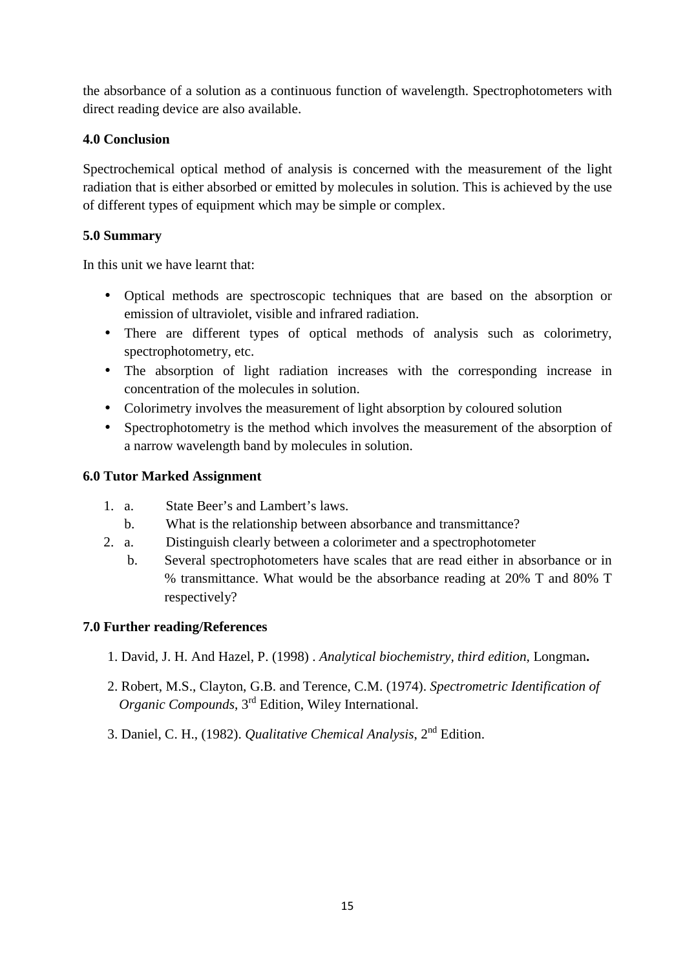the absorbance of a solution as a continuous function of wavelength. Spectrophotometers with direct reading device are also available.

#### **4.0 Conclusion**

Spectrochemical optical method of analysis is concerned with the measurement of the light radiation that is either absorbed or emitted by molecules in solution. This is achieved by the use of different types of equipment which may be simple or complex.

#### **5.0 Summary**

In this unit we have learnt that:

- Optical methods are spectroscopic techniques that are based on the absorption or emission of ultraviolet, visible and infrared radiation.
- There are different types of optical methods of analysis such as colorimetry, spectrophotometry, etc.
- The absorption of light radiation increases with the corresponding increase in concentration of the molecules in solution.
- Colorimetry involves the measurement of light absorption by coloured solution
- Spectrophotometry is the method which involves the measurement of the absorption of a narrow wavelength band by molecules in solution.

#### **6.0 Tutor Marked Assignment**

- 1. a. State Beer's and Lambert's laws.
	- b. What is the relationship between absorbance and transmittance?
- 2. a. Distinguish clearly between a colorimeter and a spectrophotometer
	- b. Several spectrophotometers have scales that are read either in absorbance or in % transmittance. What would be the absorbance reading at 20% T and 80% T respectively?

#### **7.0 Further reading/References**

- 1. David, J. H. And Hazel, P. (1998) . *Analytical biochemistry, third edition,* Longman**.**
- 2. Robert, M.S., Clayton, G.B. and Terence, C.M. (1974). *Spectrometric Identification of Organic Compounds*, 3rd Edition, Wiley International.
- 3. Daniel, C. H., (1982). *Qualitative Chemical Analysis*, 2nd Edition.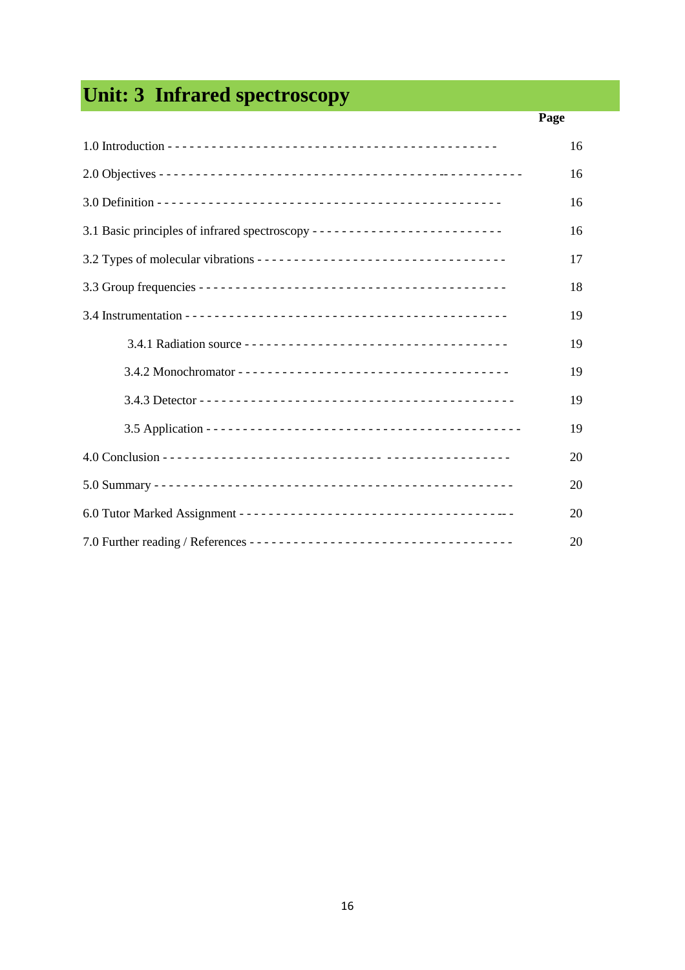# **Unit: 3 Infrared spectroscopy**

| Page |
|------|
| 16   |
| 16   |
| 16   |
| 16   |
| 17   |
| 18   |
| 19   |
| 19   |
| 19   |
| 19   |
| 19   |
| 20   |
| 20   |
| 20   |
| 20   |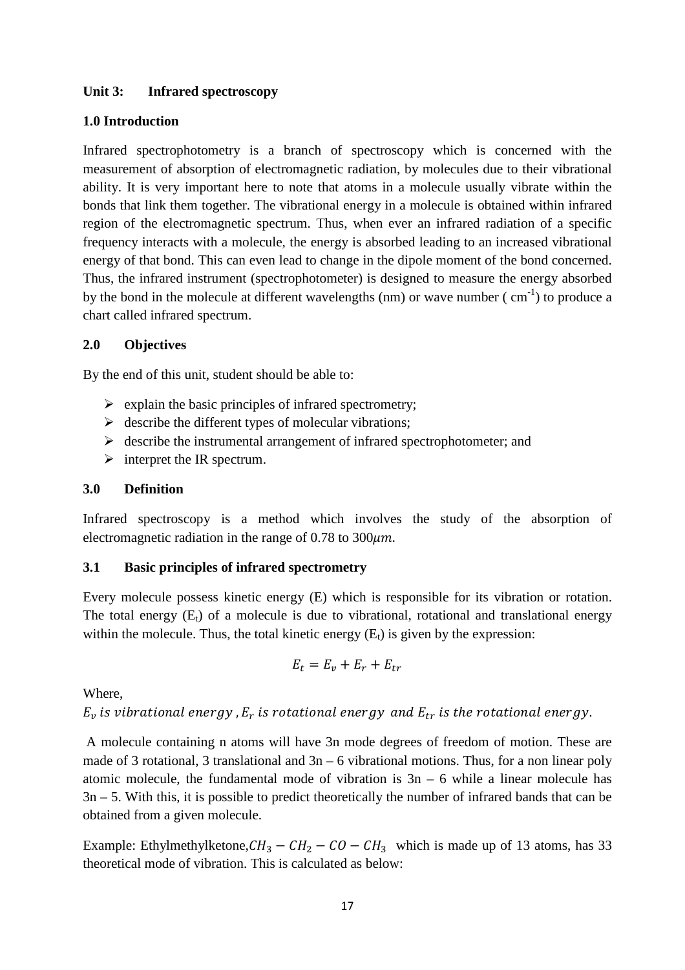#### **Unit 3: Infrared spectroscopy**

#### **1.0 Introduction**

Infrared spectrophotometry is a branch of spectroscopy which is concerned with the measurement of absorption of electromagnetic radiation, by molecules due to their vibrational ability. It is very important here to note that atoms in a molecule usually vibrate within the bonds that link them together. The vibrational energy in a molecule is obtained within infrared region of the electromagnetic spectrum. Thus, when ever an infrared radiation of a specific frequency interacts with a molecule, the energy is absorbed leading to an increased vibrational energy of that bond. This can even lead to change in the dipole moment of the bond concerned. Thus, the infrared instrument (spectrophotometer) is designed to measure the energy absorbed by the bond in the molecule at different wavelengths (nm) or wave number ( $\text{cm}^{-1}$ ) to produce a chart called infrared spectrum.

#### **2.0 Objectives**

By the end of this unit, student should be able to:

- > explain the basic principles of infrared spectrometry;
- $\triangleright$  describe the different types of molecular vibrations;
- describe the instrumental arrangement of infrared spectrophotometer; and
- $\triangleright$  interpret the IR spectrum.

#### **3.0 Definition**

Infrared spectroscopy is a method which involves the study of the absorption of electromagnetic radiation in the range of  $0.78$  to  $300 \mu m$ .

#### **3.1 Basic principles of infrared spectrometry**

Every molecule possess kinetic energy (E) which is responsible for its vibration or rotation. The total energy  $(E_t)$  of a molecule is due to vibrational, rotational and translational energy within the molecule. Thus, the total kinetic energy  $(E_t)$  is given by the expression:

$$
E_t = E_v + E_r + E_{tr}
$$

Where,

 $E_v$  is vibrational energy , $E_r$  is rotational energy  $% \{E_{tr},E_{tr}\}$  and  $E_{tr}$  is the rotational energy.

 A molecule containing n atoms will have 3n mode degrees of freedom of motion. These are made of 3 rotational, 3 translational and  $3n - 6$  vibrational motions. Thus, for a non linear poly atomic molecule, the fundamental mode of vibration is  $3n - 6$  while a linear molecule has 3n – 5. With this, it is possible to predict theoretically the number of infrared bands that can be obtained from a given molecule.

Example: Ethylmethylketone, $CH_3 - CH_2 - CO - CH_3$  which is made up of 13 atoms, has 33 theoretical mode of vibration. This is calculated as below: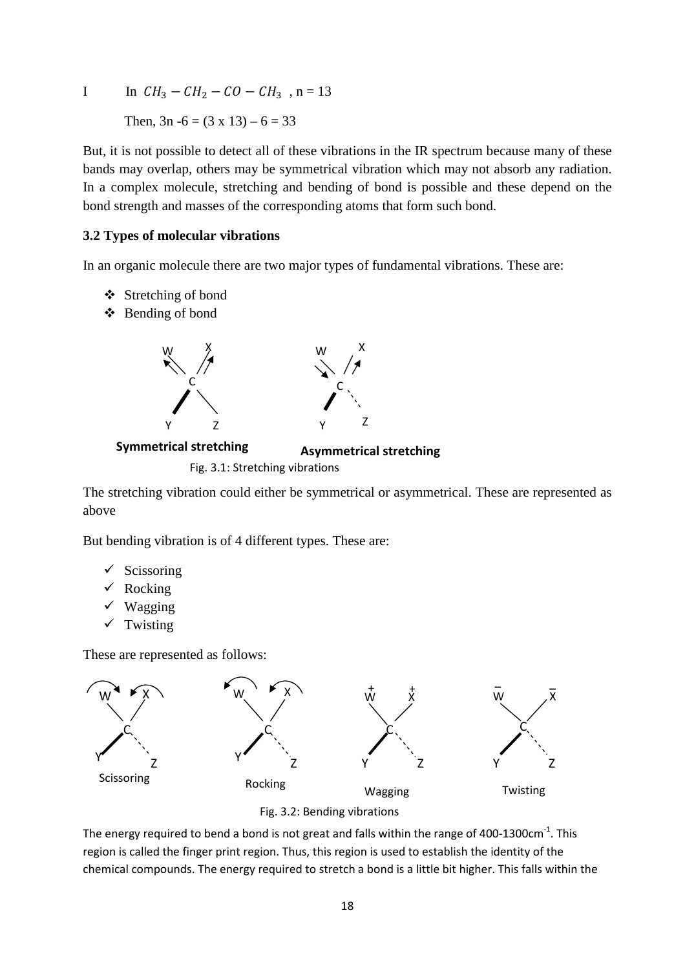I In  $CH_3 - CH_2 - CO - CH_3$ , n = 13 Then,  $3n - 6 = (3 \times 13) - 6 = 33$ 

But, it is not possible to detect all of these vibrations in the IR spectrum because many of these bands may overlap, others may be symmetrical vibration which may not absorb any radiation. In a complex molecule, stretching and bending of bond is possible and these depend on the bond strength and masses of the corresponding atoms that form such bond.

#### **3.2 Types of molecular vibrations**

In an organic molecule there are two major types of fundamental vibrations. These are:

- Stretching of bond
- Bending of bond



 **Symmetrical stretching Asymmetrical stretching**

Fig. 3.1: Stretching vibrations

The stretching vibration could either be symmetrical or asymmetrical. These are represented as above

But bending vibration is of 4 different types. These are:

- $\checkmark$  Scissoring
- $\checkmark$  Rocking
- $\checkmark$  Wagging
- $\checkmark$  Twisting

These are represented as follows:





The energy required to bend a bond is not great and falls within the range of 400-1300cm<sup>-1</sup>. This region is called the finger print region. Thus, this region is used to establish the identity of the chemical compounds. The energy required to stretch a bond is a little bit higher. This falls within the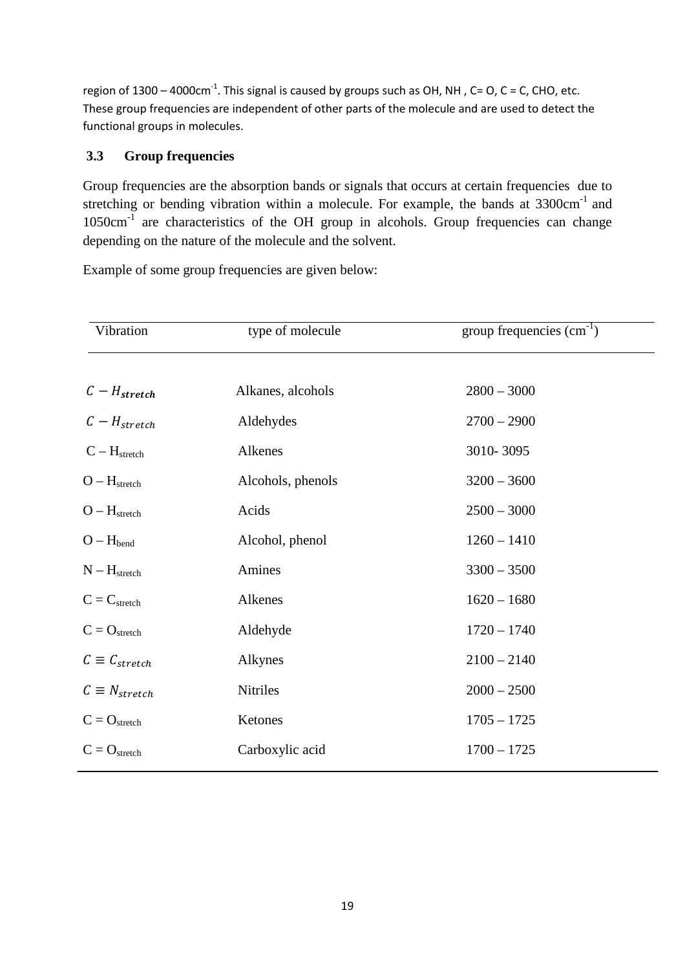region of  $1300 - 4000 \text{cm}^{-1}$ . This signal is caused by groups such as OH, NH, C= O, C = C, CHO, etc. These group frequencies are independent of other parts of the molecule and are used to detect the functional groups in molecules.

#### **3.3 Group frequencies**

Group frequencies are the absorption bands or signals that occurs at certain frequencies due to stretching or bending vibration within a molecule. For example, the bands at  $3300 \text{cm}^{-1}$  and 1050cm-1 are characteristics of the OH group in alcohols. Group frequencies can change depending on the nature of the molecule and the solvent.

Example of some group frequencies are given below:

| Vibration              | type of molecule  | group frequencies $\overline{(cm^{-1})}$ |
|------------------------|-------------------|------------------------------------------|
| $C-H_{stretch}$        | Alkanes, alcohols | $2800 - 3000$                            |
| $C-H_{stretch}$        | Aldehydes         | $2700 - 2900$                            |
| $C - Hstretch$         | Alkenes           | 3010-3095                                |
| $O-H_{stretch}$        | Alcohols, phenols | $3200 - 3600$                            |
| $O-H_{stretch}$        | Acids             | $2500 - 3000$                            |
| $O - H_{bend}$         | Alcohol, phenol   | $1260 - 1410$                            |
| $N-H_{stretch}$        | Amines            | $3300 - 3500$                            |
| $C = C_{stretch}$      | Alkenes           | $1620 - 1680$                            |
| $C = O_{stretch}$      | Aldehyde          | $1720 - 1740$                            |
| $C \equiv C_{stretch}$ | Alkynes           | $2100 - 2140$                            |
| $C \equiv N_{stretch}$ | Nitriles          | $2000 - 2500$                            |
| $C = O_{stretch}$      | Ketones           | $1705 - 1725$                            |
| $C = O_{stretch}$      | Carboxylic acid   | $1700 - 1725$                            |
|                        |                   |                                          |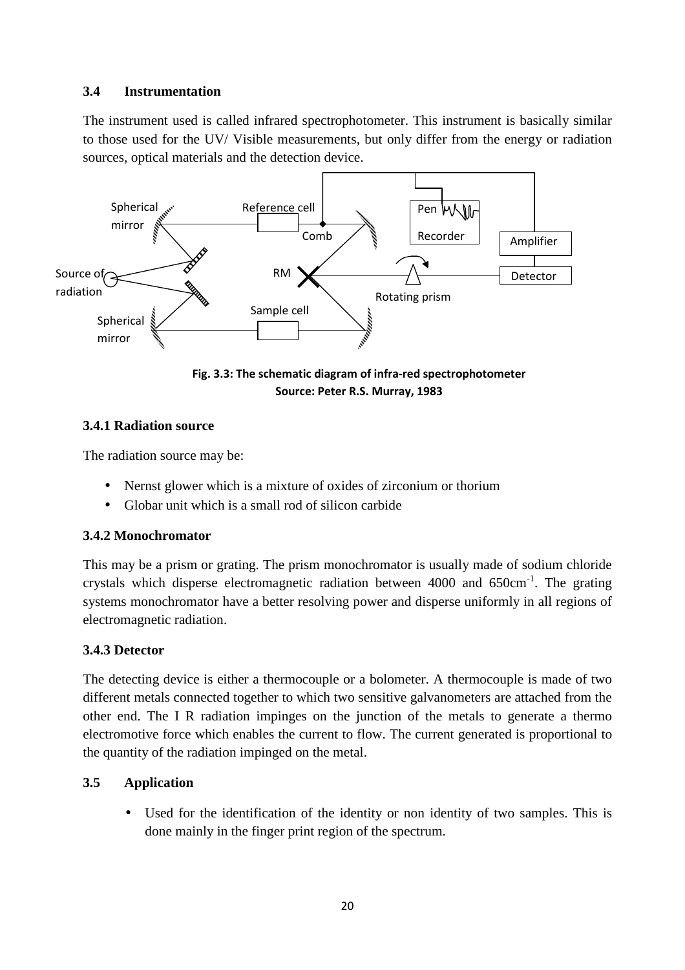#### **3.4 Instrumentation**

The instrument used is called infrared spectrophotometer. This instrument is basically similar to those used for the UV/ Visible measurements, but only differ from the energy or radiation sources, optical materials and the detection device.



**Fig. 3.3: The schematic diagram of infra-red spectrophotometer Source: Peter R.S. Murray, 1983** 

#### **3.4.1 Radiation source**

The radiation source may be:

- Nernst glower which is a mixture of oxides of zirconium or thorium
- Globar unit which is a small rod of silicon carbide

#### **3.4.2 Monochromator**

This may be a prism or grating. The prism monochromator is usually made of sodium chloride crystals which disperse electromagnetic radiation between 4000 and 650cm-1. The grating systems monochromator have a better resolving power and disperse uniformly in all regions of electromagnetic radiation.

#### **3.4.3 Detector**

The detecting device is either a thermocouple or a bolometer. A thermocouple is made of two different metals connected together to which two sensitive galvanometers are attached from the other end. The I R radiation impinges on the junction of the metals to generate a thermo electromotive force which enables the current to flow. The current generated is proportional to the quantity of the radiation impinged on the metal.

#### **3.5 Application**

• Used for the identification of the identity or non identity of two samples. This is done mainly in the finger print region of the spectrum.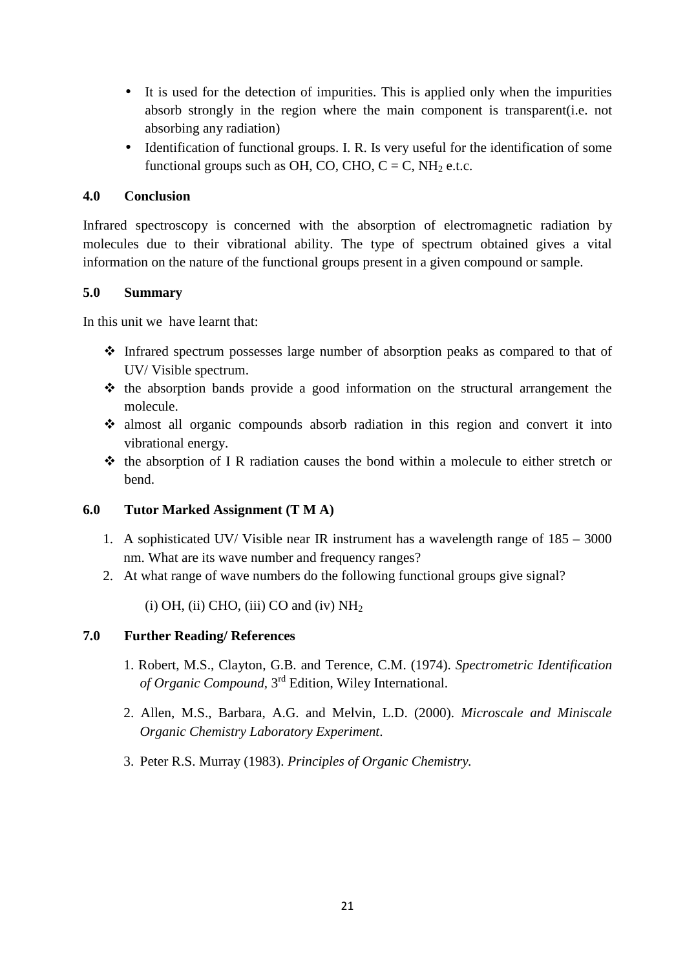- It is used for the detection of impurities. This is applied only when the impurities absorb strongly in the region where the main component is transparent(i.e. not absorbing any radiation)
- Identification of functional groups. I. R. Is very useful for the identification of some functional groups such as OH, CO, CHO,  $C = C$ , NH<sub>2</sub> e.t.c.

#### **4.0 Conclusion**

Infrared spectroscopy is concerned with the absorption of electromagnetic radiation by molecules due to their vibrational ability. The type of spectrum obtained gives a vital information on the nature of the functional groups present in a given compound or sample.

#### **5.0 Summary**

In this unit we have learnt that:

- Infrared spectrum possesses large number of absorption peaks as compared to that of UV/ Visible spectrum.
- $\cdot \cdot$  the absorption bands provide a good information on the structural arrangement the molecule.
- almost all organic compounds absorb radiation in this region and convert it into vibrational energy.
- $\triangle$  the absorption of I R radiation causes the bond within a molecule to either stretch or bend.

#### **6.0 Tutor Marked Assignment (T M A)**

- 1. A sophisticated UV/ Visible near IR instrument has a wavelength range of 185 3000 nm. What are its wave number and frequency ranges?
- 2. At what range of wave numbers do the following functional groups give signal?

(i) OH, (ii) CHO, (iii) CO and (iv)  $NH<sub>2</sub>$ 

#### **7.0 Further Reading/ References**

- 1. Robert, M.S., Clayton, G.B. and Terence, C.M. (1974). *Spectrometric Identification of Organic Compound,* 3rd Edition, Wiley International.
- 2. Allen, M.S., Barbara, A.G. and Melvin, L.D. (2000). *Microscale and Miniscale Organic Chemistry Laboratory Experiment*.
- 3. Peter R.S. Murray (1983). *Principles of Organic Chemistry.*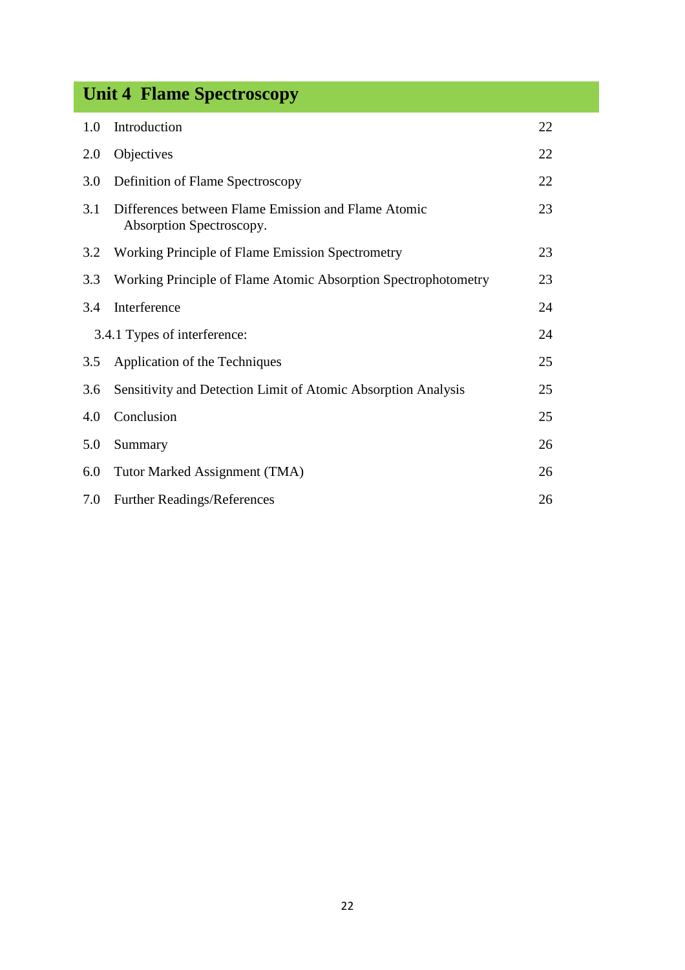### **Unit 4 Flame Spectroscopy**

| 1.0                          | Introduction                                                                    | 22 |
|------------------------------|---------------------------------------------------------------------------------|----|
| 2.0                          | Objectives                                                                      | 22 |
| 3.0                          | Definition of Flame Spectroscopy                                                | 22 |
| 3.1                          | Differences between Flame Emission and Flame Atomic<br>Absorption Spectroscopy. | 23 |
| 3.2                          | Working Principle of Flame Emission Spectrometry                                | 23 |
| 3.3                          | Working Principle of Flame Atomic Absorption Spectrophotometry                  | 23 |
| 3.4                          | Interference                                                                    | 24 |
| 3.4.1 Types of interference: |                                                                                 | 24 |
| 3.5                          | Application of the Techniques                                                   | 25 |
| 3.6                          | Sensitivity and Detection Limit of Atomic Absorption Analysis                   | 25 |
| 4.0                          | Conclusion                                                                      | 25 |
| 5.0                          | Summary                                                                         | 26 |
| 6.0                          | Tutor Marked Assignment (TMA)                                                   | 26 |
| 7.0                          | <b>Further Readings/References</b>                                              | 26 |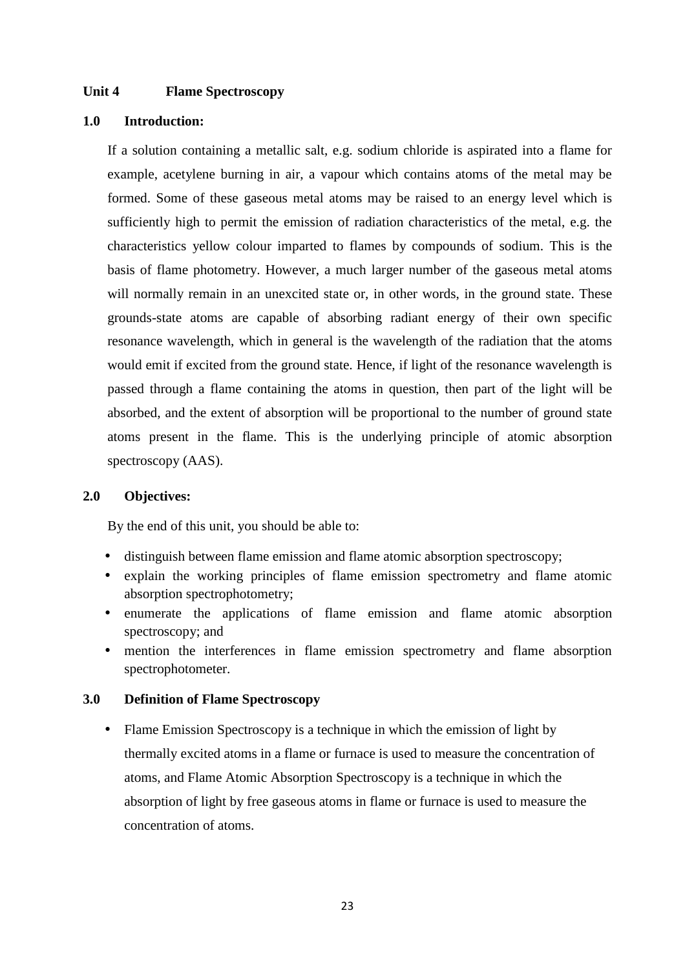#### **Unit 4 Flame Spectroscopy**

#### **1.0 Introduction:**

If a solution containing a metallic salt, e.g. sodium chloride is aspirated into a flame for example, acetylene burning in air, a vapour which contains atoms of the metal may be formed. Some of these gaseous metal atoms may be raised to an energy level which is sufficiently high to permit the emission of radiation characteristics of the metal, e.g. the characteristics yellow colour imparted to flames by compounds of sodium. This is the basis of flame photometry. However, a much larger number of the gaseous metal atoms will normally remain in an unexcited state or, in other words, in the ground state. These grounds-state atoms are capable of absorbing radiant energy of their own specific resonance wavelength, which in general is the wavelength of the radiation that the atoms would emit if excited from the ground state. Hence, if light of the resonance wavelength is passed through a flame containing the atoms in question, then part of the light will be absorbed, and the extent of absorption will be proportional to the number of ground state atoms present in the flame. This is the underlying principle of atomic absorption spectroscopy (AAS).

#### **2.0 Objectives:**

By the end of this unit, you should be able to:

- distinguish between flame emission and flame atomic absorption spectroscopy;
- explain the working principles of flame emission spectrometry and flame atomic absorption spectrophotometry;
- enumerate the applications of flame emission and flame atomic absorption spectroscopy; and
- mention the interferences in flame emission spectrometry and flame absorption spectrophotometer.

#### **3.0 Definition of Flame Spectroscopy**

• Flame Emission Spectroscopy is a technique in which the emission of light by thermally excited atoms in a flame or furnace is used to measure the concentration of atoms, and Flame Atomic Absorption Spectroscopy is a technique in which the absorption of light by free gaseous atoms in flame or furnace is used to measure the concentration of atoms.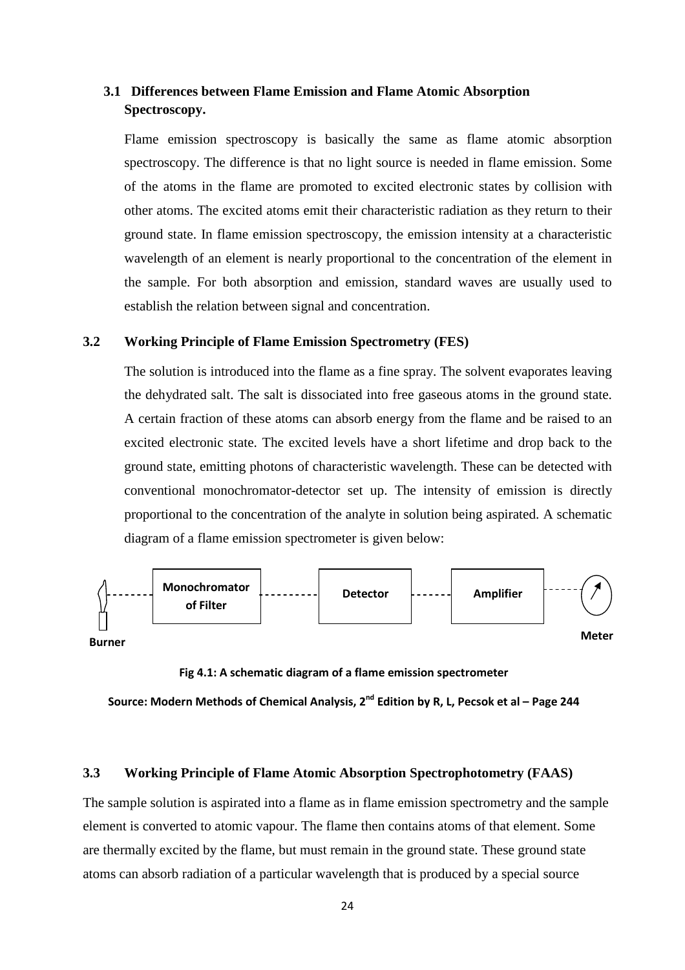#### **3.1 Differences between Flame Emission and Flame Atomic Absorption Spectroscopy.**

Flame emission spectroscopy is basically the same as flame atomic absorption spectroscopy. The difference is that no light source is needed in flame emission. Some of the atoms in the flame are promoted to excited electronic states by collision with other atoms. The excited atoms emit their characteristic radiation as they return to their ground state. In flame emission spectroscopy, the emission intensity at a characteristic wavelength of an element is nearly proportional to the concentration of the element in the sample. For both absorption and emission, standard waves are usually used to establish the relation between signal and concentration.

#### **3.2 Working Principle of Flame Emission Spectrometry (FES)**

The solution is introduced into the flame as a fine spray. The solvent evaporates leaving the dehydrated salt. The salt is dissociated into free gaseous atoms in the ground state. A certain fraction of these atoms can absorb energy from the flame and be raised to an excited electronic state. The excited levels have a short lifetime and drop back to the ground state, emitting photons of characteristic wavelength. These can be detected with conventional monochromator-detector set up. The intensity of emission is directly proportional to the concentration of the analyte in solution being aspirated. A schematic diagram of a flame emission spectrometer is given below:



**Fig 4.1: A schematic diagram of a flame emission spectrometer**

**Source: Modern Methods of Chemical Analysis, 2nd Edition by R, L, Pecsok et al – Page 244** 

#### **3.3 Working Principle of Flame Atomic Absorption Spectrophotometry (FAAS)**

The sample solution is aspirated into a flame as in flame emission spectrometry and the sample element is converted to atomic vapour. The flame then contains atoms of that element. Some are thermally excited by the flame, but must remain in the ground state. These ground state atoms can absorb radiation of a particular wavelength that is produced by a special source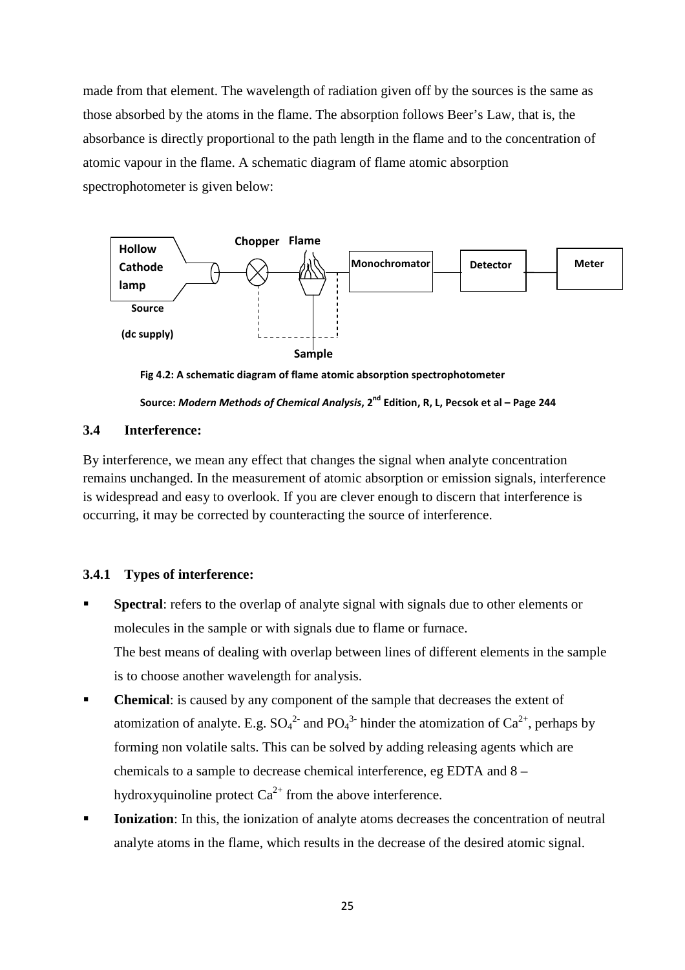made from that element. The wavelength of radiation given off by the sources is the same as those absorbed by the atoms in the flame. The absorption follows Beer's Law, that is, the absorbance is directly proportional to the path length in the flame and to the concentration of atomic vapour in the flame. A schematic diagram of flame atomic absorption spectrophotometer is given below:



**Fig 4.2: A schematic diagram of flame atomic absorption spectrophotometer** 

**Source:** *Modern Methods of Chemical Analysis***, 2nd Edition, R, L, Pecsok et al – Page 244**

#### **3.4 Interference:**

By interference, we mean any effect that changes the signal when analyte concentration remains unchanged. In the measurement of atomic absorption or emission signals, interference is widespread and easy to overlook. If you are clever enough to discern that interference is occurring, it may be corrected by counteracting the source of interference.

#### **3.4.1 Types of interference:**

- **Spectral**: refers to the overlap of analyte signal with signals due to other elements or molecules in the sample or with signals due to flame or furnace. The best means of dealing with overlap between lines of different elements in the sample is to choose another wavelength for analysis.
- **Chemical**: is caused by any component of the sample that decreases the extent of atomization of analyte. E.g.  $SO_4^2$  and  $PO_4^3$  hinder the atomization of  $Ca^{2+}$ , perhaps by forming non volatile salts. This can be solved by adding releasing agents which are chemicals to a sample to decrease chemical interference, eg EDTA and 8 – hydroxyquinoline protect  $Ca^{2+}$  from the above interference.
- **Ionization**: In this, the ionization of analyte atoms decreases the concentration of neutral analyte atoms in the flame, which results in the decrease of the desired atomic signal.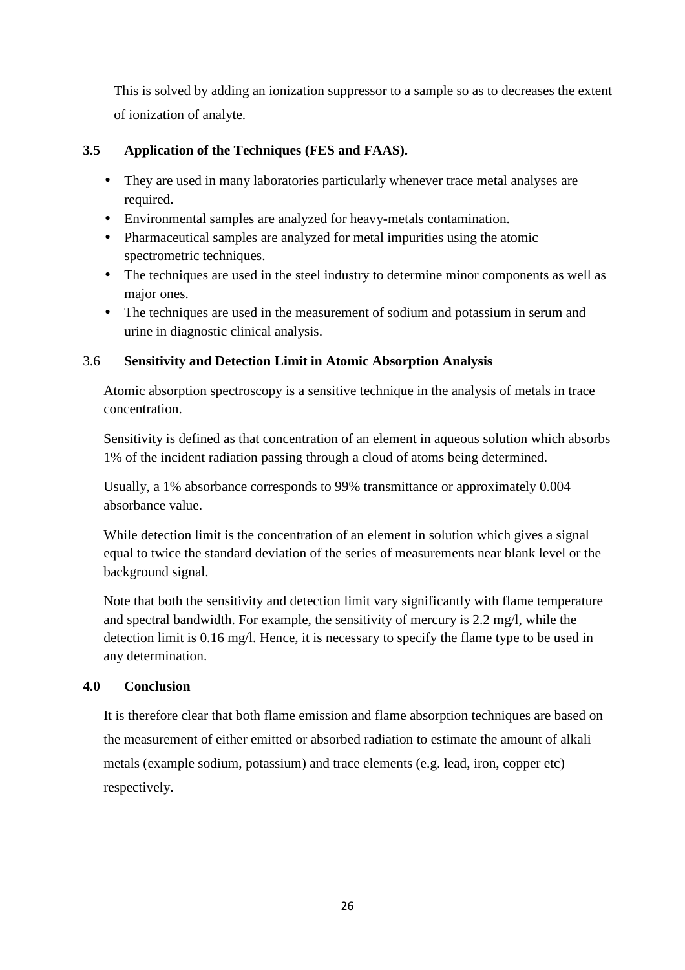This is solved by adding an ionization suppressor to a sample so as to decreases the extent of ionization of analyte.

#### **3.5 Application of the Techniques (FES and FAAS).**

- They are used in many laboratories particularly whenever trace metal analyses are required.
- Environmental samples are analyzed for heavy-metals contamination.
- Pharmaceutical samples are analyzed for metal impurities using the atomic spectrometric techniques.
- The techniques are used in the steel industry to determine minor components as well as major ones.
- The techniques are used in the measurement of sodium and potassium in serum and urine in diagnostic clinical analysis.

#### 3.6 **Sensitivity and Detection Limit in Atomic Absorption Analysis**

Atomic absorption spectroscopy is a sensitive technique in the analysis of metals in trace concentration.

Sensitivity is defined as that concentration of an element in aqueous solution which absorbs 1% of the incident radiation passing through a cloud of atoms being determined.

Usually, a 1% absorbance corresponds to 99% transmittance or approximately 0.004 absorbance value.

While detection limit is the concentration of an element in solution which gives a signal equal to twice the standard deviation of the series of measurements near blank level or the background signal.

Note that both the sensitivity and detection limit vary significantly with flame temperature and spectral bandwidth. For example, the sensitivity of mercury is 2.2 mg/l, while the detection limit is 0.16 mg/l. Hence, it is necessary to specify the flame type to be used in any determination.

#### **4.0 Conclusion**

It is therefore clear that both flame emission and flame absorption techniques are based on the measurement of either emitted or absorbed radiation to estimate the amount of alkali metals (example sodium, potassium) and trace elements (e.g. lead, iron, copper etc) respectively.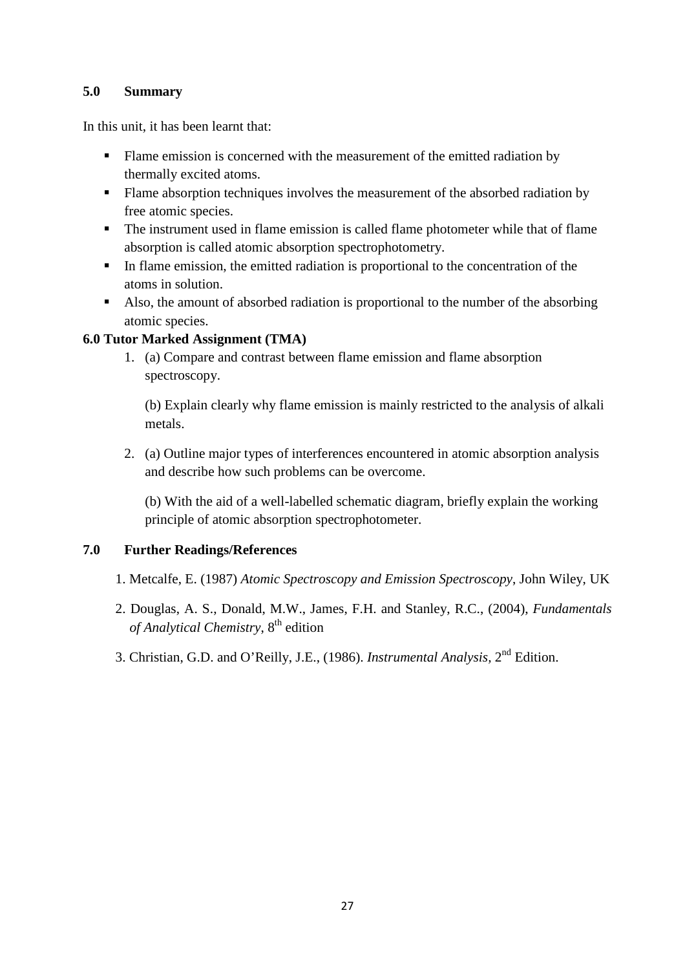#### **5.0 Summary**

In this unit, it has been learnt that:

- Flame emission is concerned with the measurement of the emitted radiation by thermally excited atoms.
- Flame absorption techniques involves the measurement of the absorbed radiation by free atomic species.
- The instrument used in flame emission is called flame photometer while that of flame absorption is called atomic absorption spectrophotometry.
- In flame emission, the emitted radiation is proportional to the concentration of the atoms in solution.
- Also, the amount of absorbed radiation is proportional to the number of the absorbing atomic species.

#### **6.0 Tutor Marked Assignment (TMA)**

1. (a) Compare and contrast between flame emission and flame absorption spectroscopy.

(b) Explain clearly why flame emission is mainly restricted to the analysis of alkali metals.

2. (a) Outline major types of interferences encountered in atomic absorption analysis and describe how such problems can be overcome.

(b) With the aid of a well-labelled schematic diagram, briefly explain the working principle of atomic absorption spectrophotometer.

#### **7.0 Further Readings/References**

- 1. Metcalfe, E. (1987) *Atomic Spectroscopy and Emission Spectroscopy*, John Wiley, UK
- 2. Douglas, A. S., Donald, M.W., James, F.H. and Stanley, R.C., (2004), *Fundamentals of Analytical Chemistry*, 8th edition
- 3. Christian, G.D. and O'Reilly, J.E., (1986). *Instrumental Analysis,* 2nd Edition.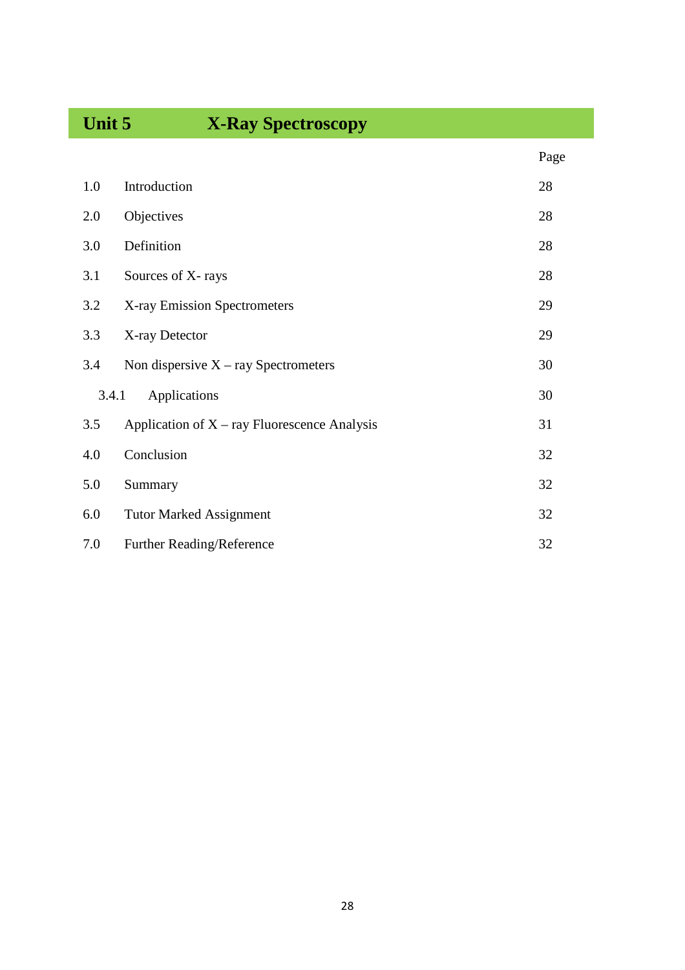## **Unit 5 X-Ray Spectroscopy**

|       |                                                | Page |
|-------|------------------------------------------------|------|
| 1.0   | Introduction                                   | 28   |
| 2.0   | Objectives                                     | 28   |
| 3.0   | Definition                                     | 28   |
| 3.1   | Sources of X-rays                              | 28   |
| 3.2   | X-ray Emission Spectrometers                   | 29   |
| 3.3   | X-ray Detector                                 | 29   |
| 3.4   | Non dispersive $X - ray$ Spectrometers         | 30   |
| 3.4.1 | Applications                                   | 30   |
| 3.5   | Application of $X - ray$ Fluorescence Analysis | 31   |
| 4.0   | Conclusion                                     | 32   |
| 5.0   | Summary                                        | 32   |
| 6.0   | <b>Tutor Marked Assignment</b>                 | 32   |
| 7.0   | Further Reading/Reference                      | 32   |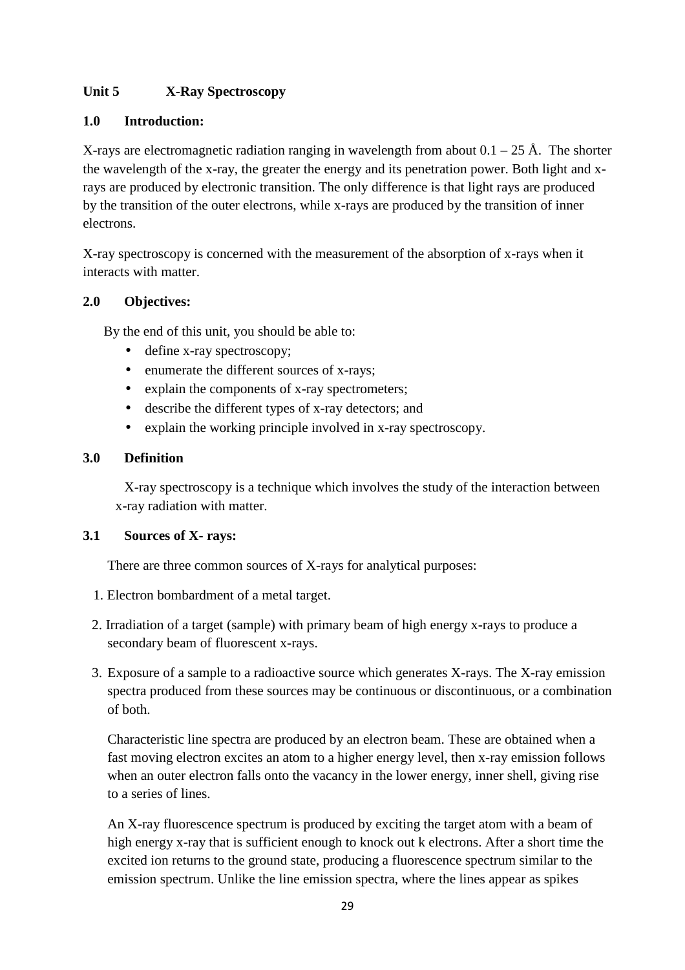#### **Unit 5 X-Ray Spectroscopy**

#### **1.0 Introduction:**

X-rays are electromagnetic radiation ranging in wavelength from about  $0.1 - 25$  Å. The shorter the wavelength of the x-ray, the greater the energy and its penetration power. Both light and xrays are produced by electronic transition. The only difference is that light rays are produced by the transition of the outer electrons, while x-rays are produced by the transition of inner electrons.

X-ray spectroscopy is concerned with the measurement of the absorption of x-rays when it interacts with matter.

#### **2.0 Objectives:**

By the end of this unit, you should be able to:

- define x-ray spectroscopy;
- enumerate the different sources of x-rays;
- explain the components of x-ray spectrometers;
- describe the different types of x-ray detectors; and
- explain the working principle involved in x-ray spectroscopy.

#### **3.0 Definition**

 X-ray spectroscopy is a technique which involves the study of the interaction between x-ray radiation with matter.

#### **3.1 Sources of X- rays:**

There are three common sources of X-rays for analytical purposes:

- 1. Electron bombardment of a metal target.
- 2. Irradiation of a target (sample) with primary beam of high energy x-rays to produce a secondary beam of fluorescent x-rays.
- 3. Exposure of a sample to a radioactive source which generates X-rays. The X-ray emission spectra produced from these sources may be continuous or discontinuous, or a combination of both.

Characteristic line spectra are produced by an electron beam. These are obtained when a fast moving electron excites an atom to a higher energy level, then x-ray emission follows when an outer electron falls onto the vacancy in the lower energy, inner shell, giving rise to a series of lines.

An X-ray fluorescence spectrum is produced by exciting the target atom with a beam of high energy x-ray that is sufficient enough to knock out k electrons. After a short time the excited ion returns to the ground state, producing a fluorescence spectrum similar to the emission spectrum. Unlike the line emission spectra, where the lines appear as spikes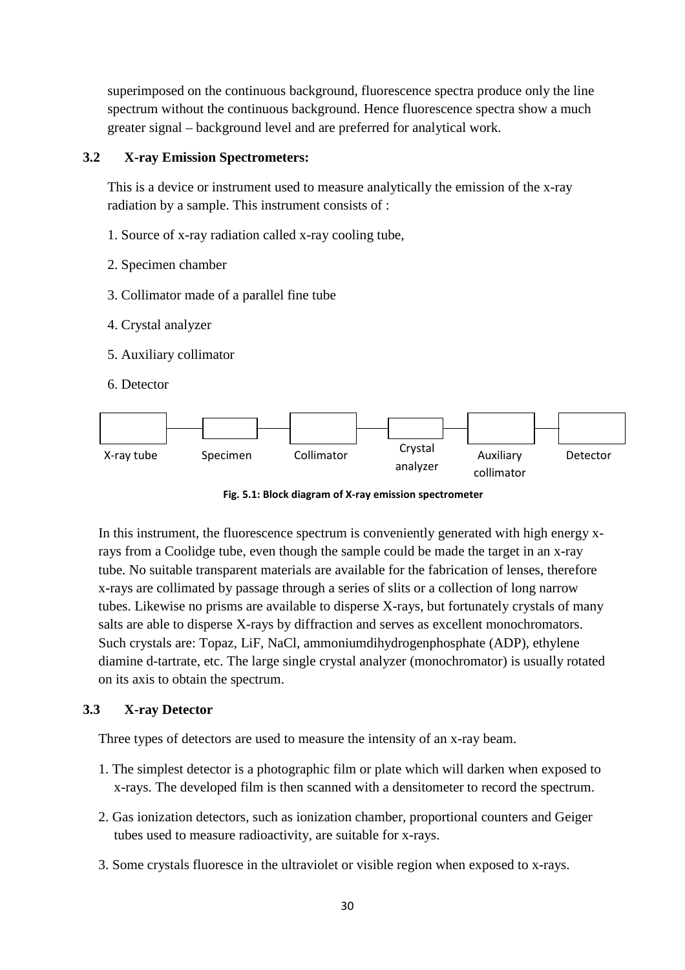superimposed on the continuous background, fluorescence spectra produce only the line spectrum without the continuous background. Hence fluorescence spectra show a much greater signal – background level and are preferred for analytical work.

#### **3.2 X-ray Emission Spectrometers:**

This is a device or instrument used to measure analytically the emission of the x-ray radiation by a sample. This instrument consists of :

- 1. Source of x-ray radiation called x-ray cooling tube,
- 2. Specimen chamber
- 3. Collimator made of a parallel fine tube
- 4. Crystal analyzer
- 5. Auxiliary collimator
- 6. Detector



**Fig. 5.1: Block diagram of X-ray emission spectrometer** 

In this instrument, the fluorescence spectrum is conveniently generated with high energy xrays from a Coolidge tube, even though the sample could be made the target in an x-ray tube. No suitable transparent materials are available for the fabrication of lenses, therefore x-rays are collimated by passage through a series of slits or a collection of long narrow tubes. Likewise no prisms are available to disperse X-rays, but fortunately crystals of many salts are able to disperse X-rays by diffraction and serves as excellent monochromators. Such crystals are: Topaz, LiF, NaCl, ammoniumdihydrogenphosphate (ADP), ethylene diamine d-tartrate, etc. The large single crystal analyzer (monochromator) is usually rotated on its axis to obtain the spectrum.

#### **3.3 X-ray Detector**

Three types of detectors are used to measure the intensity of an x-ray beam.

- 1. The simplest detector is a photographic film or plate which will darken when exposed to x-rays. The developed film is then scanned with a densitometer to record the spectrum.
- 2. Gas ionization detectors, such as ionization chamber, proportional counters and Geiger tubes used to measure radioactivity, are suitable for x-rays.
- 3. Some crystals fluoresce in the ultraviolet or visible region when exposed to x-rays.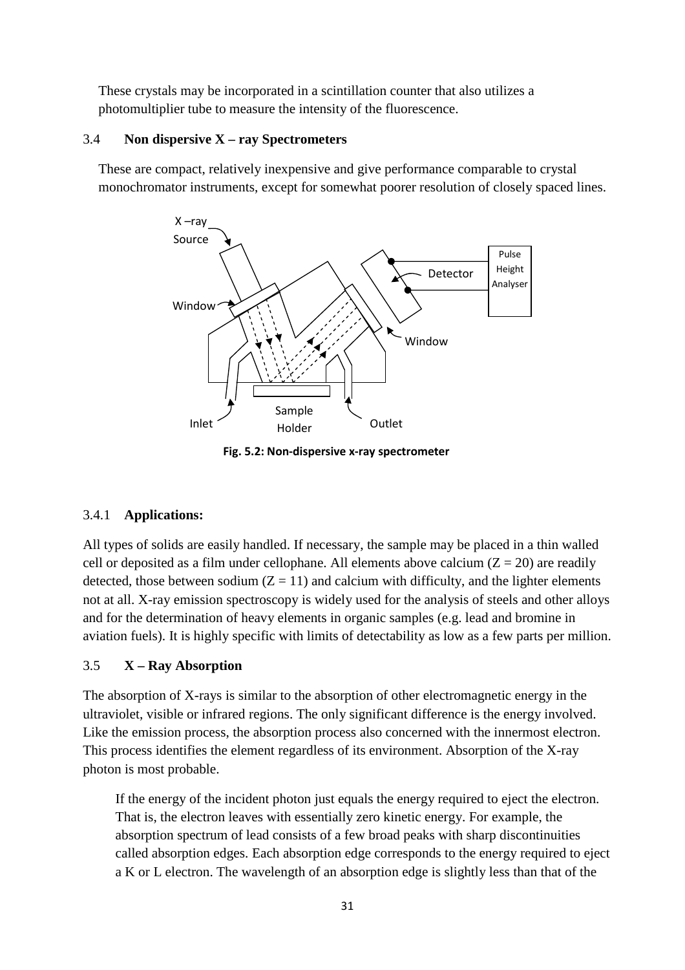These crystals may be incorporated in a scintillation counter that also utilizes a photomultiplier tube to measure the intensity of the fluorescence.

#### 3.4 **Non dispersive X – ray Spectrometers**

These are compact, relatively inexpensive and give performance comparable to crystal monochromator instruments, except for somewhat poorer resolution of closely spaced lines.



**Fig. 5.2: Non-dispersive x-ray spectrometer**

#### 3.4.1 **Applications:**

All types of solids are easily handled. If necessary, the sample may be placed in a thin walled cell or deposited as a film under cellophane. All elements above calcium  $(Z = 20)$  are readily detected, those between sodium  $(Z = 11)$  and calcium with difficulty, and the lighter elements not at all. X-ray emission spectroscopy is widely used for the analysis of steels and other alloys and for the determination of heavy elements in organic samples (e.g. lead and bromine in aviation fuels). It is highly specific with limits of detectability as low as a few parts per million.

#### 3.5 **X – Ray Absorption**

The absorption of X-rays is similar to the absorption of other electromagnetic energy in the ultraviolet, visible or infrared regions. The only significant difference is the energy involved. Like the emission process, the absorption process also concerned with the innermost electron. This process identifies the element regardless of its environment. Absorption of the X-ray photon is most probable.

If the energy of the incident photon just equals the energy required to eject the electron. That is, the electron leaves with essentially zero kinetic energy. For example, the absorption spectrum of lead consists of a few broad peaks with sharp discontinuities called absorption edges. Each absorption edge corresponds to the energy required to eject a K or L electron. The wavelength of an absorption edge is slightly less than that of the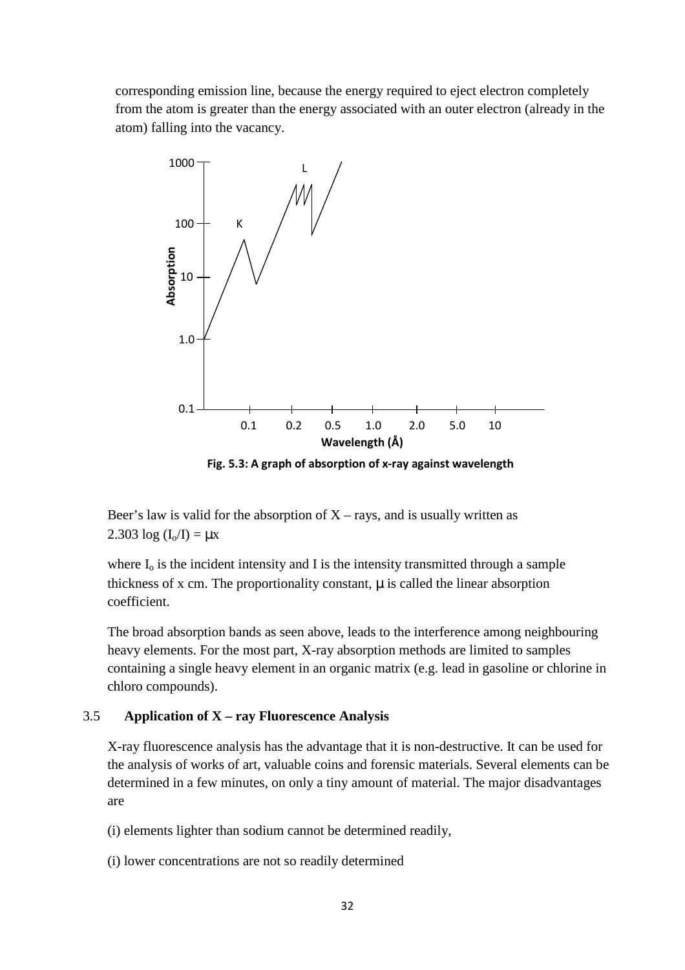corresponding emission line, because the energy required to eject electron completely from the atom is greater than the energy associated with an outer electron (already in the atom) falling into the vacancy.



**Fig. 5.3: A graph of absorption of x-ray against wavelength**

Beer's law is valid for the absorption of  $X - rays$ , and is usually written as 2.303  $log (I_0/I) = \mu x$ 

where  $I_0$  is the incident intensity and I is the intensity transmitted through a sample thickness of x cm. The proportionality constant,  $\mu$  is called the linear absorption coefficient.

The broad absorption bands as seen above, leads to the interference among neighbouring heavy elements. For the most part, X-ray absorption methods are limited to samples containing a single heavy element in an organic matrix (e.g. lead in gasoline or chlorine in chloro compounds).

#### 3.5 **Application of X – ray Fluorescence Analysis**

X-ray fluorescence analysis has the advantage that it is non-destructive. It can be used for the analysis of works of art, valuable coins and forensic materials. Several elements can be determined in a few minutes, on only a tiny amount of material. The major disadvantages are

- (i) elements lighter than sodium cannot be determined readily,
- (i) lower concentrations are not so readily determined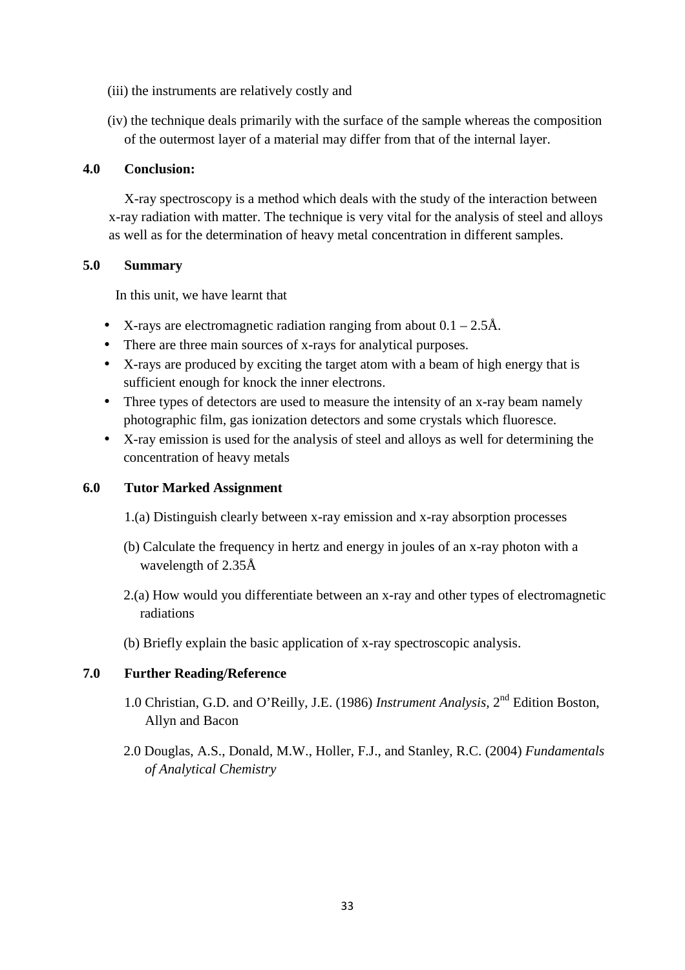- (iii) the instruments are relatively costly and
- (iv) the technique deals primarily with the surface of the sample whereas the composition of the outermost layer of a material may differ from that of the internal layer.

#### **4.0 Conclusion:**

 X-ray spectroscopy is a method which deals with the study of the interaction between x-ray radiation with matter. The technique is very vital for the analysis of steel and alloys as well as for the determination of heavy metal concentration in different samples.

#### **5.0 Summary**

In this unit, we have learnt that

- X-rays are electromagnetic radiation ranging from about  $0.1 2.5$ Å.
- There are three main sources of x-rays for analytical purposes.
- X-rays are produced by exciting the target atom with a beam of high energy that is sufficient enough for knock the inner electrons.
- Three types of detectors are used to measure the intensity of an x-ray beam namely photographic film, gas ionization detectors and some crystals which fluoresce.
- X-ray emission is used for the analysis of steel and alloys as well for determining the concentration of heavy metals

#### **6.0 Tutor Marked Assignment**

- 1.(a) Distinguish clearly between x-ray emission and x-ray absorption processes
- (b) Calculate the frequency in hertz and energy in joules of an x-ray photon with a wavelength of 2.35Å
- 2.(a) How would you differentiate between an x-ray and other types of electromagnetic radiations
- (b) Briefly explain the basic application of x-ray spectroscopic analysis.

#### **7.0 Further Reading/Reference**

- 1.0 Christian, G.D. and O'Reilly, J.E. (1986) *Instrument Analysis*, 2<sup>nd</sup> Edition Boston, Allyn and Bacon
- 2.0 Douglas, A.S., Donald, M.W., Holler, F.J., and Stanley, R.C. (2004) *Fundamentals of Analytical Chemistry*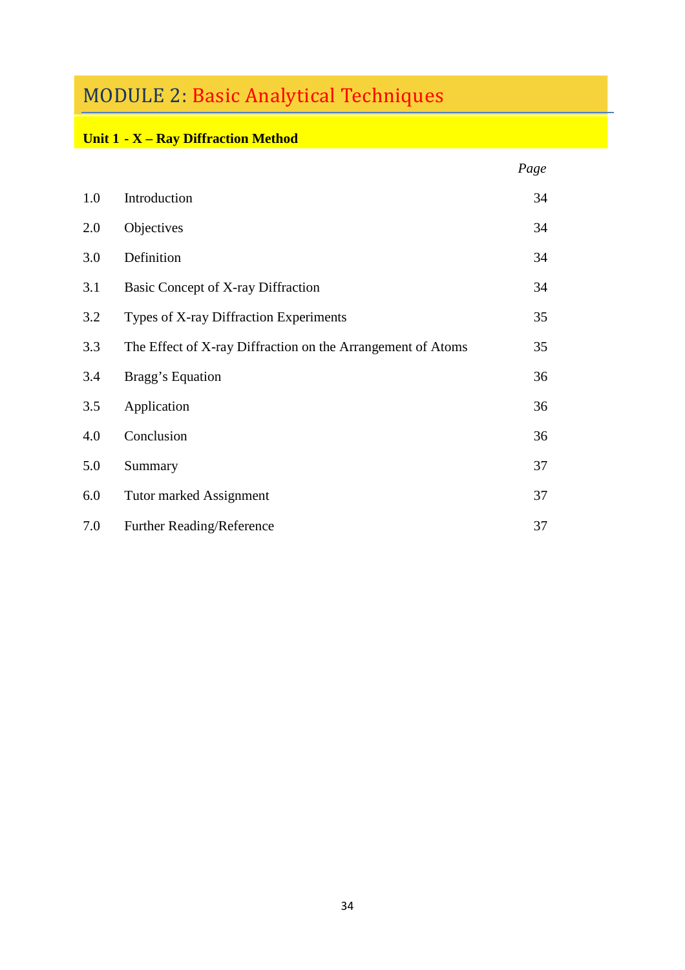## MODULE 2: Basic Analytical Techniques

### **Unit 1 - X – Ray Diffraction Method**

|     |                                                             | Page |
|-----|-------------------------------------------------------------|------|
| 1.0 | Introduction                                                | 34   |
| 2.0 | Objectives                                                  | 34   |
| 3.0 | Definition                                                  | 34   |
| 3.1 | Basic Concept of X-ray Diffraction                          | 34   |
| 3.2 | Types of X-ray Diffraction Experiments                      | 35   |
| 3.3 | The Effect of X-ray Diffraction on the Arrangement of Atoms | 35   |
| 3.4 | Bragg's Equation                                            | 36   |
| 3.5 | Application                                                 | 36   |
| 4.0 | Conclusion                                                  | 36   |
| 5.0 | Summary                                                     | 37   |
| 6.0 | Tutor marked Assignment                                     | 37   |
| 7.0 | Further Reading/Reference                                   | 37   |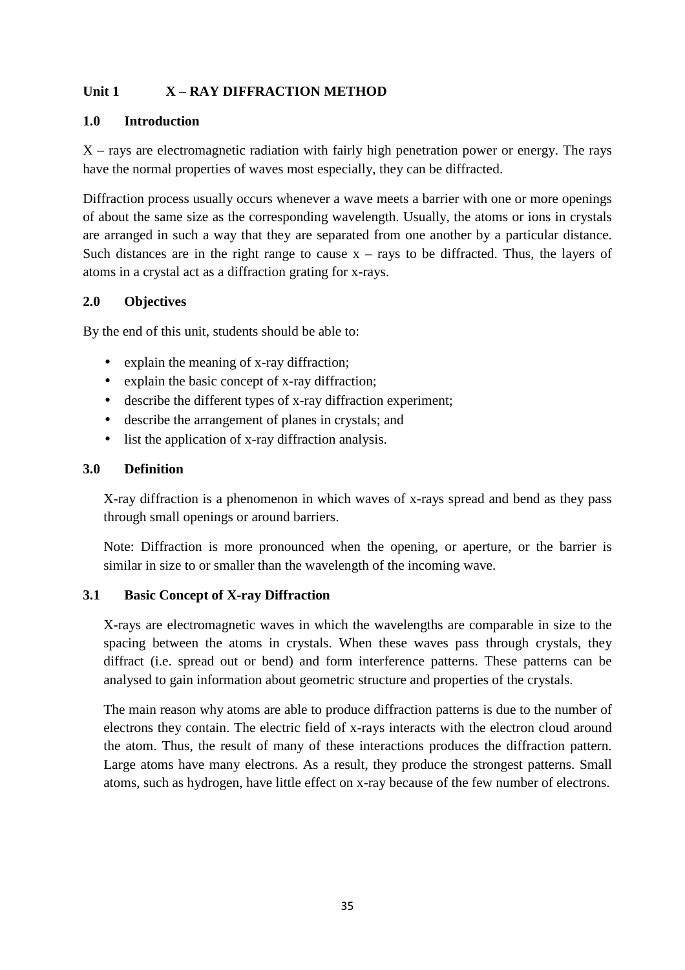#### **Unit 1 X – RAY DIFFRACTION METHOD**

#### **1.0 Introduction**

 $X$  – rays are electromagnetic radiation with fairly high penetration power or energy. The rays have the normal properties of waves most especially, they can be diffracted.

Diffraction process usually occurs whenever a wave meets a barrier with one or more openings of about the same size as the corresponding wavelength. Usually, the atoms or ions in crystals are arranged in such a way that they are separated from one another by a particular distance. Such distances are in the right range to cause  $x - rays$  to be diffracted. Thus, the layers of atoms in a crystal act as a diffraction grating for x-rays.

#### **2.0 Objectives**

By the end of this unit, students should be able to:

- explain the meaning of x-ray diffraction;
- explain the basic concept of x-ray diffraction;
- describe the different types of x-ray diffraction experiment;
- describe the arrangement of planes in crystals; and
- list the application of x-ray diffraction analysis.

#### **3.0 Definition**

X-ray diffraction is a phenomenon in which waves of x-rays spread and bend as they pass through small openings or around barriers.

Note: Diffraction is more pronounced when the opening, or aperture, or the barrier is similar in size to or smaller than the wavelength of the incoming wave.

#### **3.1 Basic Concept of X-ray Diffraction**

X-rays are electromagnetic waves in which the wavelengths are comparable in size to the spacing between the atoms in crystals. When these waves pass through crystals, they diffract (i.e. spread out or bend) and form interference patterns. These patterns can be analysed to gain information about geometric structure and properties of the crystals.

The main reason why atoms are able to produce diffraction patterns is due to the number of electrons they contain. The electric field of x-rays interacts with the electron cloud around the atom. Thus, the result of many of these interactions produces the diffraction pattern. Large atoms have many electrons. As a result, they produce the strongest patterns. Small atoms, such as hydrogen, have little effect on x-ray because of the few number of electrons.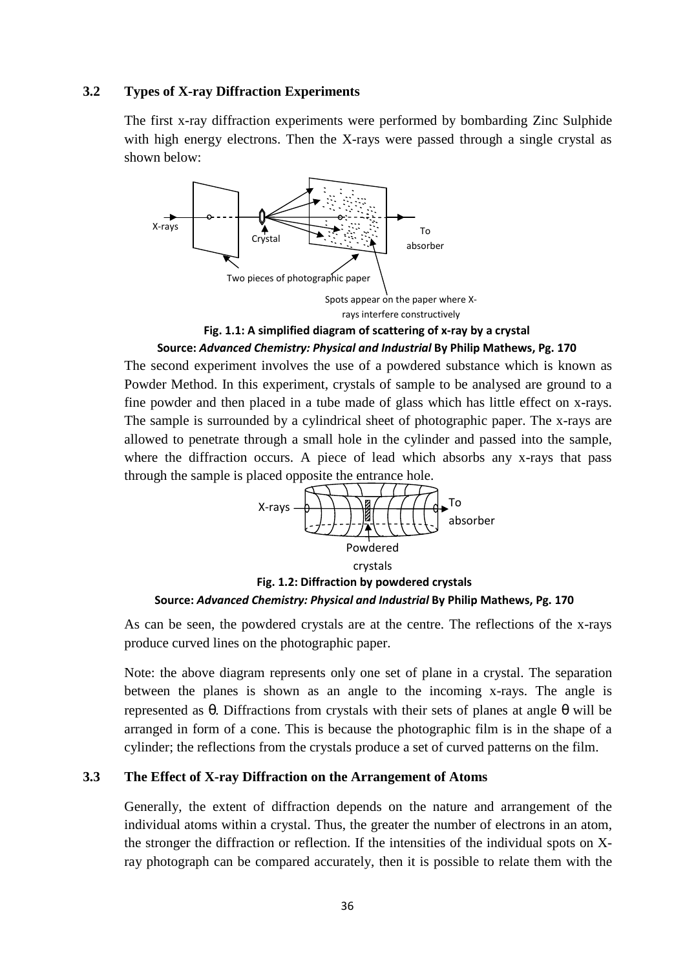#### **3.2 Types of X-ray Diffraction Experiments**

The first x-ray diffraction experiments were performed by bombarding Zinc Sulphide with high energy electrons. Then the X-rays were passed through a single crystal as shown below:



**Fig. 1.1: A simplified diagram of scattering of x-ray by a crystal**

#### **Source:** *Advanced Chemistry: Physical and Industrial* **By Philip Mathews, Pg. 170**

The second experiment involves the use of a powdered substance which is known as Powder Method. In this experiment, crystals of sample to be analysed are ground to a fine powder and then placed in a tube made of glass which has little effect on x-rays. The sample is surrounded by a cylindrical sheet of photographic paper. The x-rays are allowed to penetrate through a small hole in the cylinder and passed into the sample, where the diffraction occurs. A piece of lead which absorbs any x-rays that pass through the sample is placed opposite the entrance hole.





As can be seen, the powdered crystals are at the centre. The reflections of the x-rays produce curved lines on the photographic paper.

Note: the above diagram represents only one set of plane in a crystal. The separation between the planes is shown as an angle to the incoming x-rays. The angle is represented as θ. Diffractions from crystals with their sets of planes at angle θ will be arranged in form of a cone. This is because the photographic film is in the shape of a cylinder; the reflections from the crystals produce a set of curved patterns on the film.

#### **3.3 The Effect of X-ray Diffraction on the Arrangement of Atoms**

Generally, the extent of diffraction depends on the nature and arrangement of the individual atoms within a crystal. Thus, the greater the number of electrons in an atom, the stronger the diffraction or reflection. If the intensities of the individual spots on Xray photograph can be compared accurately, then it is possible to relate them with the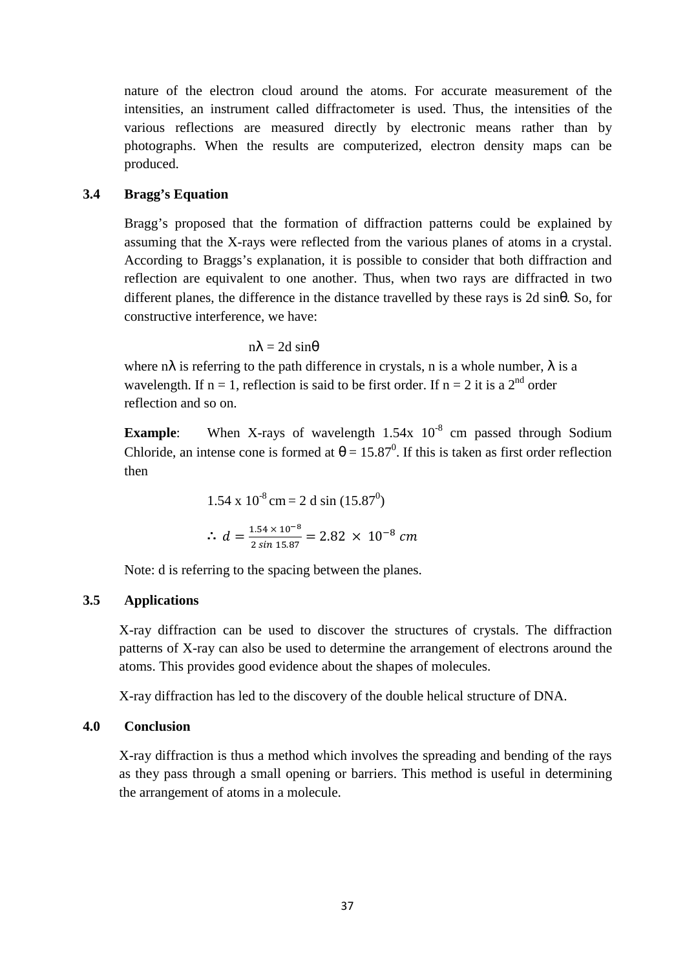nature of the electron cloud around the atoms. For accurate measurement of the intensities, an instrument called diffractometer is used. Thus, the intensities of the various reflections are measured directly by electronic means rather than by photographs. When the results are computerized, electron density maps can be produced.

#### **3.4 Bragg's Equation**

Bragg's proposed that the formation of diffraction patterns could be explained by assuming that the X-rays were reflected from the various planes of atoms in a crystal. According to Braggs's explanation, it is possible to consider that both diffraction and reflection are equivalent to one another. Thus, when two rays are diffracted in two different planes, the difference in the distance travelled by these rays is 2d sinθ. So, for constructive interference, we have:

 $nλ = 2d sin θ$ 

where  $n\lambda$  is referring to the path difference in crystals, n is a whole number,  $\lambda$  is a wavelength. If  $n = 1$ , reflection is said to be first order. If  $n = 2$  it is a  $2^{nd}$  order reflection and so on.

**Example**: When X-rays of wavelength 1.54x 10<sup>-8</sup> cm passed through Sodium Chloride, an intense cone is formed at  $\theta = 15.87^{\circ}$ . If this is taken as first order reflection then

1.54 x 10<sup>-8</sup> cm = 2 d sin (15.87<sup>0</sup>)  
\n
$$
\therefore d = \frac{1.54 \times 10^{-8}}{2 \sin 15.87} = 2.82 \times 10^{-8} cm
$$

Note: d is referring to the spacing between the planes.

# **3.5 Applications**

X-ray diffraction can be used to discover the structures of crystals. The diffraction patterns of X-ray can also be used to determine the arrangement of electrons around the atoms. This provides good evidence about the shapes of molecules.

X-ray diffraction has led to the discovery of the double helical structure of DNA.

# **4.0 Conclusion**

X-ray diffraction is thus a method which involves the spreading and bending of the rays as they pass through a small opening or barriers. This method is useful in determining the arrangement of atoms in a molecule.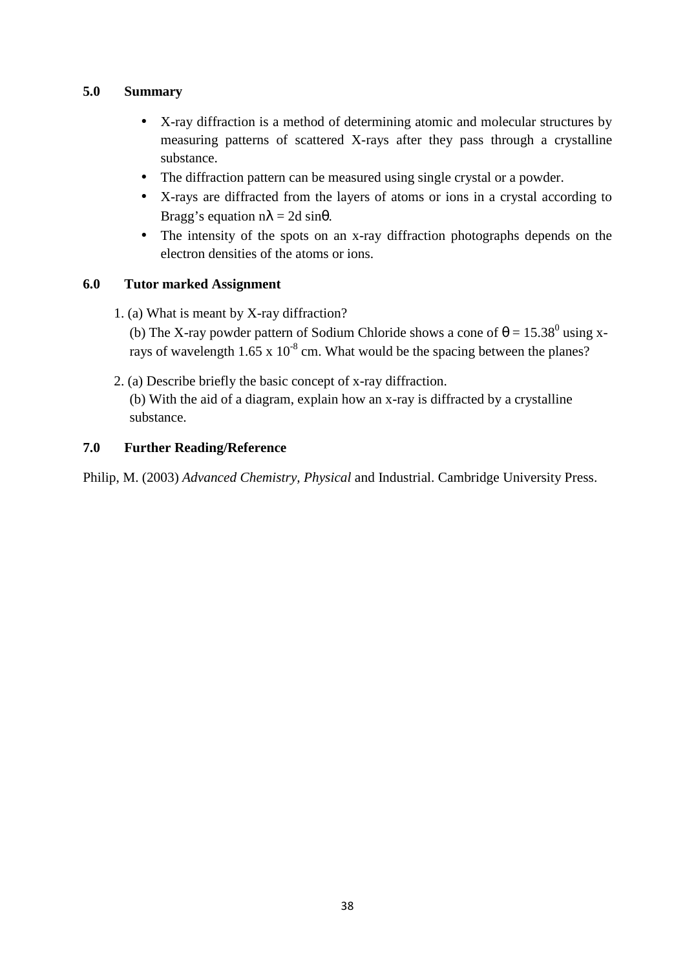# **5.0 Summary**

- X-ray diffraction is a method of determining atomic and molecular structures by measuring patterns of scattered X-rays after they pass through a crystalline substance.
- The diffraction pattern can be measured using single crystal or a powder.
- X-rays are diffracted from the layers of atoms or ions in a crystal according to Bragg's equation  $n\lambda = 2d \sin\theta$ .
- The intensity of the spots on an x-ray diffraction photographs depends on the electron densities of the atoms or ions.

# **6.0 Tutor marked Assignment**

1. (a) What is meant by X-ray diffraction?

(b) The X-ray powder pattern of Sodium Chloride shows a cone of  $\theta = 15.38^{\circ}$  using xrays of wavelength  $1.65 \times 10^{-8}$  cm. What would be the spacing between the planes?

2. (a) Describe briefly the basic concept of x-ray diffraction.

(b) With the aid of a diagram, explain how an x-ray is diffracted by a crystalline substance.

# **7.0 Further Reading/Reference**

Philip, M. (2003) *Advanced Chemistry, Physical* and Industrial. Cambridge University Press.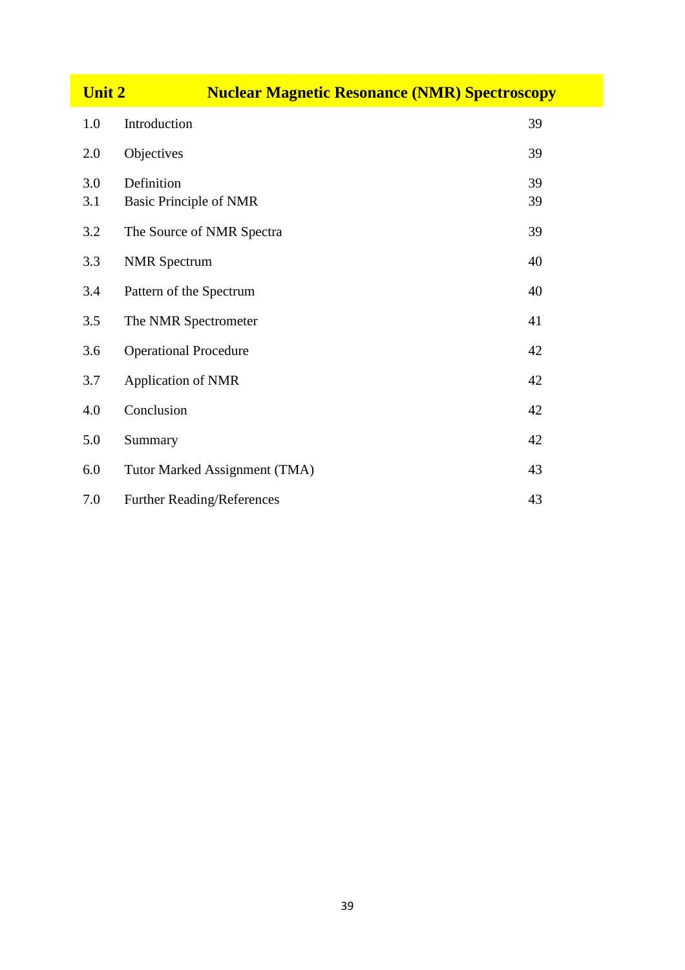| <b>Unit 2</b><br><b>Nuclear Magnetic Resonance (NMR) Spectroscopy</b> |                                             |          |
|-----------------------------------------------------------------------|---------------------------------------------|----------|
| 1.0                                                                   | Introduction                                | 39       |
| 2.0                                                                   | Objectives                                  | 39       |
| 3.0<br>3.1                                                            | Definition<br><b>Basic Principle of NMR</b> | 39<br>39 |
| 3.2                                                                   | The Source of NMR Spectra                   | 39       |
| 3.3                                                                   | <b>NMR</b> Spectrum                         | 40       |
| 3.4                                                                   | Pattern of the Spectrum                     | 40       |
| 3.5                                                                   | The NMR Spectrometer                        | 41       |
| 3.6                                                                   | <b>Operational Procedure</b>                | 42       |
| 3.7                                                                   | Application of NMR                          | 42       |
| 4.0                                                                   | Conclusion                                  | 42       |
| 5.0                                                                   | Summary                                     | 42       |
| 6.0                                                                   | Tutor Marked Assignment (TMA)               | 43       |
| 7.0                                                                   | Further Reading/References                  | 43       |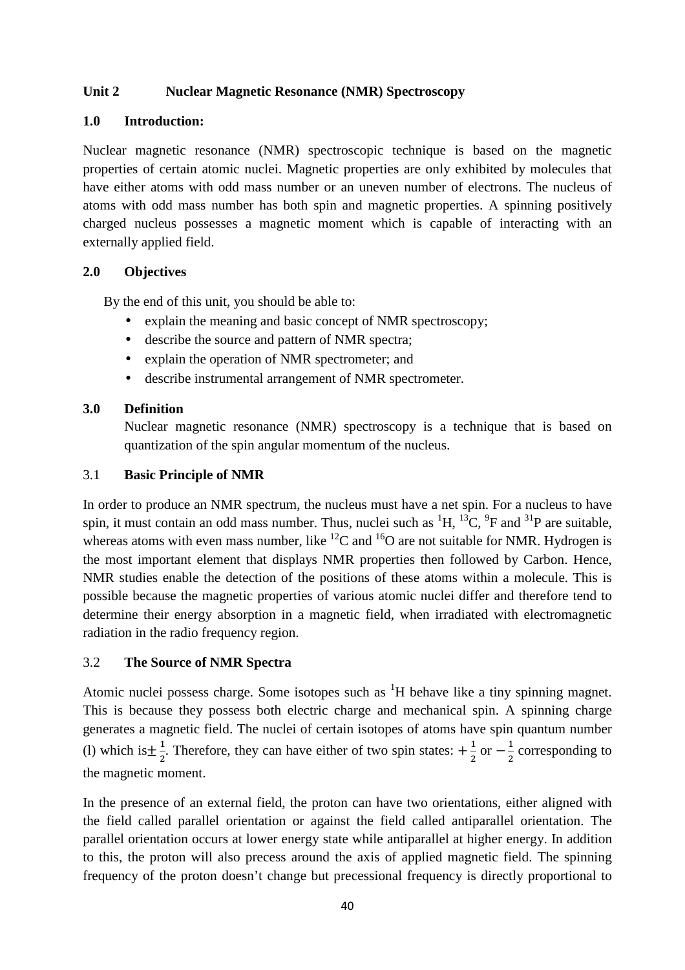#### **Unit 2 Nuclear Magnetic Resonance (NMR) Spectroscopy**

#### **1.0 Introduction:**

Nuclear magnetic resonance (NMR) spectroscopic technique is based on the magnetic properties of certain atomic nuclei. Magnetic properties are only exhibited by molecules that have either atoms with odd mass number or an uneven number of electrons. The nucleus of atoms with odd mass number has both spin and magnetic properties. A spinning positively charged nucleus possesses a magnetic moment which is capable of interacting with an externally applied field.

# **2.0 Objectives**

By the end of this unit, you should be able to:

- explain the meaning and basic concept of NMR spectroscopy;
- describe the source and pattern of NMR spectra;
- explain the operation of NMR spectrometer; and
- describe instrumental arrangement of NMR spectrometer.

#### **3.0 Definition**

Nuclear magnetic resonance (NMR) spectroscopy is a technique that is based on quantization of the spin angular momentum of the nucleus.

# 3.1 **Basic Principle of NMR**

In order to produce an NMR spectrum, the nucleus must have a net spin. For a nucleus to have spin, it must contain an odd mass number. Thus, nuclei such as  ${}^{1}H$ ,  ${}^{13}C$ ,  ${}^{9}F$  and  ${}^{31}P$  are suitable, whereas atoms with even mass number, like  ${}^{12}C$  and  ${}^{16}O$  are not suitable for NMR. Hydrogen is the most important element that displays NMR properties then followed by Carbon. Hence, NMR studies enable the detection of the positions of these atoms within a molecule. This is possible because the magnetic properties of various atomic nuclei differ and therefore tend to determine their energy absorption in a magnetic field, when irradiated with electromagnetic radiation in the radio frequency region.

# 3.2 **The Source of NMR Spectra**

Atomic nuclei possess charge. Some isotopes such as  ${}^{1}H$  behave like a tiny spinning magnet. This is because they possess both electric charge and mechanical spin. A spinning charge generates a magnetic field. The nuclei of certain isotopes of atoms have spin quantum number (1) which is  $\pm \frac{1}{2}$  $\frac{1}{2}$ . Therefore, they can have either of two spin states:  $+\frac{1}{2}$  $\frac{1}{2}$  or  $-\frac{1}{2}$  $\frac{1}{2}$  corresponding to the magnetic moment.

In the presence of an external field, the proton can have two orientations, either aligned with the field called parallel orientation or against the field called antiparallel orientation. The parallel orientation occurs at lower energy state while antiparallel at higher energy. In addition to this, the proton will also precess around the axis of applied magnetic field. The spinning frequency of the proton doesn't change but precessional frequency is directly proportional to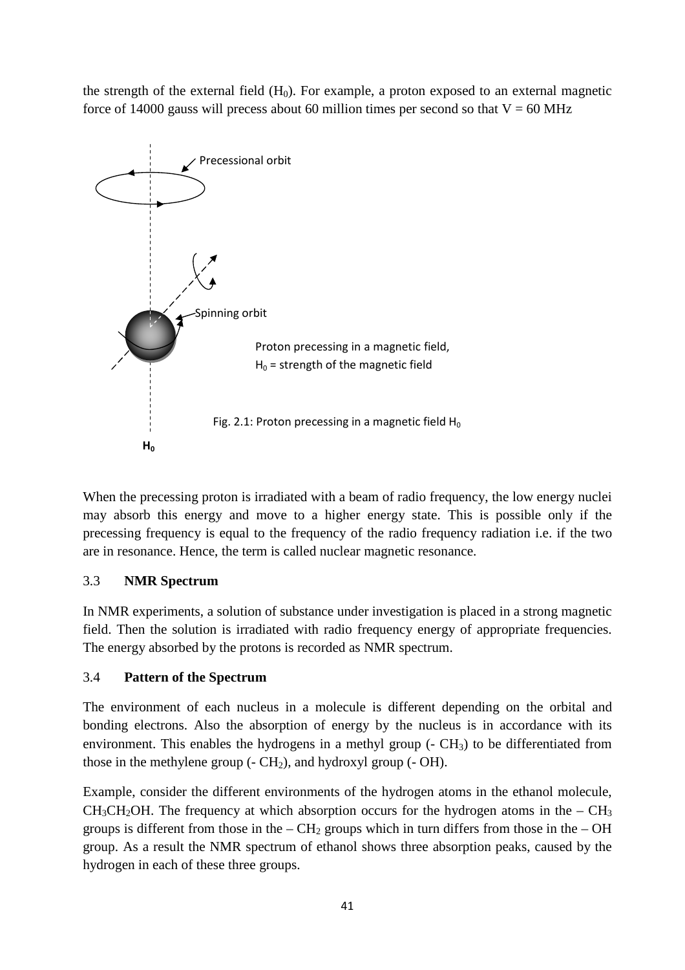the strength of the external field  $(H_0)$ . For example, a proton exposed to an external magnetic force of 14000 gauss will precess about 60 million times per second so that  $V = 60$  MHz



When the precessing proton is irradiated with a beam of radio frequency, the low energy nuclei may absorb this energy and move to a higher energy state. This is possible only if the precessing frequency is equal to the frequency of the radio frequency radiation i.e. if the two are in resonance. Hence, the term is called nuclear magnetic resonance.

# 3.3 **NMR Spectrum**

In NMR experiments, a solution of substance under investigation is placed in a strong magnetic field. Then the solution is irradiated with radio frequency energy of appropriate frequencies. The energy absorbed by the protons is recorded as NMR spectrum.

#### 3.4 **Pattern of the Spectrum**

The environment of each nucleus in a molecule is different depending on the orbital and bonding electrons. Also the absorption of energy by the nucleus is in accordance with its environment. This enables the hydrogens in a methyl group  $(-CH_3)$  to be differentiated from those in the methylene group  $(-CH<sub>2</sub>)$ , and hydroxyl group  $(-OH)$ .

Example, consider the different environments of the hydrogen atoms in the ethanol molecule,  $CH<sub>3</sub>CH<sub>2</sub>OH$ . The frequency at which absorption occurs for the hydrogen atoms in the –  $CH<sub>3</sub>$ groups is different from those in the –  $CH<sub>2</sub>$  groups which in turn differs from those in the – OH group. As a result the NMR spectrum of ethanol shows three absorption peaks, caused by the hydrogen in each of these three groups.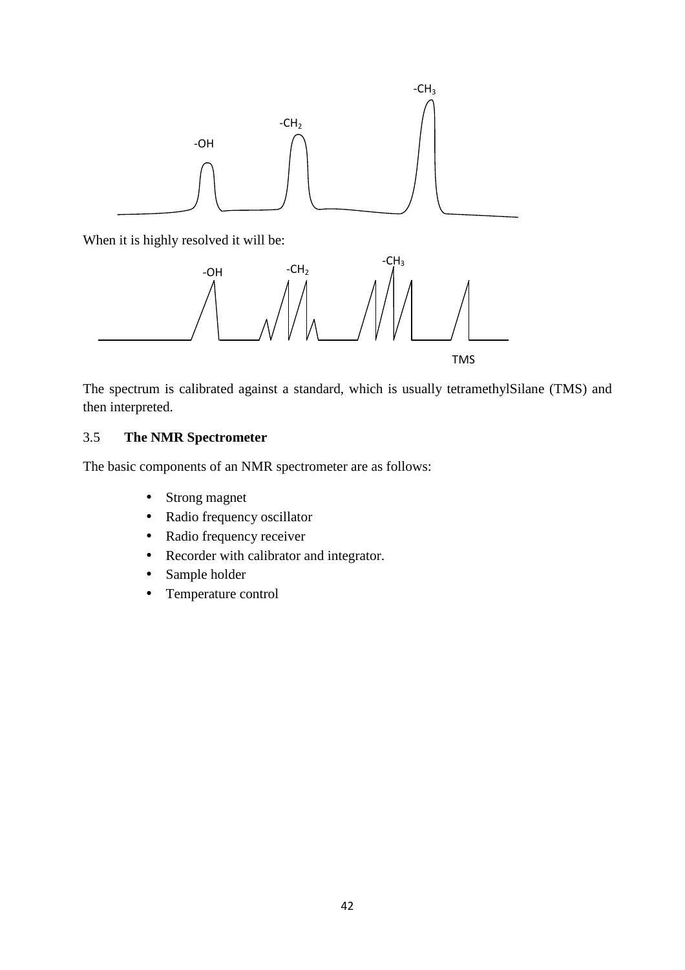

When it is highly resolved it will be:



The spectrum is calibrated against a standard, which is usually tetramethylSilane (TMS) and then interpreted.

# 3.5 **The NMR Spectrometer**

The basic components of an NMR spectrometer are as follows:

- Strong magnet
- Radio frequency oscillator
- Radio frequency receiver
- Recorder with calibrator and integrator.
- Sample holder
- Temperature control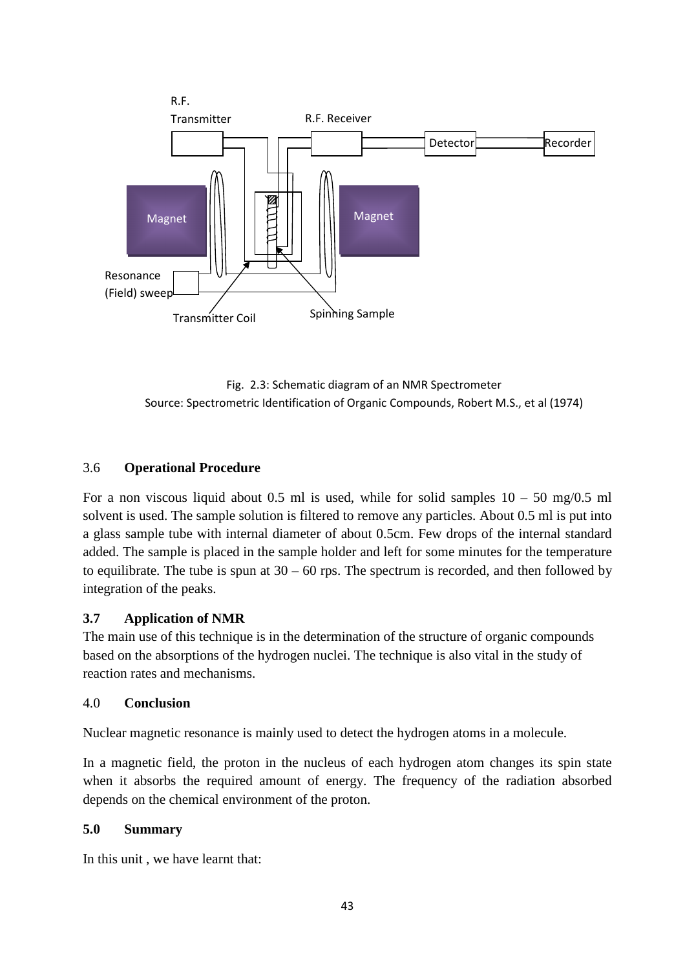

Fig. 2.3: Schematic diagram of an NMR Spectrometer Source: Spectrometric Identification of Organic Compounds, Robert M.S., et al (1974)

#### 3.6 **Operational Procedure**

For a non viscous liquid about 0.5 ml is used, while for solid samples  $10 - 50$  mg/0.5 ml solvent is used. The sample solution is filtered to remove any particles. About 0.5 ml is put into a glass sample tube with internal diameter of about 0.5cm. Few drops of the internal standard added. The sample is placed in the sample holder and left for some minutes for the temperature to equilibrate. The tube is spun at  $30 - 60$  rps. The spectrum is recorded, and then followed by integration of the peaks.

#### **3.7 Application of NMR**

The main use of this technique is in the determination of the structure of organic compounds based on the absorptions of the hydrogen nuclei. The technique is also vital in the study of reaction rates and mechanisms.

#### 4.0 **Conclusion**

Nuclear magnetic resonance is mainly used to detect the hydrogen atoms in a molecule.

In a magnetic field, the proton in the nucleus of each hydrogen atom changes its spin state when it absorbs the required amount of energy. The frequency of the radiation absorbed depends on the chemical environment of the proton.

#### **5.0 Summary**

In this unit , we have learnt that: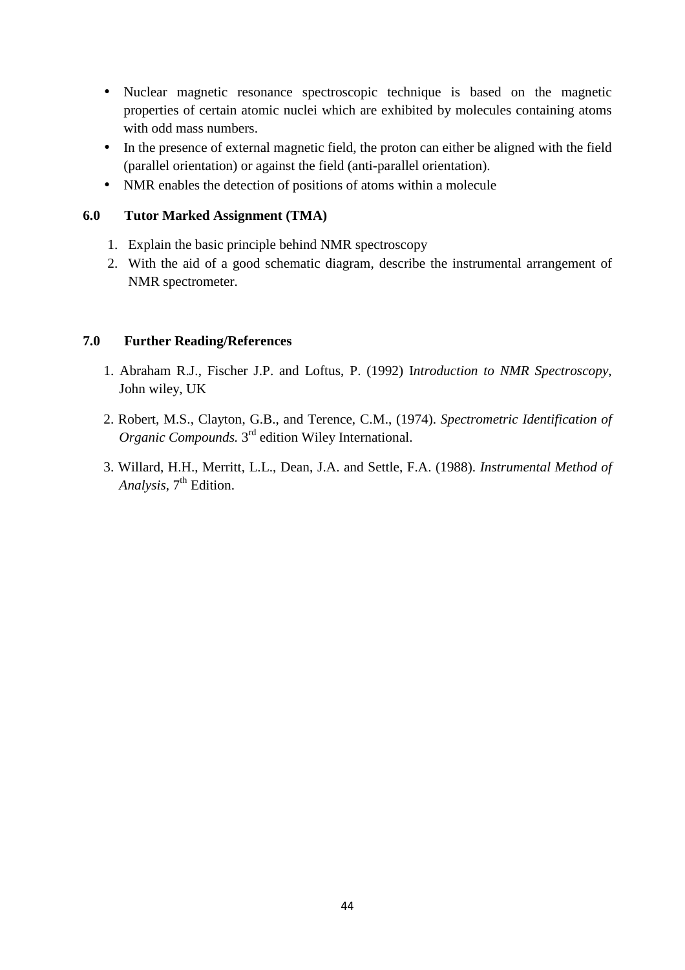- Nuclear magnetic resonance spectroscopic technique is based on the magnetic properties of certain atomic nuclei which are exhibited by molecules containing atoms with odd mass numbers.
- In the presence of external magnetic field, the proton can either be aligned with the field (parallel orientation) or against the field (anti-parallel orientation).
- NMR enables the detection of positions of atoms within a molecule

# **6.0 Tutor Marked Assignment (TMA)**

- 1. Explain the basic principle behind NMR spectroscopy
- 2. With the aid of a good schematic diagram, describe the instrumental arrangement of NMR spectrometer.

#### **7.0 Further Reading/References**

- 1. Abraham R.J., Fischer J.P. and Loftus, P. (1992) I*ntroduction to NMR Spectroscopy*, John wiley, UK
- 2. Robert, M.S., Clayton, G.B., and Terence, C.M., (1974). *Spectrometric Identification of*  Organic Compounds. 3<sup>rd</sup> edition Wiley International.
- 3. Willard, H.H., Merritt, L.L., Dean, J.A. and Settle, F.A. (1988). *Instrumental Method of*  Analysis, 7<sup>th</sup> Edition.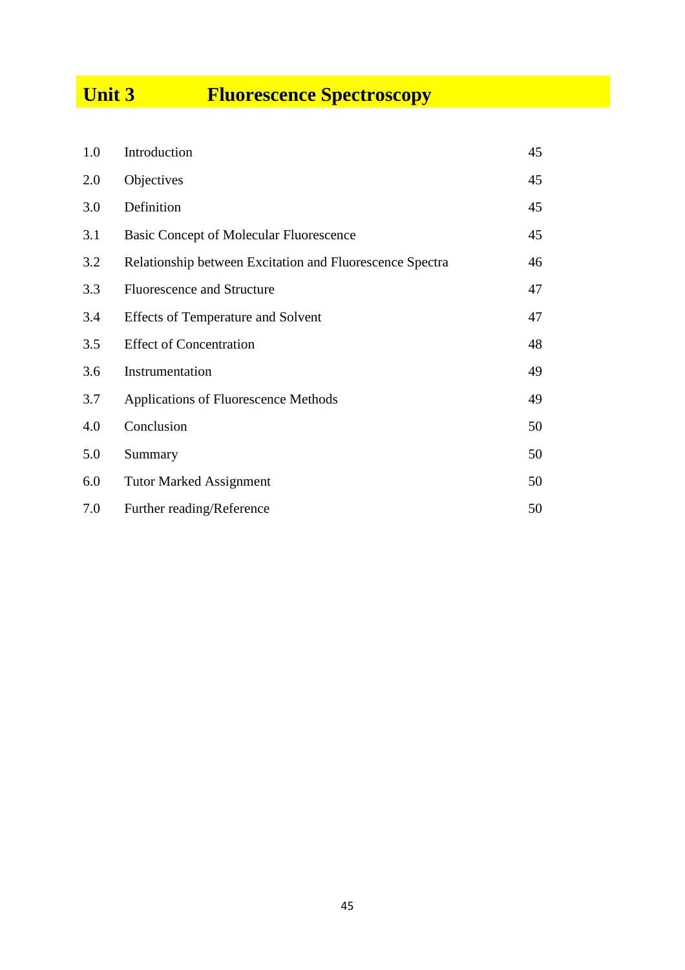# **Unit 3 Fluorescence Spectroscopy**

| 1.0 | Introduction                                             | 45 |
|-----|----------------------------------------------------------|----|
| 2.0 | Objectives                                               | 45 |
| 3.0 | Definition                                               | 45 |
| 3.1 | <b>Basic Concept of Molecular Fluorescence</b>           | 45 |
| 3.2 | Relationship between Excitation and Fluorescence Spectra | 46 |
| 3.3 | <b>Fluorescence and Structure</b>                        | 47 |
| 3.4 | <b>Effects of Temperature and Solvent</b>                | 47 |
| 3.5 | <b>Effect of Concentration</b>                           | 48 |
| 3.6 | Instrumentation                                          | 49 |
| 3.7 | Applications of Fluorescence Methods                     | 49 |
| 4.0 | Conclusion                                               | 50 |
| 5.0 | Summary                                                  | 50 |
| 6.0 | <b>Tutor Marked Assignment</b>                           | 50 |
| 7.0 | Further reading/Reference                                | 50 |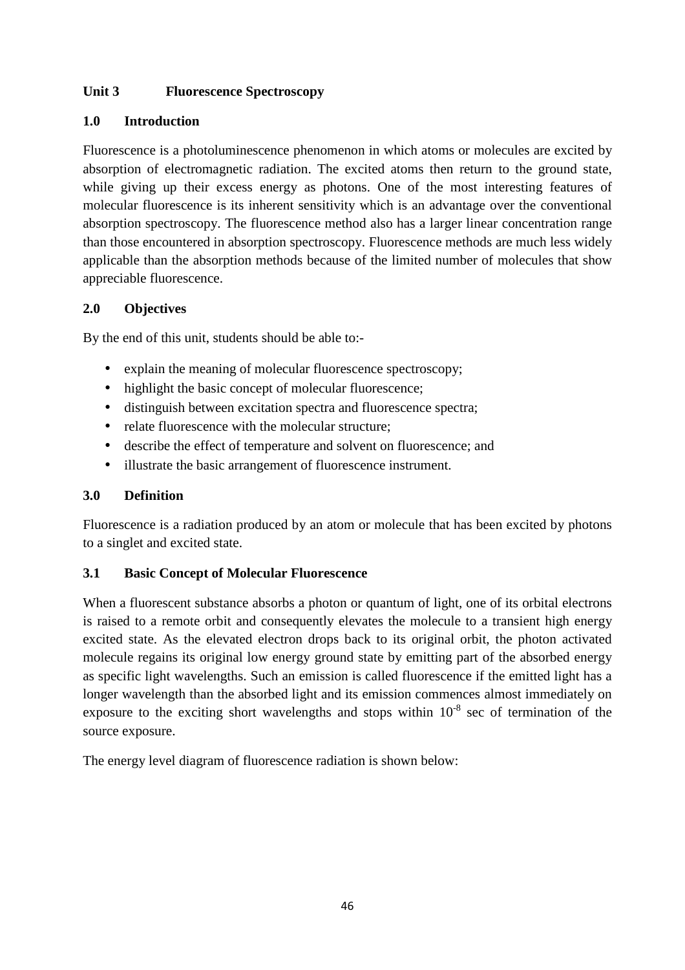# **Unit 3 Fluorescence Spectroscopy**

# **1.0 Introduction**

Fluorescence is a photoluminescence phenomenon in which atoms or molecules are excited by absorption of electromagnetic radiation. The excited atoms then return to the ground state, while giving up their excess energy as photons. One of the most interesting features of molecular fluorescence is its inherent sensitivity which is an advantage over the conventional absorption spectroscopy. The fluorescence method also has a larger linear concentration range than those encountered in absorption spectroscopy. Fluorescence methods are much less widely applicable than the absorption methods because of the limited number of molecules that show appreciable fluorescence.

# **2.0 Objectives**

By the end of this unit, students should be able to:-

- explain the meaning of molecular fluorescence spectroscopy;
- highlight the basic concept of molecular fluorescence;
- distinguish between excitation spectra and fluorescence spectra;
- relate fluorescence with the molecular structure:
- describe the effect of temperature and solvent on fluorescence; and
- illustrate the basic arrangement of fluorescence instrument.

# **3.0 Definition**

Fluorescence is a radiation produced by an atom or molecule that has been excited by photons to a singlet and excited state.

# **3.1 Basic Concept of Molecular Fluorescence**

When a fluorescent substance absorbs a photon or quantum of light, one of its orbital electrons is raised to a remote orbit and consequently elevates the molecule to a transient high energy excited state. As the elevated electron drops back to its original orbit, the photon activated molecule regains its original low energy ground state by emitting part of the absorbed energy as specific light wavelengths. Such an emission is called fluorescence if the emitted light has a longer wavelength than the absorbed light and its emission commences almost immediately on exposure to the exciting short wavelengths and stops within  $10^{-8}$  sec of termination of the source exposure.

The energy level diagram of fluorescence radiation is shown below: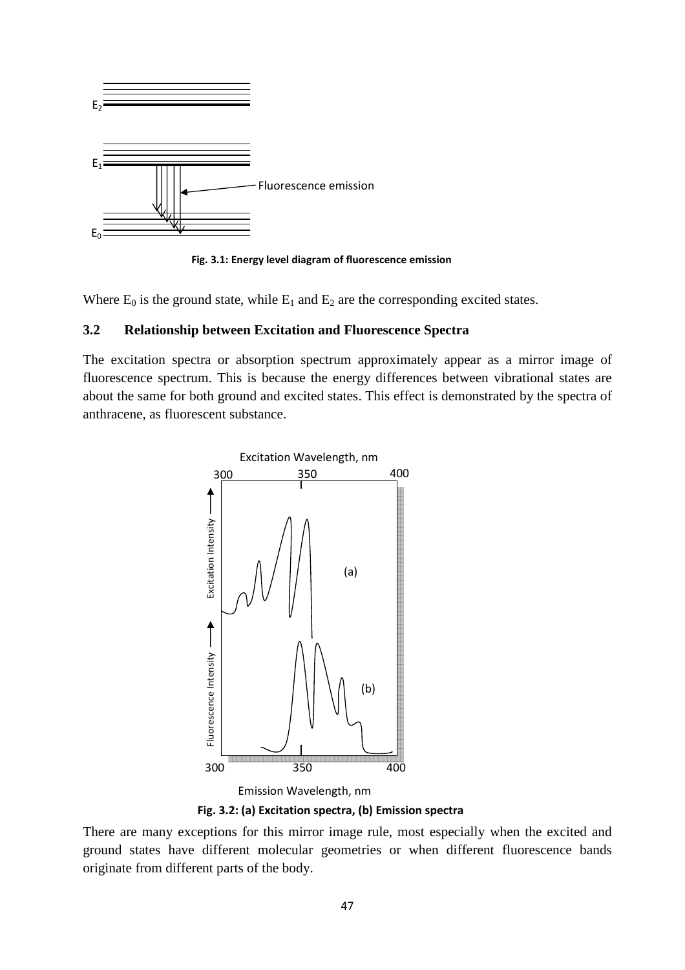

**Fig. 3.1: Energy level diagram of fluorescence emission** 

Where  $E_0$  is the ground state, while  $E_1$  and  $E_2$  are the corresponding excited states.

#### **3.2 Relationship between Excitation and Fluorescence Spectra**

The excitation spectra or absorption spectrum approximately appear as a mirror image of fluorescence spectrum. This is because the energy differences between vibrational states are about the same for both ground and excited states. This effect is demonstrated by the spectra of anthracene, as fluorescent substance.



**Fig. 3.2: (a) Excitation spectra, (b) Emission spectra**

There are many exceptions for this mirror image rule, most especially when the excited and ground states have different molecular geometries or when different fluorescence bands originate from different parts of the body.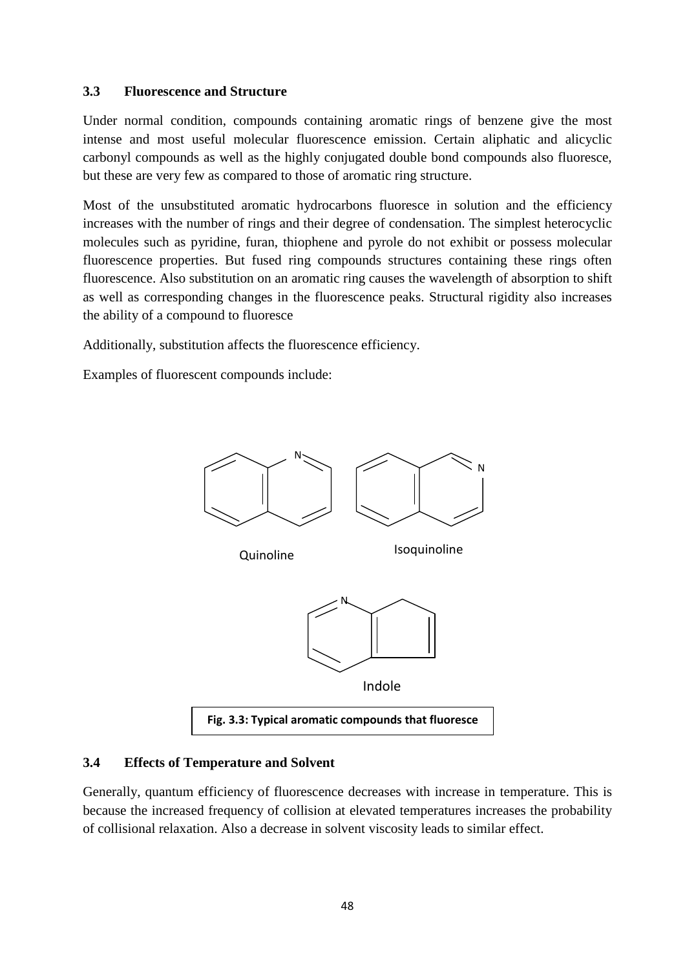#### **3.3 Fluorescence and Structure**

Under normal condition, compounds containing aromatic rings of benzene give the most intense and most useful molecular fluorescence emission. Certain aliphatic and alicyclic carbonyl compounds as well as the highly conjugated double bond compounds also fluoresce, but these are very few as compared to those of aromatic ring structure.

Most of the unsubstituted aromatic hydrocarbons fluoresce in solution and the efficiency increases with the number of rings and their degree of condensation. The simplest heterocyclic molecules such as pyridine, furan, thiophene and pyrole do not exhibit or possess molecular fluorescence properties. But fused ring compounds structures containing these rings often fluorescence. Also substitution on an aromatic ring causes the wavelength of absorption to shift as well as corresponding changes in the fluorescence peaks. Structural rigidity also increases the ability of a compound to fluoresce

Additionally, substitution affects the fluorescence efficiency.

Examples of fluorescent compounds include:



# **3.4 Effects of Temperature and Solvent**

Generally, quantum efficiency of fluorescence decreases with increase in temperature. This is because the increased frequency of collision at elevated temperatures increases the probability of collisional relaxation. Also a decrease in solvent viscosity leads to similar effect.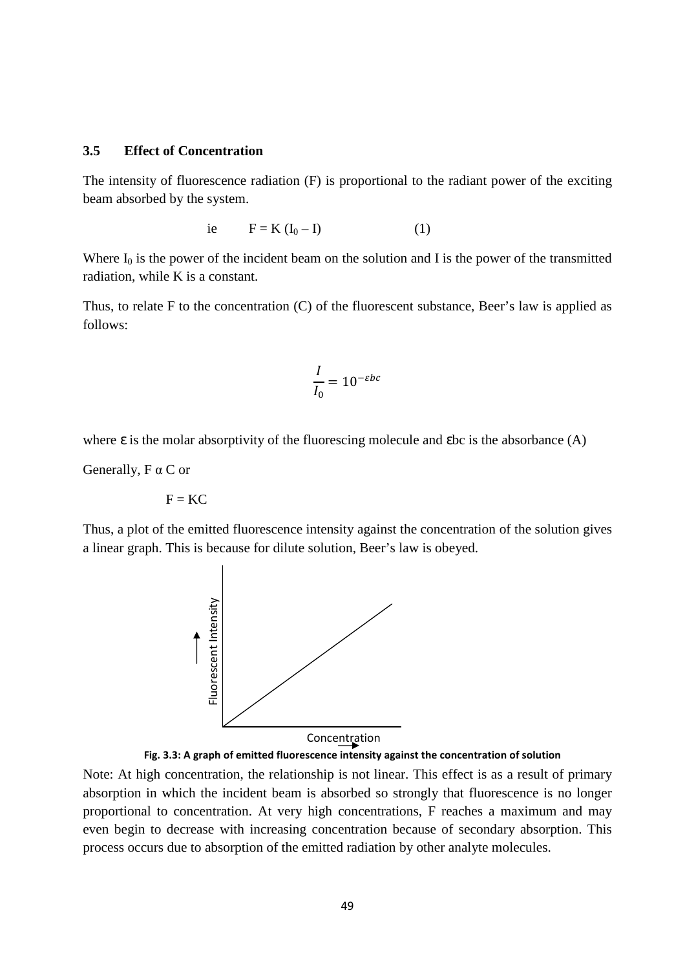#### **3.5 Effect of Concentration**

The intensity of fluorescence radiation (F) is proportional to the radiant power of the exciting beam absorbed by the system.

$$
i\mathbf{e} \qquad \mathbf{F} = \mathbf{K} \left( \mathbf{I}_0 - \mathbf{I} \right) \tag{1}
$$

Where  $I_0$  is the power of the incident beam on the solution and I is the power of the transmitted radiation, while K is a constant.

Thus, to relate F to the concentration (C) of the fluorescent substance, Beer's law is applied as follows:

$$
\frac{I}{I_0} = 10^{-\varepsilon bc}
$$

where  $\varepsilon$  is the molar absorptivity of the fluorescing molecule and  $\varepsilon$  bc is the absorbance (A)

Generally, F α C or

$$
\mathbf{F} = \mathbf{K}\mathbf{C}
$$

Thus, a plot of the emitted fluorescence intensity against the concentration of the solution gives a linear graph. This is because for dilute solution, Beer's law is obeyed.





Note: At high concentration, the relationship is not linear. This effect is as a result of primary absorption in which the incident beam is absorbed so strongly that fluorescence is no longer proportional to concentration. At very high concentrations, F reaches a maximum and may even begin to decrease with increasing concentration because of secondary absorption. This process occurs due to absorption of the emitted radiation by other analyte molecules.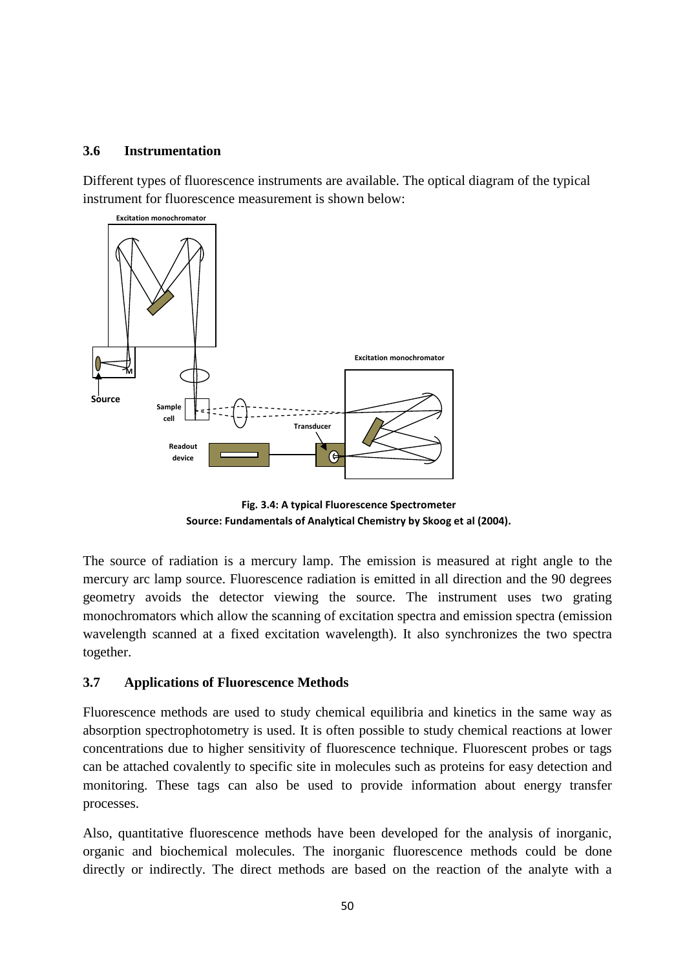#### **3.6 Instrumentation**

Different types of fluorescence instruments are available. The optical diagram of the typical instrument for fluorescence measurement is shown below:



**Fig. 3.4: A typical Fluorescence Spectrometer Source: Fundamentals of Analytical Chemistry by Skoog et al (2004).** 

The source of radiation is a mercury lamp. The emission is measured at right angle to the mercury arc lamp source. Fluorescence radiation is emitted in all direction and the 90 degrees geometry avoids the detector viewing the source. The instrument uses two grating monochromators which allow the scanning of excitation spectra and emission spectra (emission wavelength scanned at a fixed excitation wavelength). It also synchronizes the two spectra together.

# **3.7 Applications of Fluorescence Methods**

Fluorescence methods are used to study chemical equilibria and kinetics in the same way as absorption spectrophotometry is used. It is often possible to study chemical reactions at lower concentrations due to higher sensitivity of fluorescence technique. Fluorescent probes or tags can be attached covalently to specific site in molecules such as proteins for easy detection and monitoring. These tags can also be used to provide information about energy transfer processes.

Also, quantitative fluorescence methods have been developed for the analysis of inorganic, organic and biochemical molecules. The inorganic fluorescence methods could be done directly or indirectly. The direct methods are based on the reaction of the analyte with a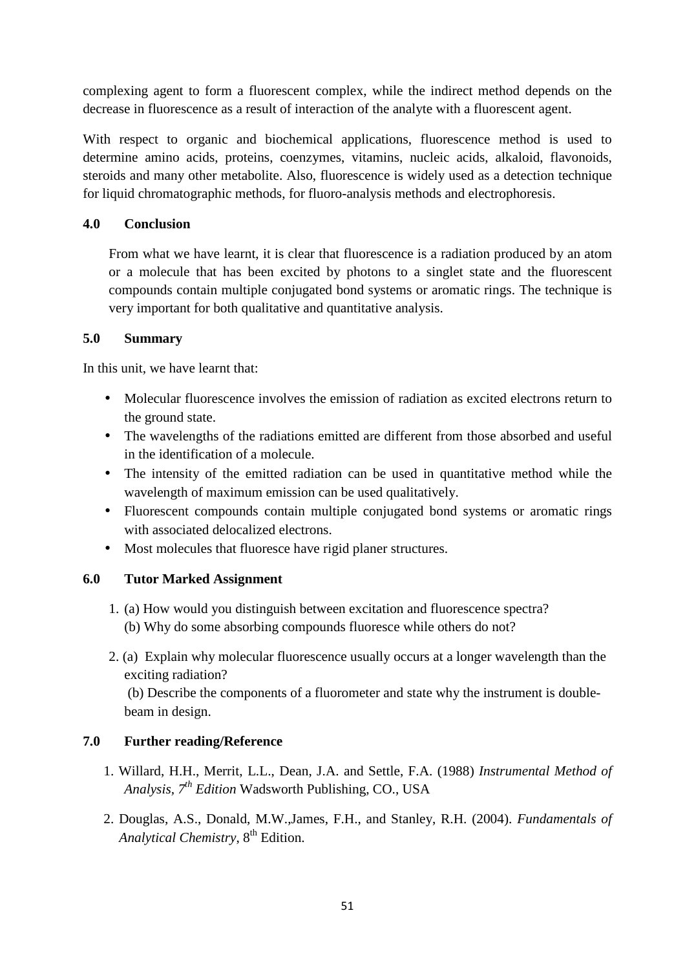complexing agent to form a fluorescent complex, while the indirect method depends on the decrease in fluorescence as a result of interaction of the analyte with a fluorescent agent.

With respect to organic and biochemical applications, fluorescence method is used to determine amino acids, proteins, coenzymes, vitamins, nucleic acids, alkaloid, flavonoids, steroids and many other metabolite. Also, fluorescence is widely used as a detection technique for liquid chromatographic methods, for fluoro-analysis methods and electrophoresis.

#### **4.0 Conclusion**

From what we have learnt, it is clear that fluorescence is a radiation produced by an atom or a molecule that has been excited by photons to a singlet state and the fluorescent compounds contain multiple conjugated bond systems or aromatic rings. The technique is very important for both qualitative and quantitative analysis.

#### **5.0 Summary**

In this unit, we have learnt that:

- Molecular fluorescence involves the emission of radiation as excited electrons return to the ground state.
- The wavelengths of the radiations emitted are different from those absorbed and useful in the identification of a molecule.
- The intensity of the emitted radiation can be used in quantitative method while the wavelength of maximum emission can be used qualitatively.
- Fluorescent compounds contain multiple conjugated bond systems or aromatic rings with associated delocalized electrons.
- Most molecules that fluoresce have rigid planer structures.

# **6.0 Tutor Marked Assignment**

- 1. (a) How would you distinguish between excitation and fluorescence spectra? (b) Why do some absorbing compounds fluoresce while others do not?
- 2. (a) Explain why molecular fluorescence usually occurs at a longer wavelength than the exciting radiation?

 (b) Describe the components of a fluorometer and state why the instrument is doublebeam in design.

# **7.0 Further reading/Reference**

- 1. Willard, H.H., Merrit, L.L., Dean, J.A. and Settle, F.A. (1988) *Instrumental Method of Analysis, 7th Edition* Wadsworth Publishing, CO., USA
- 2. Douglas, A.S., Donald, M.W.,James, F.H., and Stanley, R.H. (2004). *Fundamentals of Analytical Chemistry*,  $8<sup>th</sup>$  Edition.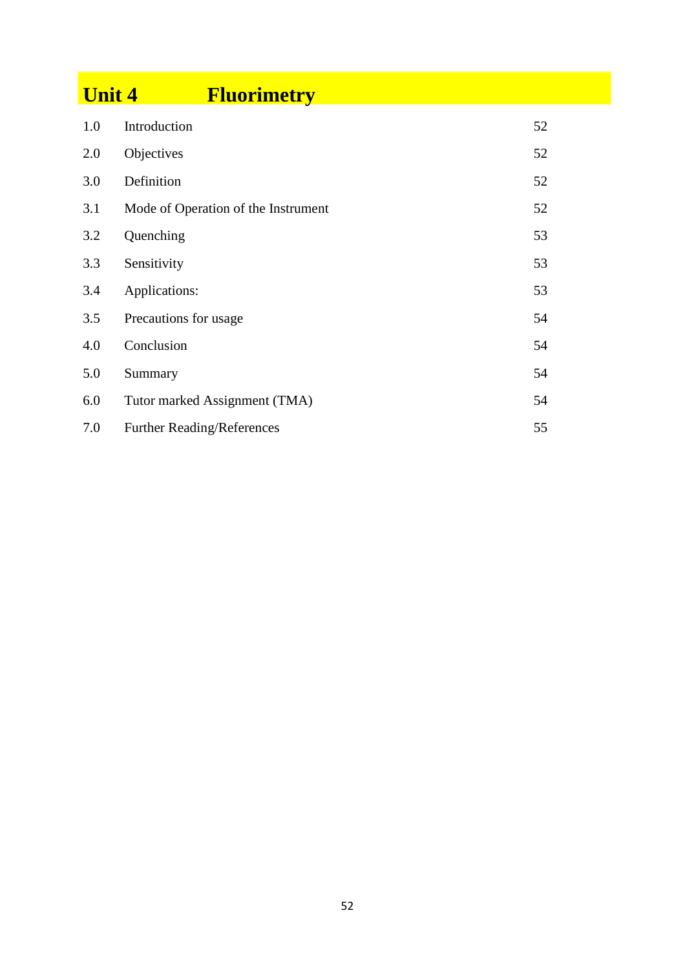| <b>Unit 4</b> | <b>Fluorimetry</b>                  |    |
|---------------|-------------------------------------|----|
| 1.0           | Introduction                        | 52 |
| 2.0           | Objectives                          | 52 |
| 3.0           | Definition                          | 52 |
| 3.1           | Mode of Operation of the Instrument | 52 |
| 3.2           | Quenching                           | 53 |
| 3.3           | Sensitivity                         | 53 |
| 3.4           | Applications:                       | 53 |
| 3.5           | Precautions for usage               | 54 |
| 4.0           | Conclusion                          | 54 |
| 5.0           | Summary                             | 54 |
| 6.0           | Tutor marked Assignment (TMA)       | 54 |
| 7.0           | <b>Further Reading/References</b>   | 55 |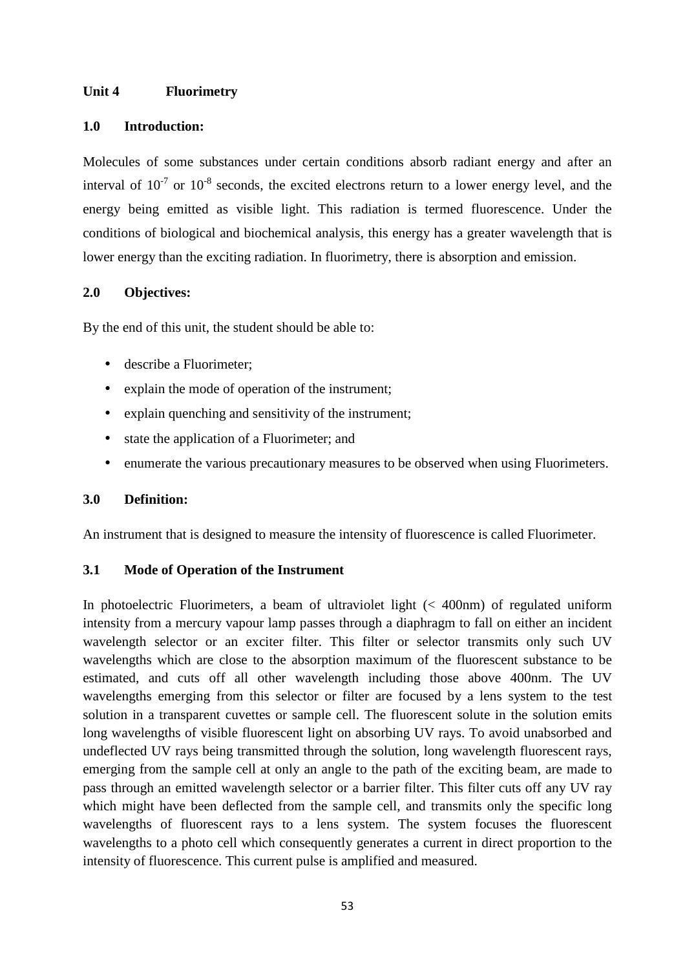#### **Unit 4 Fluorimetry**

#### **1.0 Introduction:**

Molecules of some substances under certain conditions absorb radiant energy and after an interval of  $10^{-7}$  or  $10^{-8}$  seconds, the excited electrons return to a lower energy level, and the energy being emitted as visible light. This radiation is termed fluorescence. Under the conditions of biological and biochemical analysis, this energy has a greater wavelength that is lower energy than the exciting radiation. In fluorimetry, there is absorption and emission.

#### **2.0 Objectives:**

By the end of this unit, the student should be able to:

- describe a Fluorimeter:
- explain the mode of operation of the instrument;
- explain quenching and sensitivity of the instrument:
- state the application of a Fluorimeter; and
- enumerate the various precautionary measures to be observed when using Fluorimeters.

# **3.0 Definition:**

An instrument that is designed to measure the intensity of fluorescence is called Fluorimeter.

# **3.1 Mode of Operation of the Instrument**

In photoelectric Fluorimeters, a beam of ultraviolet light (< 400nm) of regulated uniform intensity from a mercury vapour lamp passes through a diaphragm to fall on either an incident wavelength selector or an exciter filter. This filter or selector transmits only such UV wavelengths which are close to the absorption maximum of the fluorescent substance to be estimated, and cuts off all other wavelength including those above 400nm. The UV wavelengths emerging from this selector or filter are focused by a lens system to the test solution in a transparent cuvettes or sample cell. The fluorescent solute in the solution emits long wavelengths of visible fluorescent light on absorbing UV rays. To avoid unabsorbed and undeflected UV rays being transmitted through the solution, long wavelength fluorescent rays, emerging from the sample cell at only an angle to the path of the exciting beam, are made to pass through an emitted wavelength selector or a barrier filter. This filter cuts off any UV ray which might have been deflected from the sample cell, and transmits only the specific long wavelengths of fluorescent rays to a lens system. The system focuses the fluorescent wavelengths to a photo cell which consequently generates a current in direct proportion to the intensity of fluorescence. This current pulse is amplified and measured.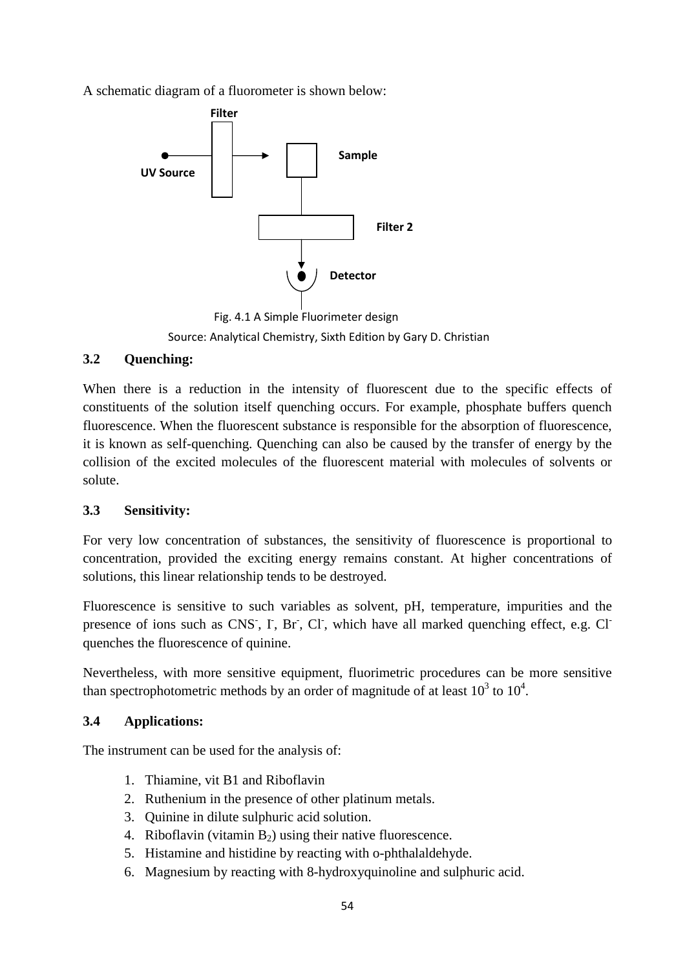A schematic diagram of a fluorometer is shown below:



Fig. 4.1 A Simple Fluorimeter design Source: Analytical Chemistry, Sixth Edition by Gary D. Christian

# **3.2 Quenching:**

When there is a reduction in the intensity of fluorescent due to the specific effects of constituents of the solution itself quenching occurs. For example, phosphate buffers quench fluorescence. When the fluorescent substance is responsible for the absorption of fluorescence, it is known as self-quenching. Quenching can also be caused by the transfer of energy by the collision of the excited molecules of the fluorescent material with molecules of solvents or solute.

# **3.3 Sensitivity:**

For very low concentration of substances, the sensitivity of fluorescence is proportional to concentration, provided the exciting energy remains constant. At higher concentrations of solutions, this linear relationship tends to be destroyed.

Fluorescence is sensitive to such variables as solvent, pH, temperature, impurities and the presence of ions such as CNS, I, Br, Cl, which have all marked quenching effect, e.g. Cl quenches the fluorescence of quinine.

Nevertheless, with more sensitive equipment, fluorimetric procedures can be more sensitive than spectrophotometric methods by an order of magnitude of at least  $10^3$  to  $10^4$ .

# **3.4 Applications:**

The instrument can be used for the analysis of:

- 1. Thiamine, vit B1 and Riboflavin
- 2. Ruthenium in the presence of other platinum metals.
- 3. Quinine in dilute sulphuric acid solution.
- 4. Riboflavin (vitamin  $B_2$ ) using their native fluorescence.
- 5. Histamine and histidine by reacting with o-phthalaldehyde.
- 6. Magnesium by reacting with 8-hydroxyquinoline and sulphuric acid.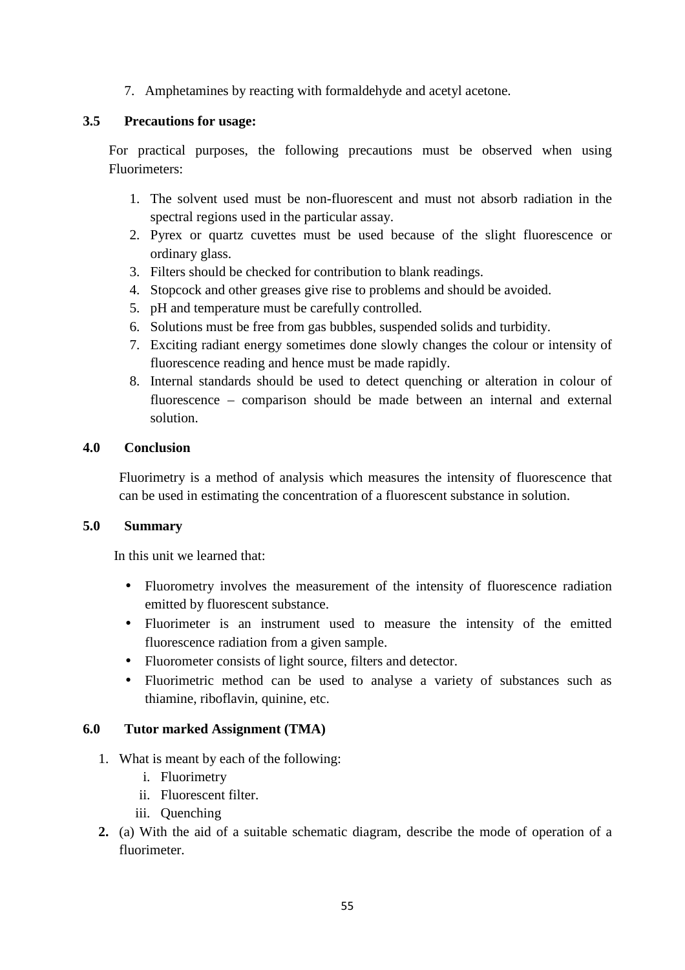7. Amphetamines by reacting with formaldehyde and acetyl acetone.

#### **3.5 Precautions for usage:**

For practical purposes, the following precautions must be observed when using Fluorimeters:

- 1. The solvent used must be non-fluorescent and must not absorb radiation in the spectral regions used in the particular assay.
- 2. Pyrex or quartz cuvettes must be used because of the slight fluorescence or ordinary glass.
- 3. Filters should be checked for contribution to blank readings.
- 4. Stopcock and other greases give rise to problems and should be avoided.
- 5. pH and temperature must be carefully controlled.
- 6. Solutions must be free from gas bubbles, suspended solids and turbidity.
- 7. Exciting radiant energy sometimes done slowly changes the colour or intensity of fluorescence reading and hence must be made rapidly.
- 8. Internal standards should be used to detect quenching or alteration in colour of fluorescence – comparison should be made between an internal and external solution.

#### **4.0 Conclusion**

Fluorimetry is a method of analysis which measures the intensity of fluorescence that can be used in estimating the concentration of a fluorescent substance in solution.

#### **5.0 Summary**

In this unit we learned that:

- Fluorometry involves the measurement of the intensity of fluorescence radiation emitted by fluorescent substance.
- Fluorimeter is an instrument used to measure the intensity of the emitted fluorescence radiation from a given sample.
- Fluorometer consists of light source, filters and detector.
- Fluorimetric method can be used to analyse a variety of substances such as thiamine, riboflavin, quinine, etc.

# **6.0 Tutor marked Assignment (TMA)**

- 1. What is meant by each of the following:
	- i. Fluorimetry
	- ii. Fluorescent filter.
	- iii. Quenching
- **2.** (a) With the aid of a suitable schematic diagram, describe the mode of operation of a fluorimeter.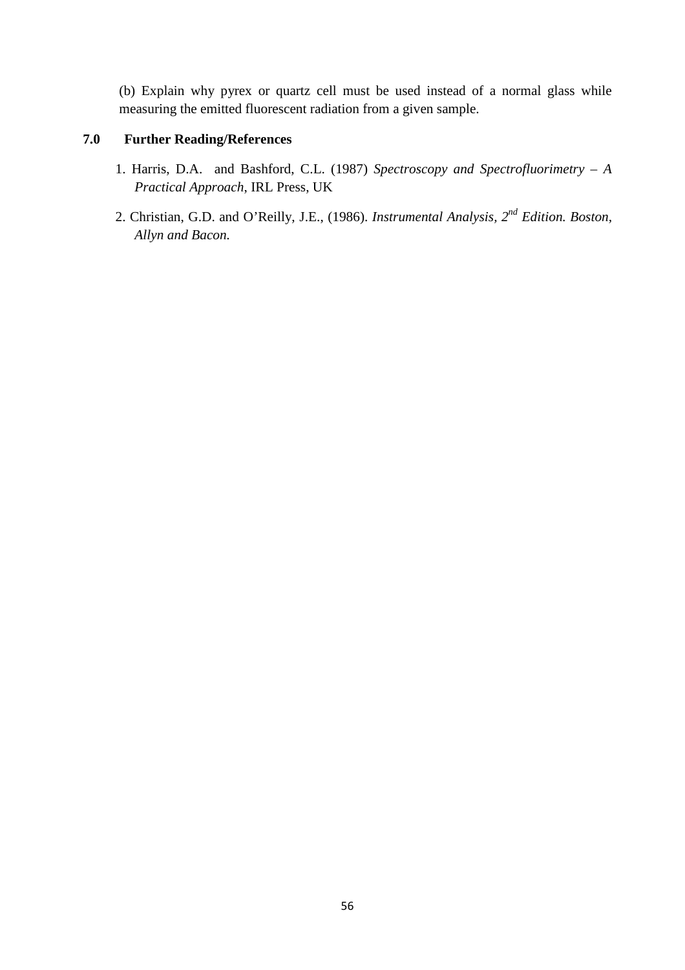(b) Explain why pyrex or quartz cell must be used instead of a normal glass while measuring the emitted fluorescent radiation from a given sample.

# **7.0 Further Reading/References**

- 1. Harris, D.A. and Bashford, C.L. (1987) *Spectroscopy and Spectrofluorimetry A Practical Approach*, IRL Press, UK
- 2. Christian, G.D. and O'Reilly, J.E., (1986). *Instrumental Analysis, 2nd Edition. Boston, Allyn and Bacon.*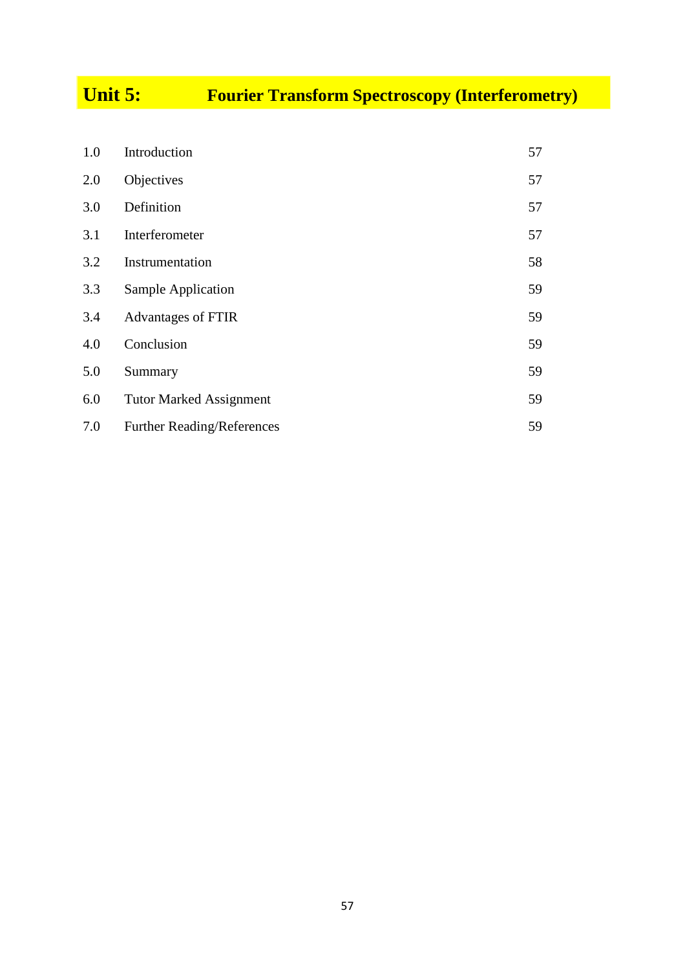# **Unit 5: Fourier Transform Spectroscopy (Interferometry)**

| 1.0 | Introduction                      | 57 |
|-----|-----------------------------------|----|
| 2.0 | Objectives                        | 57 |
| 3.0 | Definition                        | 57 |
| 3.1 | Interferometer                    | 57 |
| 3.2 | Instrumentation                   | 58 |
| 3.3 | Sample Application                | 59 |
| 3.4 | Advantages of FTIR                | 59 |
| 4.0 | Conclusion                        | 59 |
| 5.0 | Summary                           | 59 |
| 6.0 | <b>Tutor Marked Assignment</b>    | 59 |
| 7.0 | <b>Further Reading/References</b> | 59 |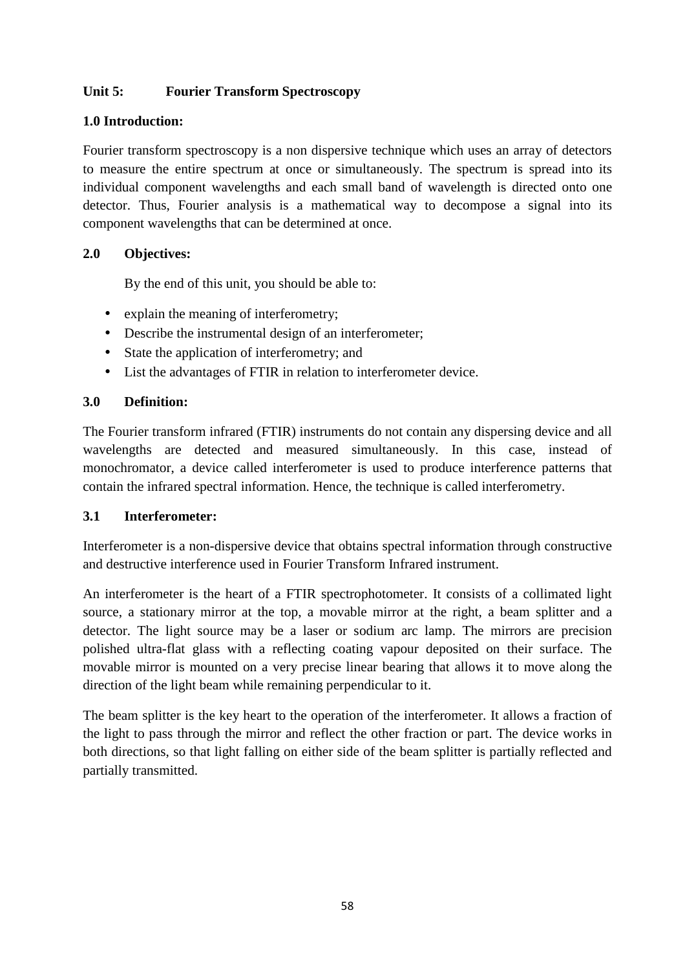# **Unit 5: Fourier Transform Spectroscopy**

# **1.0 Introduction:**

Fourier transform spectroscopy is a non dispersive technique which uses an array of detectors to measure the entire spectrum at once or simultaneously. The spectrum is spread into its individual component wavelengths and each small band of wavelength is directed onto one detector. Thus, Fourier analysis is a mathematical way to decompose a signal into its component wavelengths that can be determined at once.

# **2.0 Objectives:**

By the end of this unit, you should be able to:

- explain the meaning of interferometry;
- Describe the instrumental design of an interferometer;
- State the application of interferometry; and
- List the advantages of FTIR in relation to interferometer device.

# **3.0 Definition:**

The Fourier transform infrared (FTIR) instruments do not contain any dispersing device and all wavelengths are detected and measured simultaneously. In this case, instead of monochromator, a device called interferometer is used to produce interference patterns that contain the infrared spectral information. Hence, the technique is called interferometry.

# **3.1 Interferometer:**

Interferometer is a non-dispersive device that obtains spectral information through constructive and destructive interference used in Fourier Transform Infrared instrument.

An interferometer is the heart of a FTIR spectrophotometer. It consists of a collimated light source, a stationary mirror at the top, a movable mirror at the right, a beam splitter and a detector. The light source may be a laser or sodium arc lamp. The mirrors are precision polished ultra-flat glass with a reflecting coating vapour deposited on their surface. The movable mirror is mounted on a very precise linear bearing that allows it to move along the direction of the light beam while remaining perpendicular to it.

The beam splitter is the key heart to the operation of the interferometer. It allows a fraction of the light to pass through the mirror and reflect the other fraction or part. The device works in both directions, so that light falling on either side of the beam splitter is partially reflected and partially transmitted.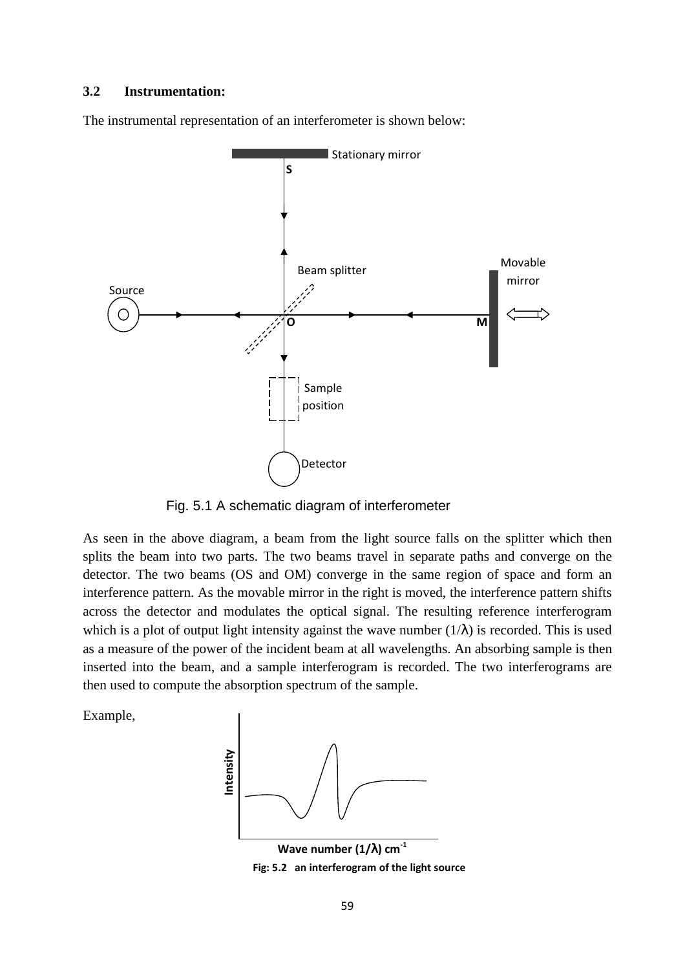#### **3.2 Instrumentation:**

The instrumental representation of an interferometer is shown below:



Fig. 5.1 A schematic diagram of interferometer

As seen in the above diagram, a beam from the light source falls on the splitter which then splits the beam into two parts. The two beams travel in separate paths and converge on the detector. The two beams (OS and OM) converge in the same region of space and form an interference pattern. As the movable mirror in the right is moved, the interference pattern shifts across the detector and modulates the optical signal. The resulting reference interferogram which is a plot of output light intensity against the wave number  $(1/\lambda)$  is recorded. This is used as a measure of the power of the incident beam at all wavelengths. An absorbing sample is then inserted into the beam, and a sample interferogram is recorded. The two interferograms are then used to compute the absorption spectrum of the sample.

Example,



**Wave number (1/**λ**) cm-1 Fig: 5.2 an interferogram of the light source**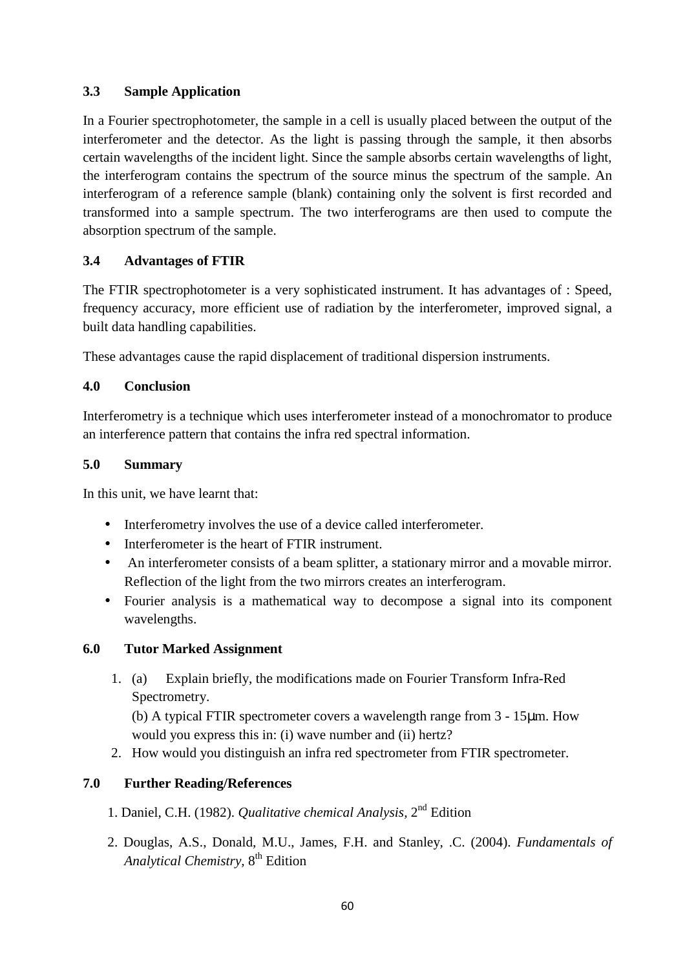# **3.3 Sample Application**

In a Fourier spectrophotometer, the sample in a cell is usually placed between the output of the interferometer and the detector. As the light is passing through the sample, it then absorbs certain wavelengths of the incident light. Since the sample absorbs certain wavelengths of light, the interferogram contains the spectrum of the source minus the spectrum of the sample. An interferogram of a reference sample (blank) containing only the solvent is first recorded and transformed into a sample spectrum. The two interferograms are then used to compute the absorption spectrum of the sample.

# **3.4 Advantages of FTIR**

The FTIR spectrophotometer is a very sophisticated instrument. It has advantages of : Speed, frequency accuracy, more efficient use of radiation by the interferometer, improved signal, a built data handling capabilities.

These advantages cause the rapid displacement of traditional dispersion instruments.

# **4.0 Conclusion**

Interferometry is a technique which uses interferometer instead of a monochromator to produce an interference pattern that contains the infra red spectral information.

#### **5.0 Summary**

In this unit, we have learnt that:

- Interferometry involves the use of a device called interferometer.
- Interferometer is the heart of FTIR instrument.
- An interferometer consists of a beam splitter, a stationary mirror and a movable mirror. Reflection of the light from the two mirrors creates an interferogram.
- Fourier analysis is a mathematical way to decompose a signal into its component wavelengths.

# **6.0 Tutor Marked Assignment**

1. (a) Explain briefly, the modifications made on Fourier Transform Infra-Red Spectrometry.

(b) A typical FTIR spectrometer covers a wavelength range from 3 - 15µm. How would you express this in: (i) wave number and (ii) hertz?

2. How would you distinguish an infra red spectrometer from FTIR spectrometer.

# **7.0 Further Reading/References**

- 1. Daniel, C.H. (1982). *Qualitative chemical Analysis,* 2nd Edition
- 2. Douglas, A.S., Donald, M.U., James, F.H. and Stanley, .C. (2004). *Fundamentals of Analytical Chemistry,* 8th Edition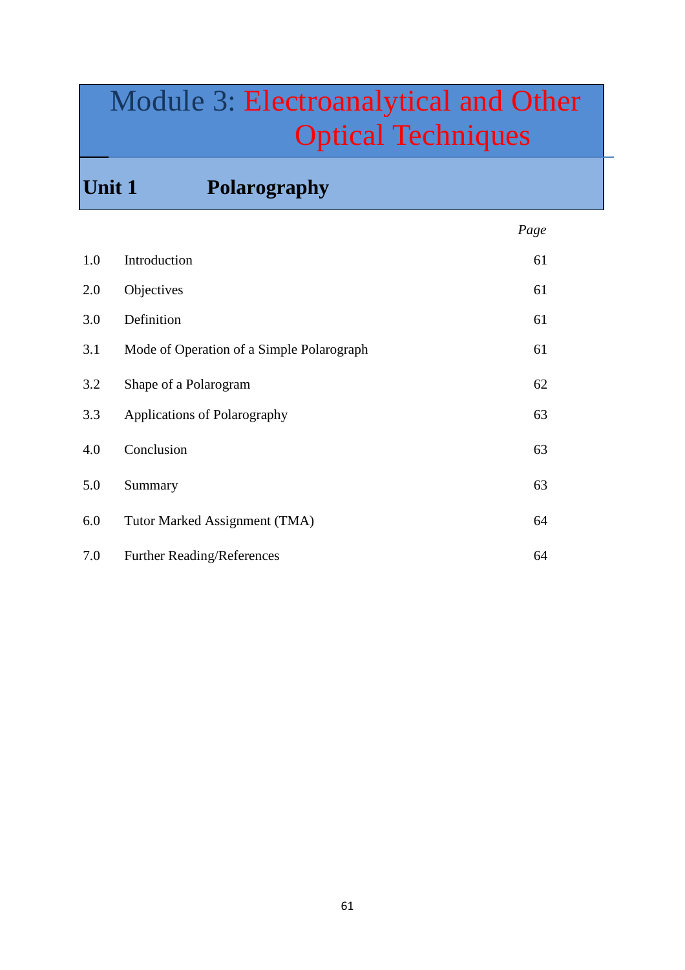# Module 3: Electroanalytical and Other Optical Techniques

**Unit 1 Polarography** 

|     |                                           | Page |
|-----|-------------------------------------------|------|
| 1.0 | Introduction                              | 61   |
| 2.0 | Objectives                                | 61   |
| 3.0 | Definition                                | 61   |
| 3.1 | Mode of Operation of a Simple Polarograph | 61   |
| 3.2 | Shape of a Polarogram                     | 62   |
| 3.3 | Applications of Polarography              | 63   |
| 4.0 | Conclusion                                | 63   |
| 5.0 | Summary                                   | 63   |
| 6.0 | Tutor Marked Assignment (TMA)             | 64   |
| 7.0 | <b>Further Reading/References</b>         | 64   |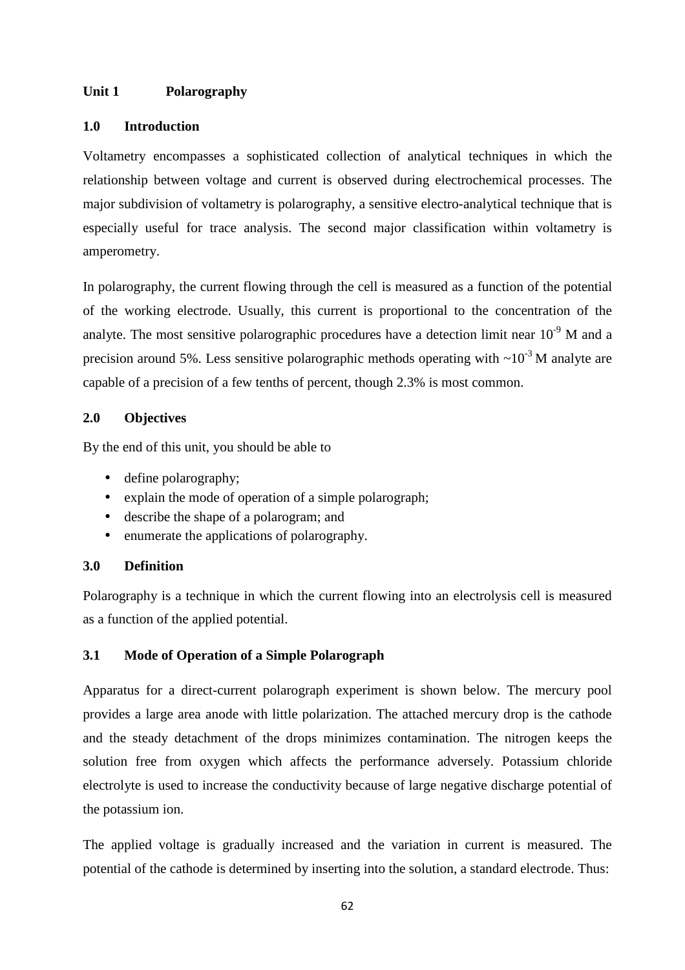#### **Unit 1 Polarography**

#### **1.0 Introduction**

Voltametry encompasses a sophisticated collection of analytical techniques in which the relationship between voltage and current is observed during electrochemical processes. The major subdivision of voltametry is polarography, a sensitive electro-analytical technique that is especially useful for trace analysis. The second major classification within voltametry is amperometry.

In polarography, the current flowing through the cell is measured as a function of the potential of the working electrode. Usually, this current is proportional to the concentration of the analyte. The most sensitive polarographic procedures have a detection limit near  $10^{-9}$  M and a precision around 5%. Less sensitive polarographic methods operating with  $\sim 10^{-3}$  M analyte are capable of a precision of a few tenths of percent, though 2.3% is most common.

#### **2.0 Objectives**

By the end of this unit, you should be able to

- define polarography;
- explain the mode of operation of a simple polarograph;
- describe the shape of a polarogram; and
- enumerate the applications of polarography.

#### **3.0 Definition**

Polarography is a technique in which the current flowing into an electrolysis cell is measured as a function of the applied potential.

# **3.1 Mode of Operation of a Simple Polarograph**

Apparatus for a direct-current polarograph experiment is shown below. The mercury pool provides a large area anode with little polarization. The attached mercury drop is the cathode and the steady detachment of the drops minimizes contamination. The nitrogen keeps the solution free from oxygen which affects the performance adversely. Potassium chloride electrolyte is used to increase the conductivity because of large negative discharge potential of the potassium ion.

The applied voltage is gradually increased and the variation in current is measured. The potential of the cathode is determined by inserting into the solution, a standard electrode. Thus: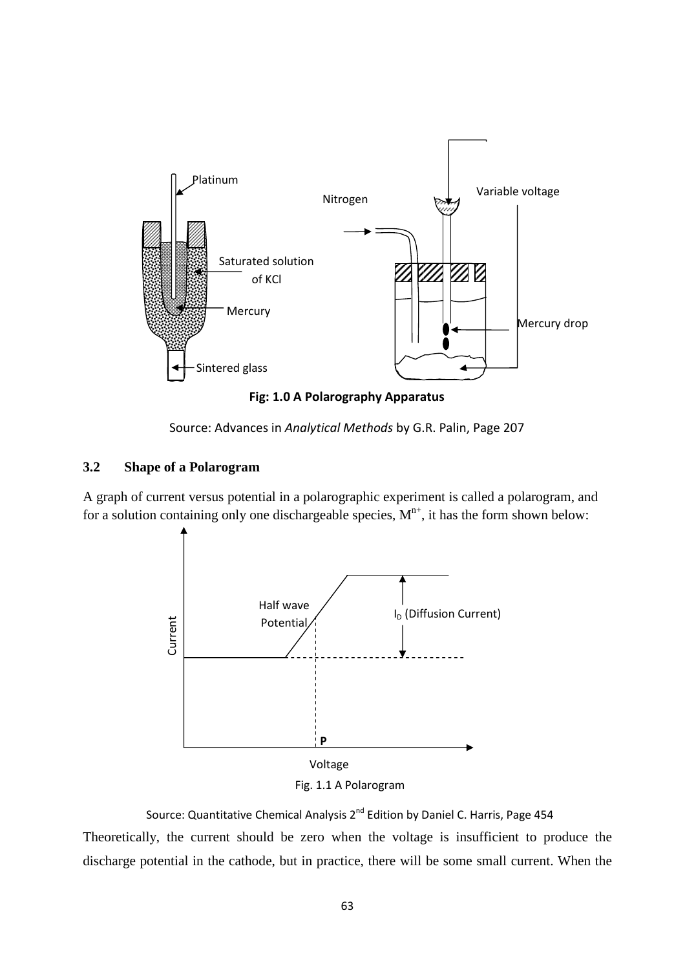

**Fig: 1.0 A Polarography Apparatus** 

Source: Advances in *Analytical Methods* by G.R. Palin, Page 207

#### **3.2 Shape of a Polarogram**

A graph of current versus potential in a polarographic experiment is called a polarogram, and for a solution containing only one dischargeable species,  $M^{n+}$ , it has the form shown below:



Fig. 1.1 A Polarogram

Theoretically, the current should be zero when the voltage is insufficient to produce the discharge potential in the cathode, but in practice, there will be some small current. When the Source: Quantitative Chemical Analysis 2<sup>nd</sup> Edition by Daniel C. Harris, Page 454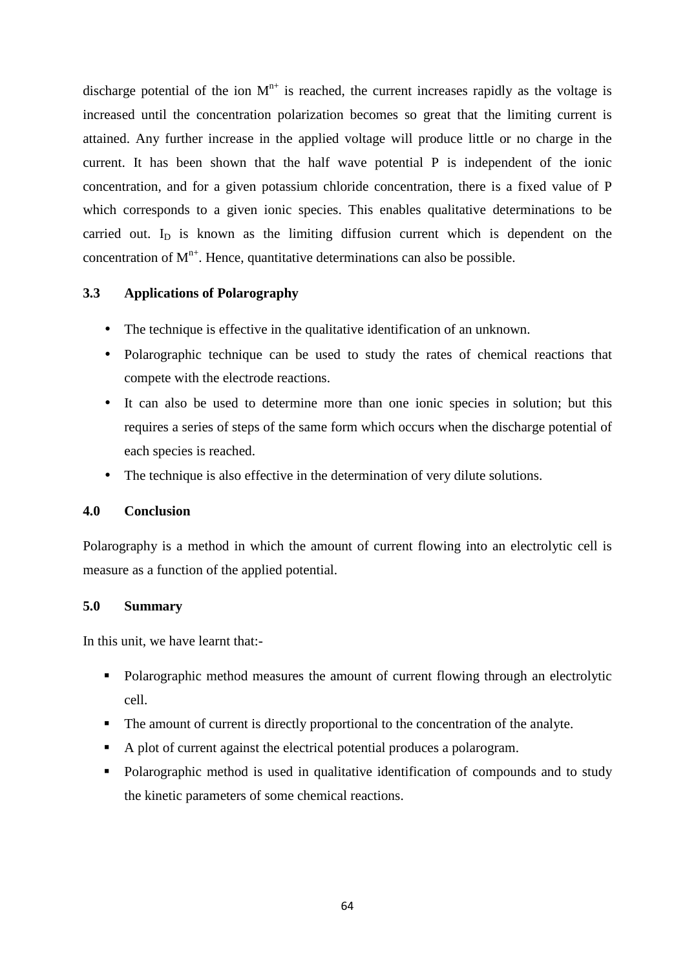discharge potential of the ion  $M^{n+}$  is reached, the current increases rapidly as the voltage is increased until the concentration polarization becomes so great that the limiting current is attained. Any further increase in the applied voltage will produce little or no charge in the current. It has been shown that the half wave potential P is independent of the ionic concentration, and for a given potassium chloride concentration, there is a fixed value of P which corresponds to a given ionic species. This enables qualitative determinations to be carried out.  $I_D$  is known as the limiting diffusion current which is dependent on the concentration of  $M^{n+}$ . Hence, quantitative determinations can also be possible.

#### **3.3 Applications of Polarography**

- The technique is effective in the qualitative identification of an unknown.
- Polarographic technique can be used to study the rates of chemical reactions that compete with the electrode reactions.
- It can also be used to determine more than one ionic species in solution; but this requires a series of steps of the same form which occurs when the discharge potential of each species is reached.
- The technique is also effective in the determination of very dilute solutions.

#### **4.0 Conclusion**

Polarography is a method in which the amount of current flowing into an electrolytic cell is measure as a function of the applied potential.

#### **5.0 Summary**

In this unit, we have learnt that:-

- Polarographic method measures the amount of current flowing through an electrolytic cell.
- The amount of current is directly proportional to the concentration of the analyte.
- A plot of current against the electrical potential produces a polarogram.
- Polarographic method is used in qualitative identification of compounds and to study the kinetic parameters of some chemical reactions.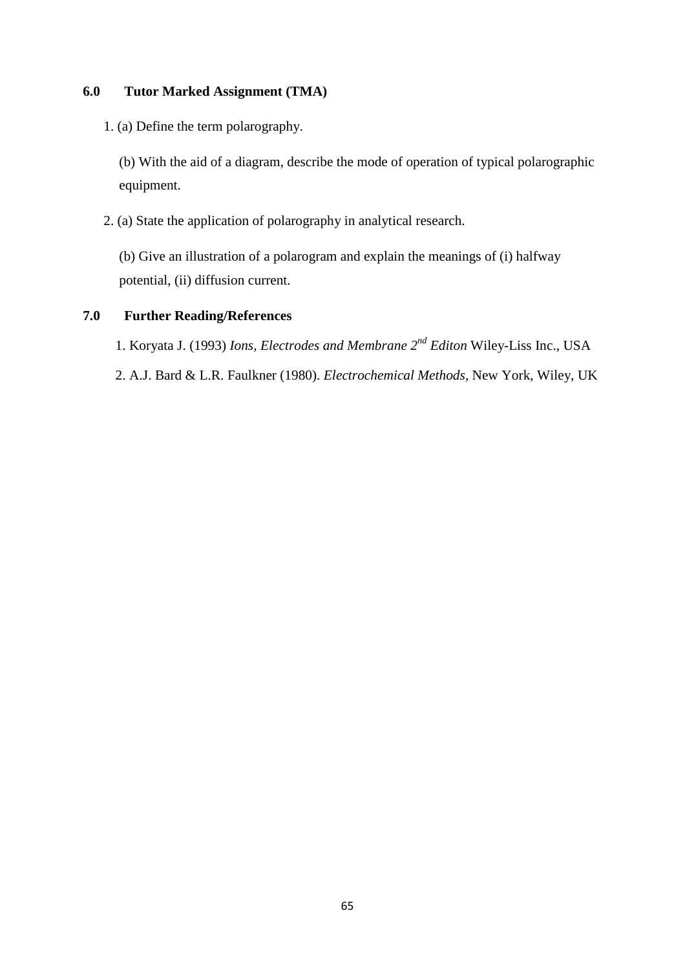#### **6.0 Tutor Marked Assignment (TMA)**

1. (a) Define the term polarography.

(b) With the aid of a diagram, describe the mode of operation of typical polarographic equipment.

2. (a) State the application of polarography in analytical research.

(b) Give an illustration of a polarogram and explain the meanings of (i) halfway potential, (ii) diffusion current.

#### **7.0 Further Reading/References**

1. Koryata J. (1993) *Ions, Electrodes and Membrane 2nd Editon* Wiley-Liss Inc., USA

2. A.J. Bard & L.R. Faulkner (1980). *Electrochemical Methods*, New York, Wiley, UK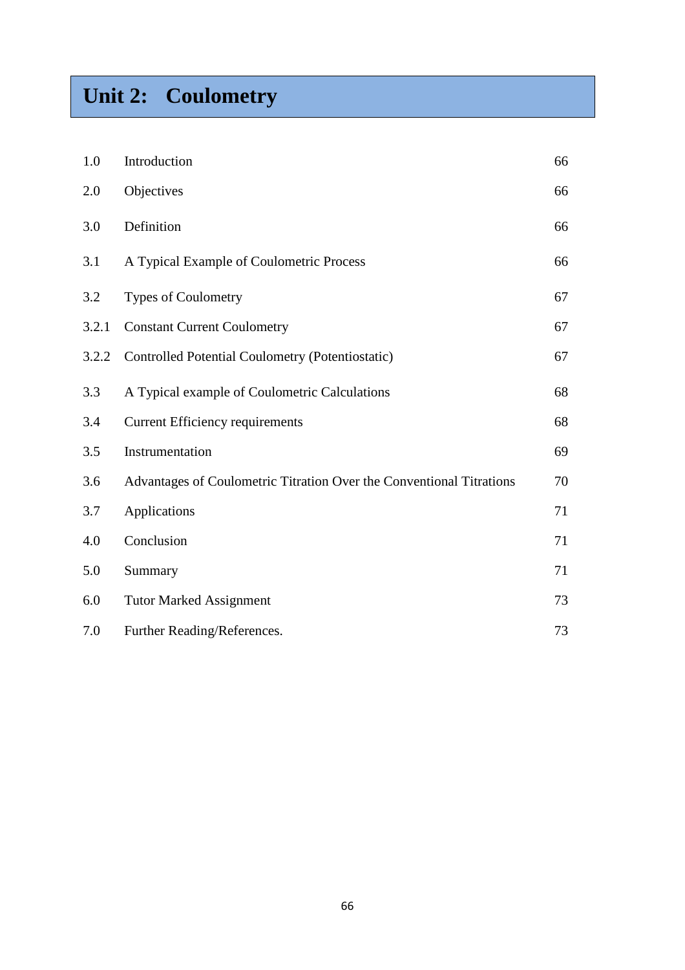# **Unit 2: Coulometry**

| 1.0   | Introduction                                                         | 66 |
|-------|----------------------------------------------------------------------|----|
| 2.0   | Objectives                                                           | 66 |
| 3.0   | Definition                                                           | 66 |
| 3.1   | A Typical Example of Coulometric Process                             | 66 |
| 3.2   | <b>Types of Coulometry</b>                                           | 67 |
| 3.2.1 | <b>Constant Current Coulometry</b>                                   | 67 |
| 3.2.2 | Controlled Potential Coulometry (Potentiostatic)                     | 67 |
| 3.3   | A Typical example of Coulometric Calculations                        | 68 |
| 3.4   | <b>Current Efficiency requirements</b>                               | 68 |
| 3.5   | Instrumentation                                                      | 69 |
| 3.6   | Advantages of Coulometric Titration Over the Conventional Titrations | 70 |
| 3.7   | Applications                                                         | 71 |
| 4.0   | Conclusion                                                           | 71 |
| 5.0   | Summary                                                              | 71 |
| 6.0   | <b>Tutor Marked Assignment</b>                                       | 73 |
| 7.0   | Further Reading/References.                                          | 73 |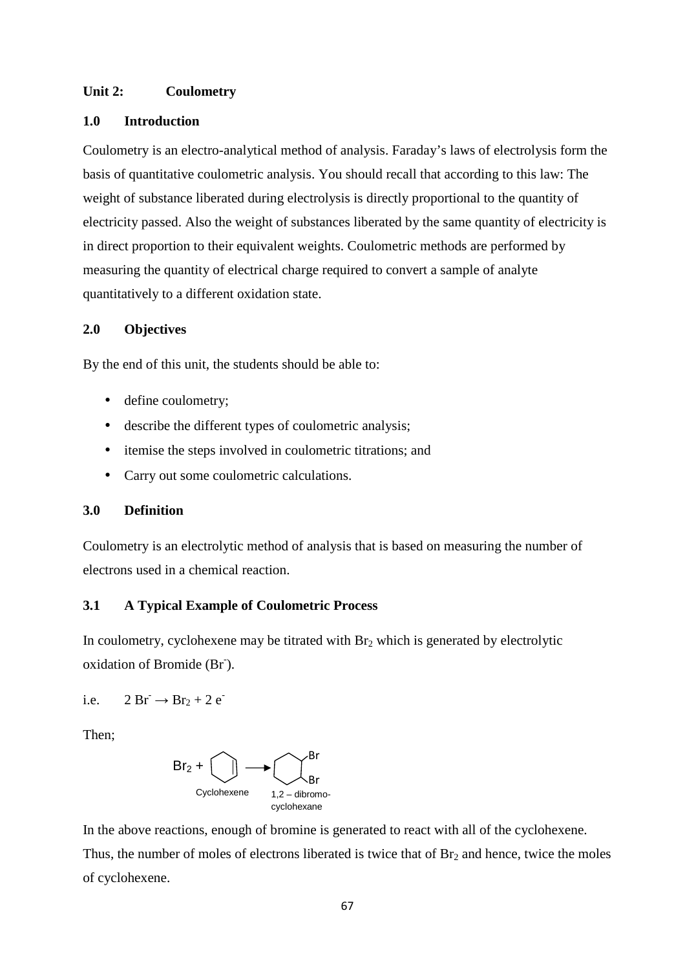#### **Unit 2: Coulometry**

#### **1.0 Introduction**

Coulometry is an electro-analytical method of analysis. Faraday's laws of electrolysis form the basis of quantitative coulometric analysis. You should recall that according to this law: The weight of substance liberated during electrolysis is directly proportional to the quantity of electricity passed. Also the weight of substances liberated by the same quantity of electricity is in direct proportion to their equivalent weights. Coulometric methods are performed by measuring the quantity of electrical charge required to convert a sample of analyte quantitatively to a different oxidation state.

#### **2.0 Objectives**

By the end of this unit, the students should be able to:

- define coulometry;
- describe the different types of coulometric analysis;
- itemise the steps involved in coulometric titrations; and
- Carry out some coulometric calculations.

#### **3.0 Definition**

Coulometry is an electrolytic method of analysis that is based on measuring the number of electrons used in a chemical reaction.

#### **3.1 A Typical Example of Coulometric Process**

In coulometry, cyclohexene may be titrated with  $Br<sub>2</sub>$  which is generated by electrolytic oxidation of Bromide (Br<sup>-</sup>).

i.e.  $2 \text{Br} \rightarrow \text{Br}_2 + 2 \text{e}^{-}$ 

Then;



In the above reactions, enough of bromine is generated to react with all of the cyclohexene. Thus, the number of moles of electrons liberated is twice that of  $Br<sub>2</sub>$  and hence, twice the moles of cyclohexene.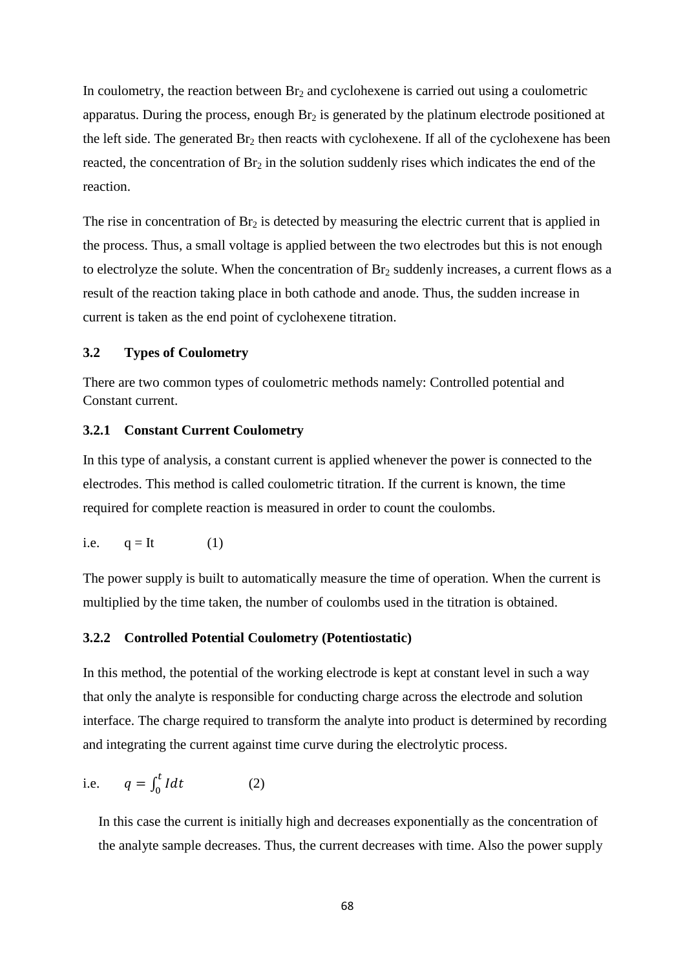In coulometry, the reaction between  $Br<sub>2</sub>$  and cyclohexene is carried out using a coulometric apparatus. During the process, enough  $Br<sub>2</sub>$  is generated by the platinum electrode positioned at the left side. The generated  $Br_2$  then reacts with cyclohexene. If all of the cyclohexene has been reacted, the concentration of  $Br_2$  in the solution suddenly rises which indicates the end of the reaction.

The rise in concentration of  $Br_2$  is detected by measuring the electric current that is applied in the process. Thus, a small voltage is applied between the two electrodes but this is not enough to electrolyze the solute. When the concentration of  $Br<sub>2</sub>$  suddenly increases, a current flows as a result of the reaction taking place in both cathode and anode. Thus, the sudden increase in current is taken as the end point of cyclohexene titration.

#### **3.2 Types of Coulometry**

There are two common types of coulometric methods namely: Controlled potential and Constant current.

#### **3.2.1 Constant Current Coulometry**

In this type of analysis, a constant current is applied whenever the power is connected to the electrodes. This method is called coulometric titration. If the current is known, the time required for complete reaction is measured in order to count the coulombs.

i.e. 
$$
q = It
$$
 (1)

The power supply is built to automatically measure the time of operation. When the current is multiplied by the time taken, the number of coulombs used in the titration is obtained.

#### **3.2.2 Controlled Potential Coulometry (Potentiostatic)**

In this method, the potential of the working electrode is kept at constant level in such a way that only the analyte is responsible for conducting charge across the electrode and solution interface. The charge required to transform the analyte into product is determined by recording and integrating the current against time curve during the electrolytic process.

i.e. 
$$
q = \int_0^t I dt
$$
 (2)

In this case the current is initially high and decreases exponentially as the concentration of the analyte sample decreases. Thus, the current decreases with time. Also the power supply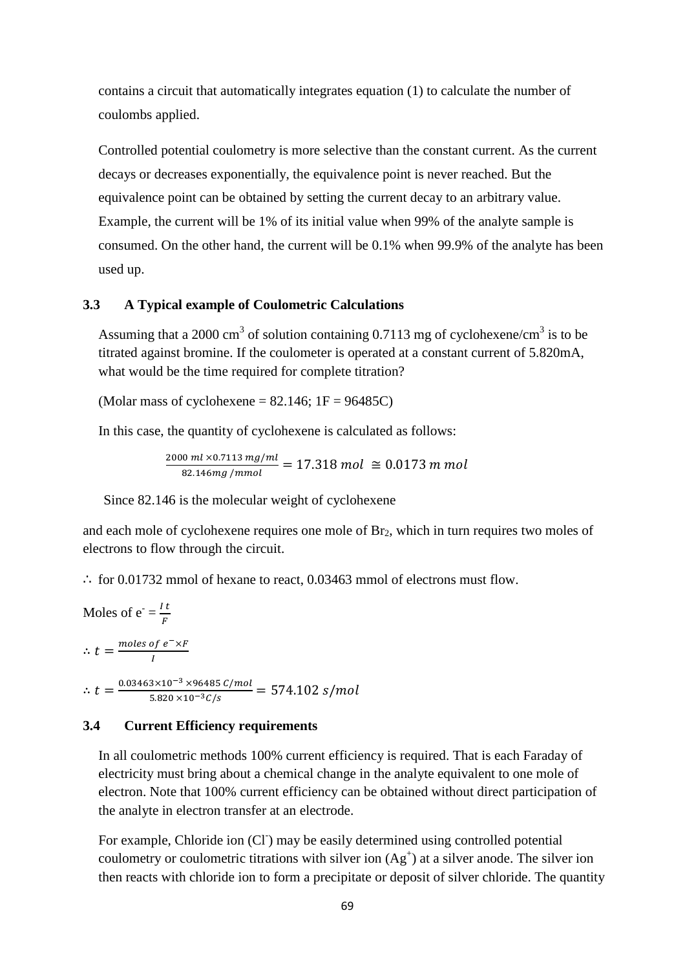contains a circuit that automatically integrates equation (1) to calculate the number of coulombs applied.

Controlled potential coulometry is more selective than the constant current. As the current decays or decreases exponentially, the equivalence point is never reached. But the equivalence point can be obtained by setting the current decay to an arbitrary value. Example, the current will be 1% of its initial value when 99% of the analyte sample is consumed. On the other hand, the current will be 0.1% when 99.9% of the analyte has been used up.

#### **3.3 A Typical example of Coulometric Calculations**

Assuming that a 2000 cm<sup>3</sup> of solution containing 0.7113 mg of cyclohexene/cm<sup>3</sup> is to be titrated against bromine. If the coulometer is operated at a constant current of 5.820mA, what would be the time required for complete titration?

(Molar mass of cyclohexene =  $82.146$ ; 1F =  $96485C$ )

In this case, the quantity of cyclohexene is calculated as follows:

$$
\frac{2000 \, ml \times 0.7113 \, mg/ml}{82.146 mg/mmol} = 17.318 \, mol \approx 0.0173 \, m \, mol
$$

Since 82.146 is the molecular weight of cyclohexene

and each mole of cyclohexene requires one mole of  $Br<sub>2</sub>$ , which in turn requires two moles of electrons to flow through the circuit.

∴ for 0.01732 mmol of hexane to react, 0.03463 mmol of electrons must flow.

Moles of  $e^{-} = \frac{I t}{R}$ F  $\therefore t = \frac{\text{moles of } e^{-\chi}F}{L}$  $\frac{\partial f}{\partial I}$  $\therefore t = \frac{0.03463 \times 10^{-3} \times 96485 \text{ } C/mol}{5.000 \times 10^{-3} \text{ } C/m}$  $\frac{3 \times 10^{-3} \times 96465 \text{ C/mot}}{5.820 \times 10^{-3} \text{ C/s}} = 574.102 \text{ s/mol}$ 

#### **3.4 Current Efficiency requirements**

In all coulometric methods 100% current efficiency is required. That is each Faraday of electricity must bring about a chemical change in the analyte equivalent to one mole of electron. Note that 100% current efficiency can be obtained without direct participation of the analyte in electron transfer at an electrode.

For example, Chloride ion (CI) may be easily determined using controlled potential coulometry or coulometric titrations with silver ion  $(Ag<sup>+</sup>)$  at a silver anode. The silver ion then reacts with chloride ion to form a precipitate or deposit of silver chloride. The quantity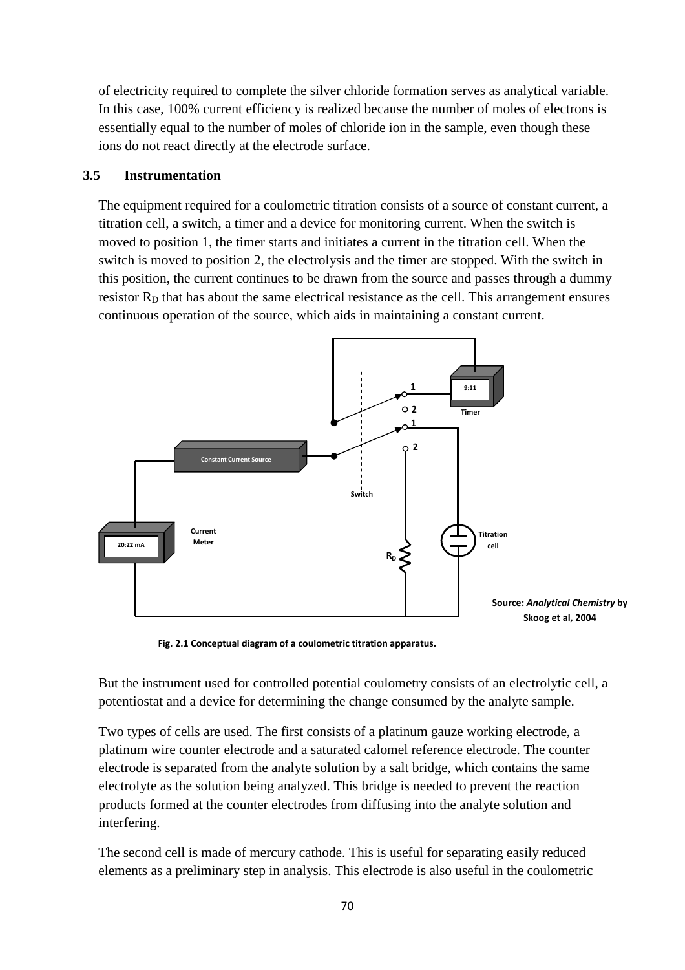of electricity required to complete the silver chloride formation serves as analytical variable. In this case, 100% current efficiency is realized because the number of moles of electrons is essentially equal to the number of moles of chloride ion in the sample, even though these ions do not react directly at the electrode surface.

#### **3.5 Instrumentation**

The equipment required for a coulometric titration consists of a source of constant current, a titration cell, a switch, a timer and a device for monitoring current. When the switch is moved to position 1, the timer starts and initiates a current in the titration cell. When the switch is moved to position 2, the electrolysis and the timer are stopped. With the switch in this position, the current continues to be drawn from the source and passes through a dummy resistor  $R<sub>D</sub>$  that has about the same electrical resistance as the cell. This arrangement ensures continuous operation of the source, which aids in maintaining a constant current.



**Fig. 2.1 Conceptual diagram of a coulometric titration apparatus.** 

But the instrument used for controlled potential coulometry consists of an electrolytic cell, a potentiostat and a device for determining the change consumed by the analyte sample.

Two types of cells are used. The first consists of a platinum gauze working electrode, a platinum wire counter electrode and a saturated calomel reference electrode. The counter electrode is separated from the analyte solution by a salt bridge, which contains the same electrolyte as the solution being analyzed. This bridge is needed to prevent the reaction products formed at the counter electrodes from diffusing into the analyte solution and interfering.

The second cell is made of mercury cathode. This is useful for separating easily reduced elements as a preliminary step in analysis. This electrode is also useful in the coulometric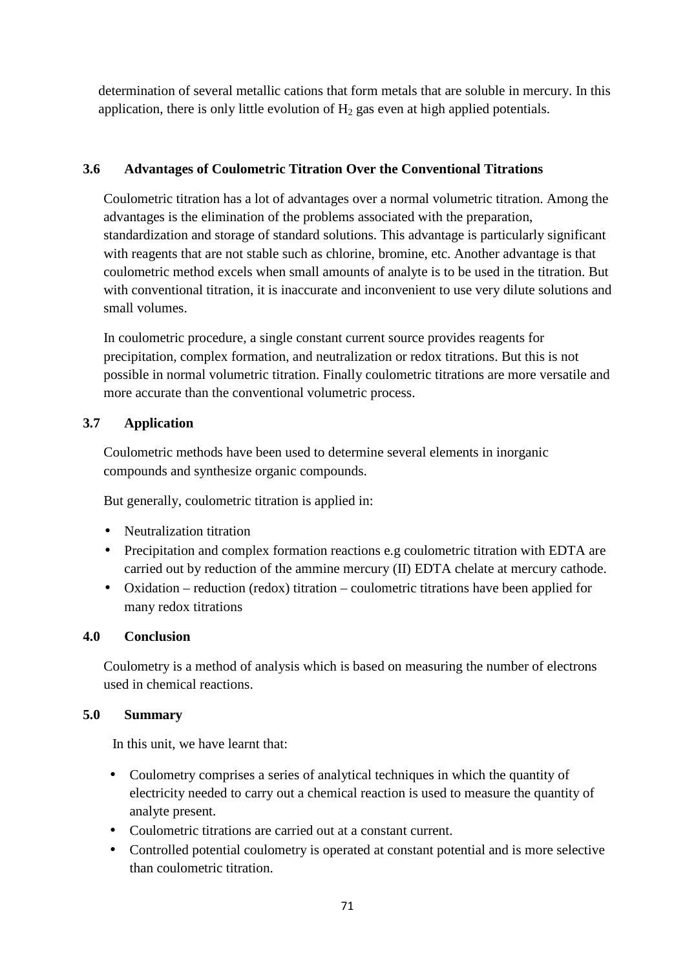determination of several metallic cations that form metals that are soluble in mercury. In this application, there is only little evolution of  $H_2$  gas even at high applied potentials.

# **3.6 Advantages of Coulometric Titration Over the Conventional Titrations**

Coulometric titration has a lot of advantages over a normal volumetric titration. Among the advantages is the elimination of the problems associated with the preparation, standardization and storage of standard solutions. This advantage is particularly significant with reagents that are not stable such as chlorine, bromine, etc. Another advantage is that coulometric method excels when small amounts of analyte is to be used in the titration. But with conventional titration, it is inaccurate and inconvenient to use very dilute solutions and small volumes.

In coulometric procedure, a single constant current source provides reagents for precipitation, complex formation, and neutralization or redox titrations. But this is not possible in normal volumetric titration. Finally coulometric titrations are more versatile and more accurate than the conventional volumetric process.

# **3.7 Application**

Coulometric methods have been used to determine several elements in inorganic compounds and synthesize organic compounds.

But generally, coulometric titration is applied in:

- Neutralization titration
- Precipitation and complex formation reactions e.g coulometric titration with EDTA are carried out by reduction of the ammine mercury (II) EDTA chelate at mercury cathode.
- Oxidation reduction (redox) titration coulometric titrations have been applied for many redox titrations

# **4.0 Conclusion**

Coulometry is a method of analysis which is based on measuring the number of electrons used in chemical reactions.

# **5.0 Summary**

In this unit, we have learnt that:

- Coulometry comprises a series of analytical techniques in which the quantity of electricity needed to carry out a chemical reaction is used to measure the quantity of analyte present.
- Coulometric titrations are carried out at a constant current.
- Controlled potential coulometry is operated at constant potential and is more selective than coulometric titration.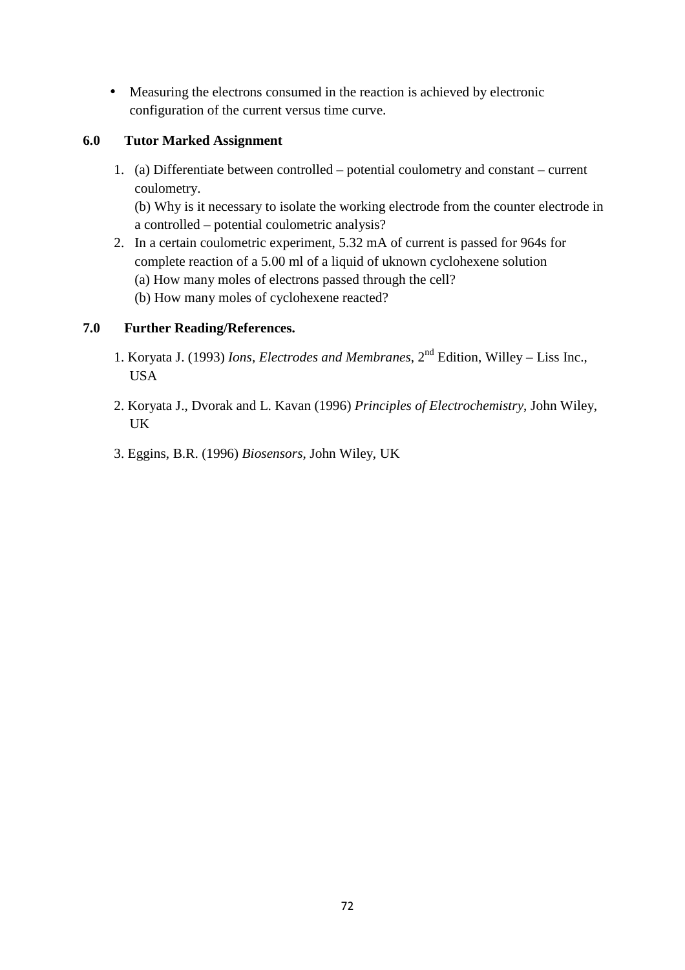• Measuring the electrons consumed in the reaction is achieved by electronic configuration of the current versus time curve.

# **6.0 Tutor Marked Assignment**

1. (a) Differentiate between controlled – potential coulometry and constant – current coulometry. (b) Why is it necessary to isolate the working electrode from the counter electrode in

a controlled – potential coulometric analysis?

- 2. In a certain coulometric experiment, 5.32 mA of current is passed for 964s for complete reaction of a 5.00 ml of a liquid of uknown cyclohexene solution (a) How many moles of electrons passed through the cell?
	- (b) How many moles of cyclohexene reacted?

# **7.0 Further Reading/References.**

- 1. Koryata J. (1993) *Ions, Electrodes and Membranes*, 2nd Edition, Willey Liss Inc., USA
- 2. Koryata J., Dvorak and L. Kavan (1996) *Principles of Electrochemistry*, John Wiley, UK
- 3. Eggins, B.R. (1996) *Biosensors*, John Wiley, UK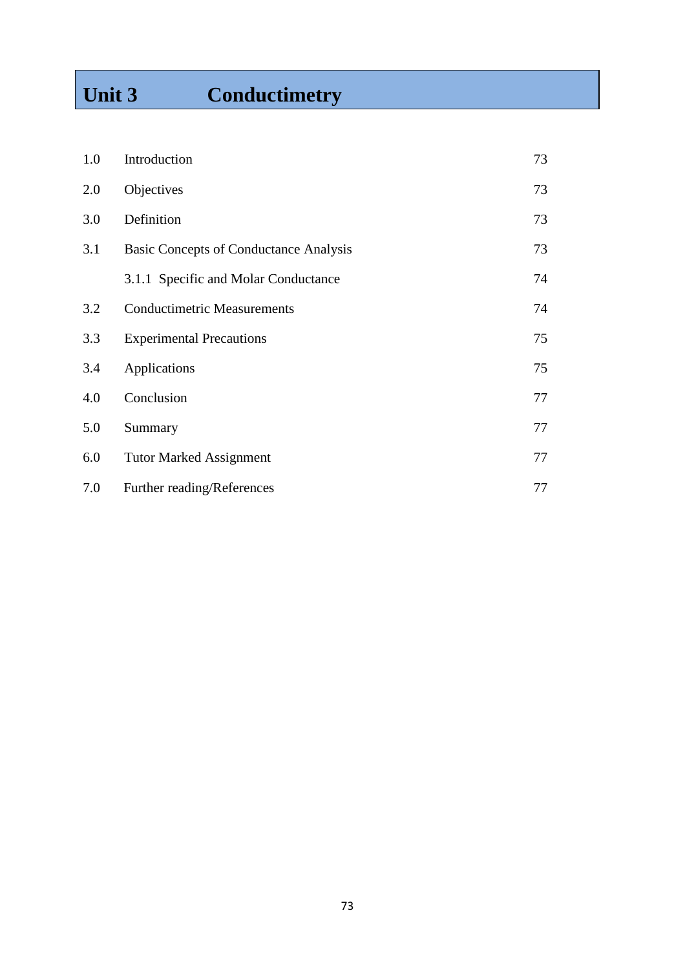# Unit 3 Conductimetry

| 1.0 | Introduction                                  | 73 |
|-----|-----------------------------------------------|----|
| 2.0 | Objectives                                    | 73 |
| 3.0 | Definition                                    | 73 |
| 3.1 | <b>Basic Concepts of Conductance Analysis</b> | 73 |
|     | 3.1.1 Specific and Molar Conductance          | 74 |
| 3.2 | <b>Conductimetric Measurements</b>            | 74 |
| 3.3 | <b>Experimental Precautions</b>               | 75 |
| 3.4 | Applications                                  | 75 |
| 4.0 | Conclusion                                    | 77 |
| 5.0 | Summary                                       | 77 |
| 6.0 | <b>Tutor Marked Assignment</b>                | 77 |
| 7.0 | Further reading/References                    | 77 |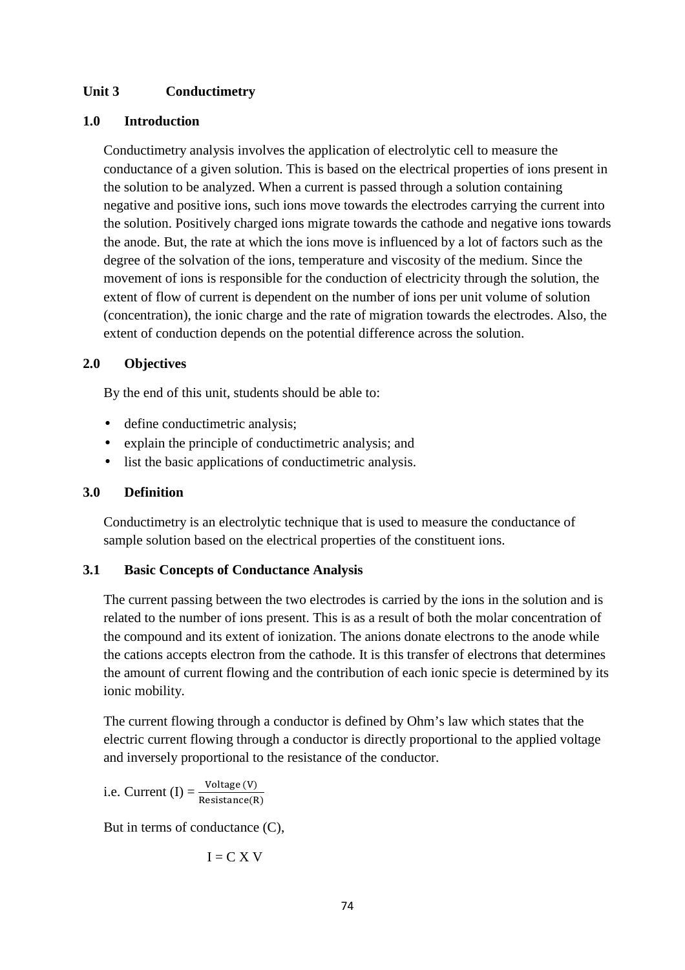## **Unit 3 Conductimetry**

## **1.0 Introduction**

Conductimetry analysis involves the application of electrolytic cell to measure the conductance of a given solution. This is based on the electrical properties of ions present in the solution to be analyzed. When a current is passed through a solution containing negative and positive ions, such ions move towards the electrodes carrying the current into the solution. Positively charged ions migrate towards the cathode and negative ions towards the anode. But, the rate at which the ions move is influenced by a lot of factors such as the degree of the solvation of the ions, temperature and viscosity of the medium. Since the movement of ions is responsible for the conduction of electricity through the solution, the extent of flow of current is dependent on the number of ions per unit volume of solution (concentration), the ionic charge and the rate of migration towards the electrodes. Also, the extent of conduction depends on the potential difference across the solution.

## **2.0 Objectives**

By the end of this unit, students should be able to:

- define conductimetric analysis;
- explain the principle of conductimetric analysis; and
- list the basic applications of conductimetric analysis.

#### **3.0 Definition**

Conductimetry is an electrolytic technique that is used to measure the conductance of sample solution based on the electrical properties of the constituent ions.

#### **3.1 Basic Concepts of Conductance Analysis**

The current passing between the two electrodes is carried by the ions in the solution and is related to the number of ions present. This is as a result of both the molar concentration of the compound and its extent of ionization. The anions donate electrons to the anode while the cations accepts electron from the cathode. It is this transfer of electrons that determines the amount of current flowing and the contribution of each ionic specie is determined by its ionic mobility.

The current flowing through a conductor is defined by Ohm's law which states that the electric current flowing through a conductor is directly proportional to the applied voltage and inversely proportional to the resistance of the conductor.

i.e. Current (I) =  $\frac{\text{Voltage (V)}}{\text{Resistance (R)}}$ 

But in terms of conductance (C),

$$
I = C X V
$$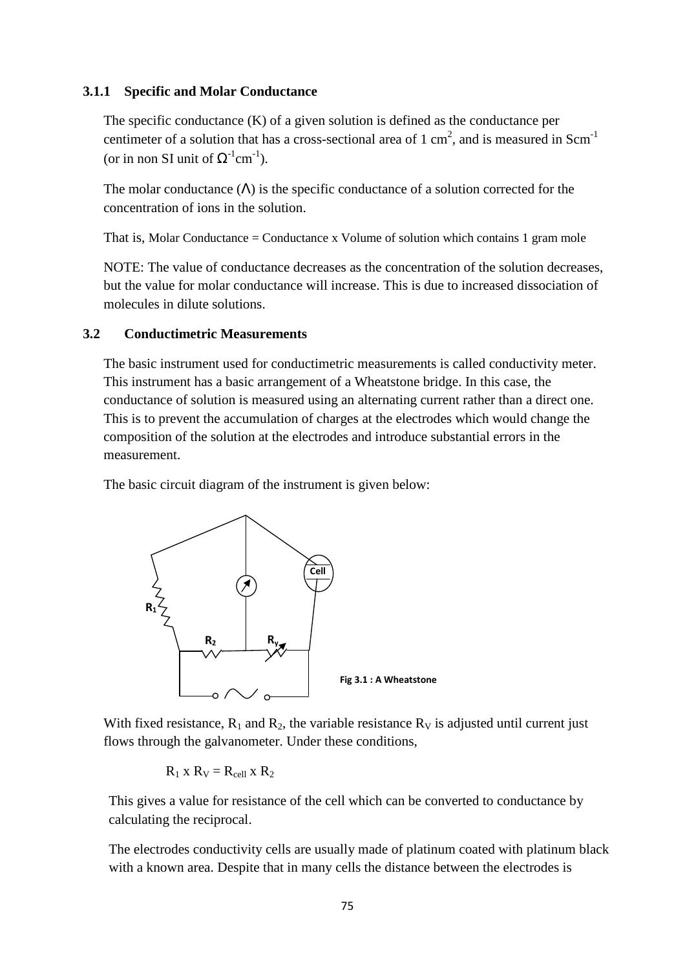#### **3.1.1 Specific and Molar Conductance**

The specific conductance (K) of a given solution is defined as the conductance per centimeter of a solution that has a cross-sectional area of 1 cm<sup>2</sup>, and is measured in Scm<sup>-1</sup> (or in non SI unit of  $\Omega^{-1}$ cm<sup>-1</sup>).

The molar conductance  $(\Lambda)$  is the specific conductance of a solution corrected for the concentration of ions in the solution.

That is, Molar Conductance = Conductance x Volume of solution which contains 1 gram mole

NOTE: The value of conductance decreases as the concentration of the solution decreases, but the value for molar conductance will increase. This is due to increased dissociation of molecules in dilute solutions.

#### **3.2 Conductimetric Measurements**

The basic instrument used for conductimetric measurements is called conductivity meter. This instrument has a basic arrangement of a Wheatstone bridge. In this case, the conductance of solution is measured using an alternating current rather than a direct one. This is to prevent the accumulation of charges at the electrodes which would change the composition of the solution at the electrodes and introduce substantial errors in the measurement.

The basic circuit diagram of the instrument is given below:



With fixed resistance,  $R_1$  and  $R_2$ , the variable resistance  $R_V$  is adjusted until current just flows through the galvanometer. Under these conditions,

 $R_1$  x  $R_V = R_{cell}$  x  $R_2$ 

This gives a value for resistance of the cell which can be converted to conductance by calculating the reciprocal.

The electrodes conductivity cells are usually made of platinum coated with platinum black with a known area. Despite that in many cells the distance between the electrodes is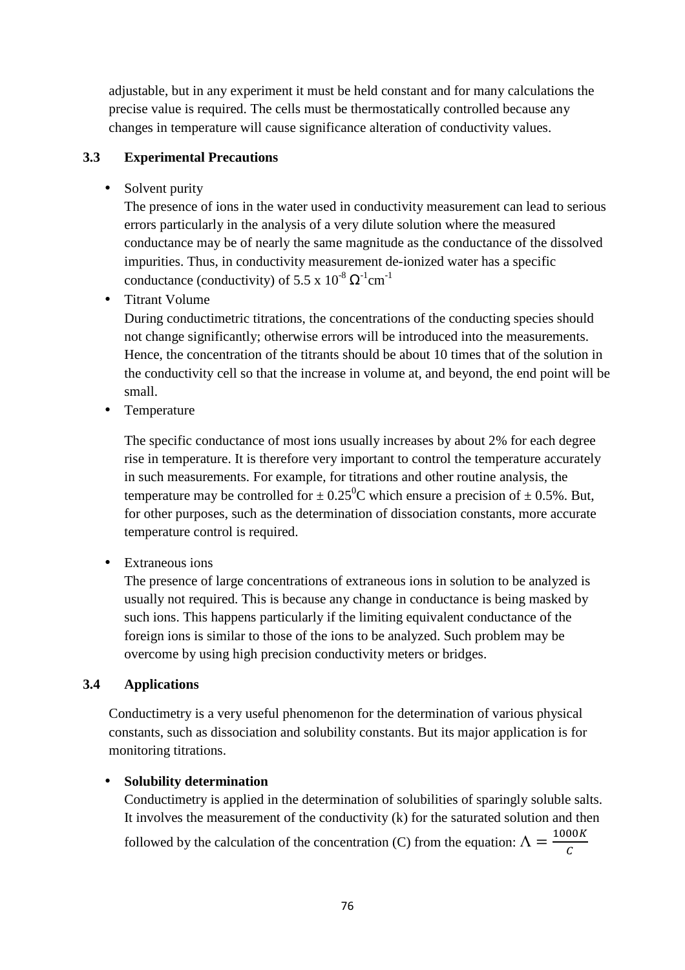adjustable, but in any experiment it must be held constant and for many calculations the precise value is required. The cells must be thermostatically controlled because any changes in temperature will cause significance alteration of conductivity values.

## **3.3 Experimental Precautions**

• Solvent purity

The presence of ions in the water used in conductivity measurement can lead to serious errors particularly in the analysis of a very dilute solution where the measured conductance may be of nearly the same magnitude as the conductance of the dissolved impurities. Thus, in conductivity measurement de-ionized water has a specific conductance (conductivity) of 5.5 x  $10^{-8} \Omega^{-1}$ cm<sup>-1</sup>

• Titrant Volume

During conductimetric titrations, the concentrations of the conducting species should not change significantly; otherwise errors will be introduced into the measurements. Hence, the concentration of the titrants should be about 10 times that of the solution in the conductivity cell so that the increase in volume at, and beyond, the end point will be small.

• Temperature

The specific conductance of most ions usually increases by about 2% for each degree rise in temperature. It is therefore very important to control the temperature accurately in such measurements. For example, for titrations and other routine analysis, the temperature may be controlled for  $\pm 0.25^{\circ}$ C which ensure a precision of  $\pm 0.5$ %. But, for other purposes, such as the determination of dissociation constants, more accurate temperature control is required.

• Extraneous ions

The presence of large concentrations of extraneous ions in solution to be analyzed is usually not required. This is because any change in conductance is being masked by such ions. This happens particularly if the limiting equivalent conductance of the foreign ions is similar to those of the ions to be analyzed. Such problem may be overcome by using high precision conductivity meters or bridges.

## **3.4 Applications**

Conductimetry is a very useful phenomenon for the determination of various physical constants, such as dissociation and solubility constants. But its major application is for monitoring titrations.

## • **Solubility determination**

Conductimetry is applied in the determination of solubilities of sparingly soluble salts. It involves the measurement of the conductivity (k) for the saturated solution and then followed by the calculation of the concentration (C) from the equation:  $\Lambda = \frac{1000K}{c}$  $\mathcal C$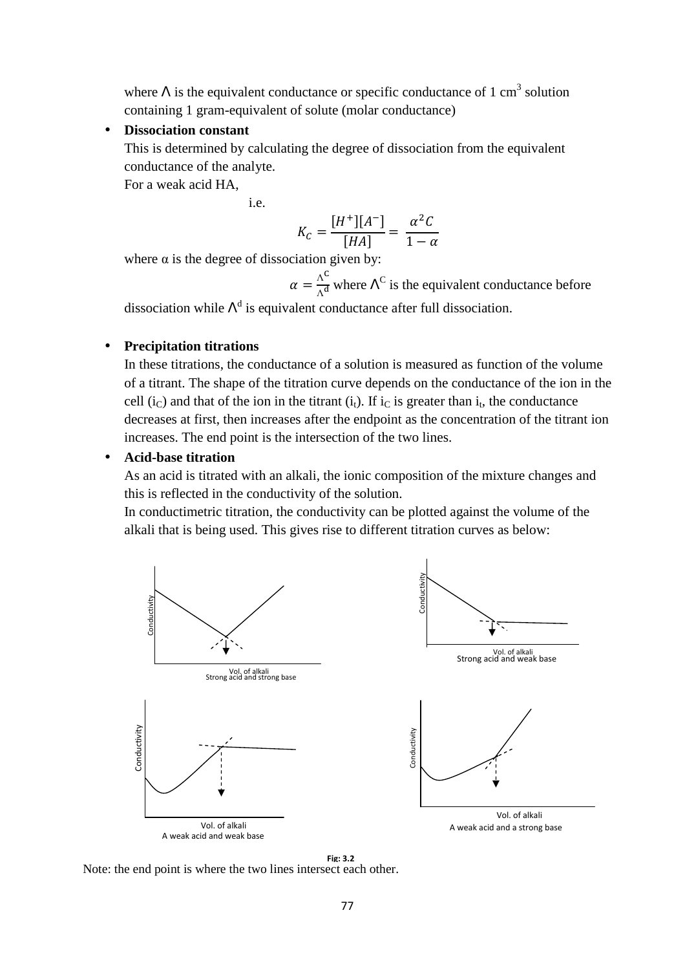where  $\Lambda$  is the equivalent conductance or specific conductance of 1 cm<sup>3</sup> solution containing 1 gram-equivalent of solute (molar conductance)

#### • **Dissociation constant**

This is determined by calculating the degree of dissociation from the equivalent conductance of the analyte.

For a weak acid HA,

i.e.

$$
K_C = \frac{[H^+][A^-]}{[HA]} = \frac{\alpha^2 C}{1 - \alpha}
$$

where  $\alpha$  is the degree of dissociation given by:

 $\alpha = \frac{\Lambda^C}{\Lambda^A}$  $\frac{\Lambda^{\circ}}{\Lambda^d}$  where  $\Lambda^C$  is the equivalent conductance before

dissociation while  $\Lambda^d$  is equivalent conductance after full dissociation.

#### • **Precipitation titrations**

In these titrations, the conductance of a solution is measured as function of the volume of a titrant. The shape of the titration curve depends on the conductance of the ion in the cell (i<sub>C</sub>) and that of the ion in the titrant (i<sub>t</sub>). If i<sub>C</sub> is greater than i<sub>t</sub>, the conductance decreases at first, then increases after the endpoint as the concentration of the titrant ion increases. The end point is the intersection of the two lines.

#### • **Acid-base titration**

As an acid is titrated with an alkali, the ionic composition of the mixture changes and this is reflected in the conductivity of the solution.

In conductimetric titration, the conductivity can be plotted against the volume of the alkali that is being used. This gives rise to different titration curves as below:



**Fig: 3.2**<br>Note: the end point is where the two lines intersect each other.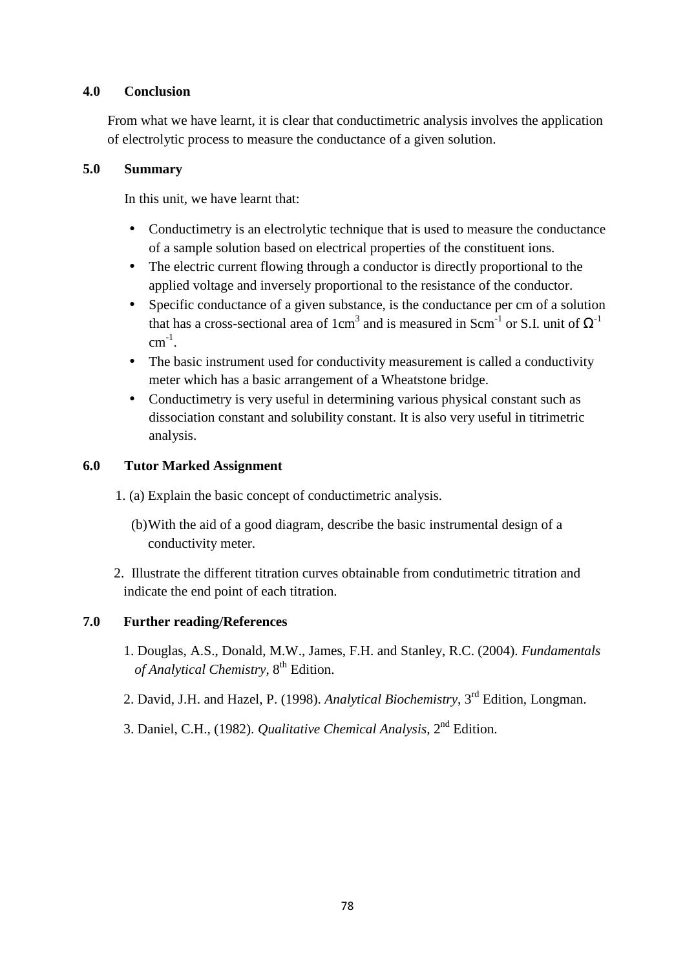## **4.0 Conclusion**

From what we have learnt, it is clear that conductimetric analysis involves the application of electrolytic process to measure the conductance of a given solution.

## **5.0 Summary**

In this unit, we have learnt that:

- Conductimetry is an electrolytic technique that is used to measure the conductance of a sample solution based on electrical properties of the constituent ions.
- The electric current flowing through a conductor is directly proportional to the applied voltage and inversely proportional to the resistance of the conductor.
- Specific conductance of a given substance, is the conductance per cm of a solution that has a cross-sectional area of 1cm<sup>3</sup> and is measured in Scm<sup>-1</sup> or S.I. unit of  $\Omega$ <sup>-1</sup>  $cm^{-1}$ .
- The basic instrument used for conductivity measurement is called a conductivity meter which has a basic arrangement of a Wheatstone bridge.
- Conductimetry is very useful in determining various physical constant such as dissociation constant and solubility constant. It is also very useful in titrimetric analysis.

## **6.0 Tutor Marked Assignment**

- 1. (a) Explain the basic concept of conductimetric analysis.
	- (b) With the aid of a good diagram, describe the basic instrumental design of a conductivity meter.
- 2. Illustrate the different titration curves obtainable from condutimetric titration and indicate the end point of each titration.

## **7.0 Further reading/References**

- 1. Douglas, A.S., Donald, M.W., James, F.H. and Stanley, R.C. (2004). *Fundamentals of Analytical Chemistry*,  $8<sup>th</sup>$  Edition.
- 2. David, J.H. and Hazel, P. (1998). *Analytical Biochemistry*, 3rd Edition, Longman.
- 3. Daniel, C.H., (1982). *Qualitative Chemical Analysis*, 2nd Edition.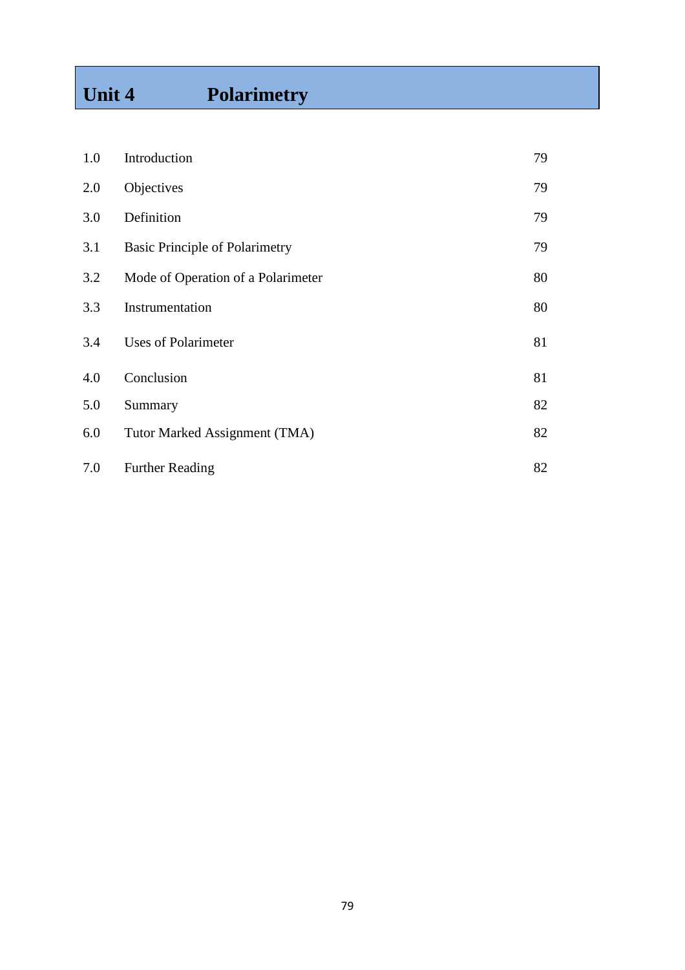# **Unit 4 Polarimetry**

| 1.0 | Introduction                          | 79 |
|-----|---------------------------------------|----|
| 2.0 | Objectives                            | 79 |
| 3.0 | Definition                            | 79 |
| 3.1 | <b>Basic Principle of Polarimetry</b> | 79 |
| 3.2 | Mode of Operation of a Polarimeter    | 80 |
| 3.3 | Instrumentation                       | 80 |
| 3.4 | Uses of Polarimeter                   | 81 |
| 4.0 | Conclusion                            | 81 |
| 5.0 | Summary                               | 82 |
| 6.0 | Tutor Marked Assignment (TMA)         | 82 |
| 7.0 | <b>Further Reading</b>                | 82 |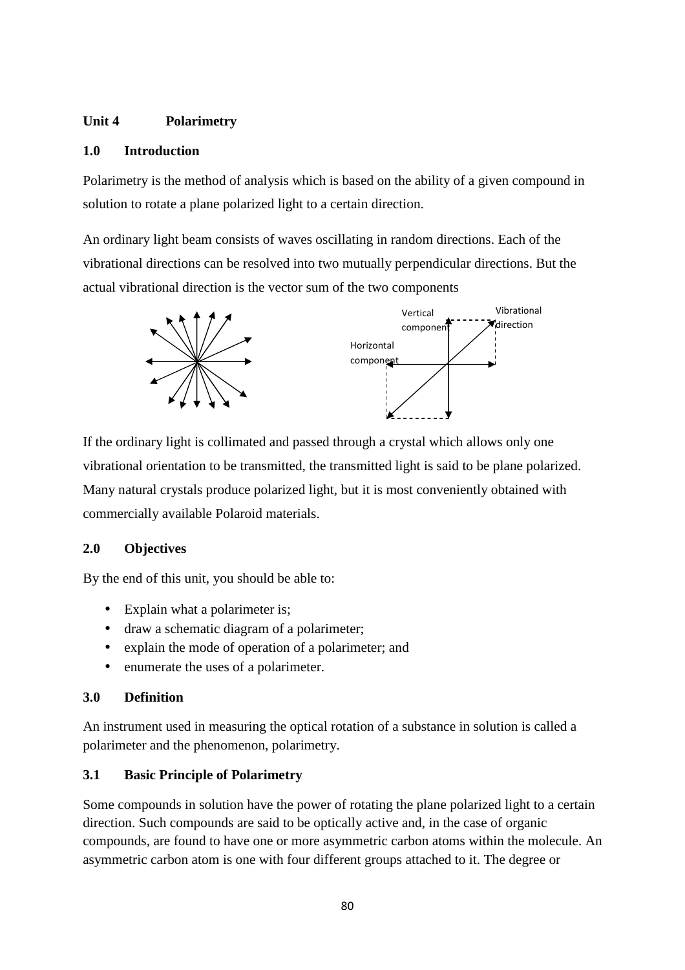## **Unit 4 Polarimetry**

#### **1.0 Introduction**

Polarimetry is the method of analysis which is based on the ability of a given compound in solution to rotate a plane polarized light to a certain direction.

An ordinary light beam consists of waves oscillating in random directions. Each of the vibrational directions can be resolved into two mutually perpendicular directions. But the actual vibrational direction is the vector sum of the two components



If the ordinary light is collimated and passed through a crystal which allows only one vibrational orientation to be transmitted, the transmitted light is said to be plane polarized. Many natural crystals produce polarized light, but it is most conveniently obtained with commercially available Polaroid materials.

## **2.0 Objectives**

By the end of this unit, you should be able to:

- Explain what a polarimeter is;
- draw a schematic diagram of a polarimeter;
- explain the mode of operation of a polarimeter; and
- enumerate the uses of a polarimeter.

## **3.0 Definition**

An instrument used in measuring the optical rotation of a substance in solution is called a polarimeter and the phenomenon, polarimetry.

# **3.1 Basic Principle of Polarimetry**

Some compounds in solution have the power of rotating the plane polarized light to a certain direction. Such compounds are said to be optically active and, in the case of organic compounds, are found to have one or more asymmetric carbon atoms within the molecule. An asymmetric carbon atom is one with four different groups attached to it. The degree or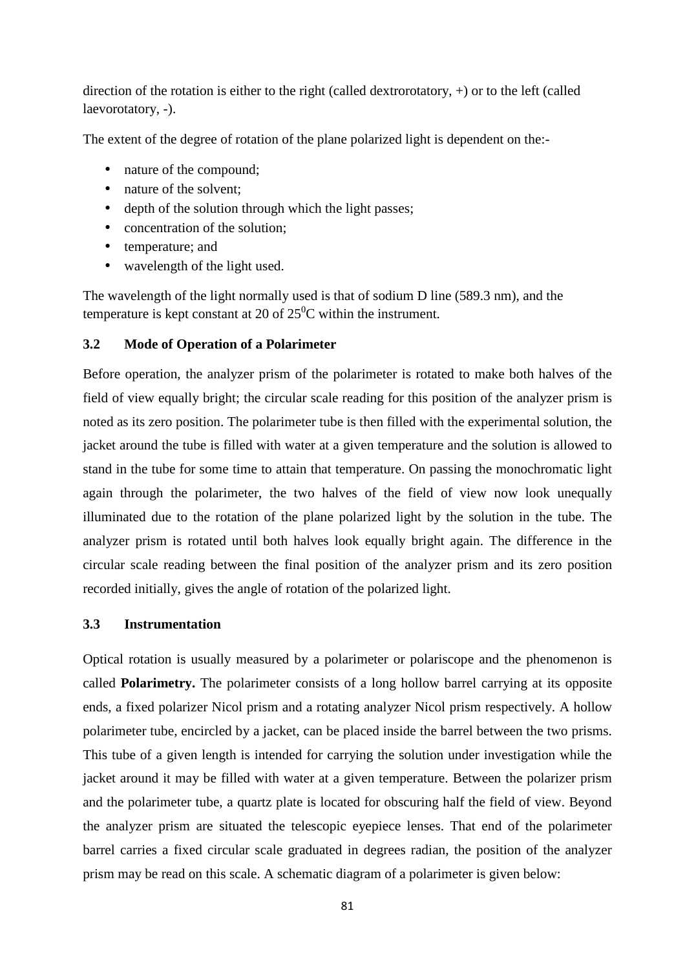direction of the rotation is either to the right (called dextrorotatory, +) or to the left (called laevorotatory, -).

The extent of the degree of rotation of the plane polarized light is dependent on the:-

- nature of the compound;
- nature of the solvent:
- depth of the solution through which the light passes:
- concentration of the solution;
- temperature: and
- wavelength of the light used.

The wavelength of the light normally used is that of sodium D line (589.3 nm), and the temperature is kept constant at 20 of  $25^{\circ}$ C within the instrument.

## **3.2 Mode of Operation of a Polarimeter**

Before operation, the analyzer prism of the polarimeter is rotated to make both halves of the field of view equally bright; the circular scale reading for this position of the analyzer prism is noted as its zero position. The polarimeter tube is then filled with the experimental solution, the jacket around the tube is filled with water at a given temperature and the solution is allowed to stand in the tube for some time to attain that temperature. On passing the monochromatic light again through the polarimeter, the two halves of the field of view now look unequally illuminated due to the rotation of the plane polarized light by the solution in the tube. The analyzer prism is rotated until both halves look equally bright again. The difference in the circular scale reading between the final position of the analyzer prism and its zero position recorded initially, gives the angle of rotation of the polarized light.

## **3.3 Instrumentation**

Optical rotation is usually measured by a polarimeter or polariscope and the phenomenon is called **Polarimetry.** The polarimeter consists of a long hollow barrel carrying at its opposite ends, a fixed polarizer Nicol prism and a rotating analyzer Nicol prism respectively. A hollow polarimeter tube, encircled by a jacket, can be placed inside the barrel between the two prisms. This tube of a given length is intended for carrying the solution under investigation while the jacket around it may be filled with water at a given temperature. Between the polarizer prism and the polarimeter tube, a quartz plate is located for obscuring half the field of view. Beyond the analyzer prism are situated the telescopic eyepiece lenses. That end of the polarimeter barrel carries a fixed circular scale graduated in degrees radian, the position of the analyzer prism may be read on this scale. A schematic diagram of a polarimeter is given below: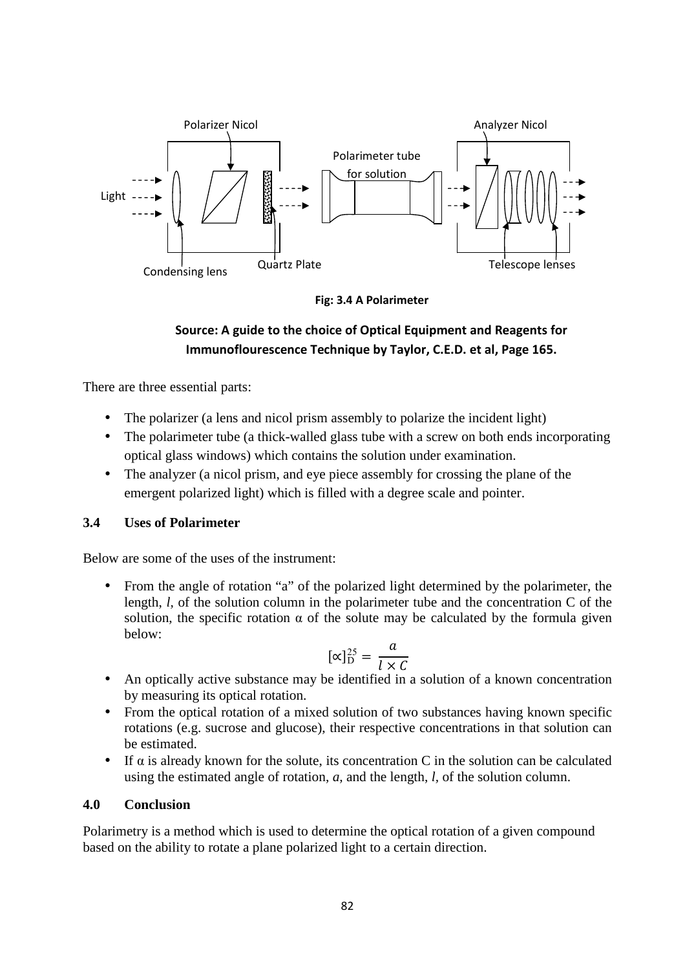

**Fig: 3.4 A Polarimeter**

# **Source: A guide to the choice of Optical Equipment and Reagents for Immunoflourescence Technique by Taylor, C.E.D. et al, Page 165.**

There are three essential parts:

- The polarizer (a lens and nicol prism assembly to polarize the incident light)
- The polarimeter tube (a thick-walled glass tube with a screw on both ends incorporating optical glass windows) which contains the solution under examination.
- The analyzer (a nicol prism, and eye piece assembly for crossing the plane of the emergent polarized light) which is filled with a degree scale and pointer.

#### **3.4 Uses of Polarimeter**

Below are some of the uses of the instrument:

• From the angle of rotation "a" of the polarized light determined by the polarimeter, the length, *l,* of the solution column in the polarimeter tube and the concentration C of the solution, the specific rotation  $\alpha$  of the solute may be calculated by the formula given below:

$$
[\propto]_{\rm D}^{25} = \frac{a}{l \times c}
$$

- An optically active substance may be identified in a solution of a known concentration by measuring its optical rotation.
- From the optical rotation of a mixed solution of two substances having known specific rotations (e.g. sucrose and glucose), their respective concentrations in that solution can be estimated.
- If  $\alpha$  is already known for the solute, its concentration C in the solution can be calculated using the estimated angle of rotation, *a,* and the length, *l,* of the solution column.

#### **4.0 Conclusion**

Polarimetry is a method which is used to determine the optical rotation of a given compound based on the ability to rotate a plane polarized light to a certain direction.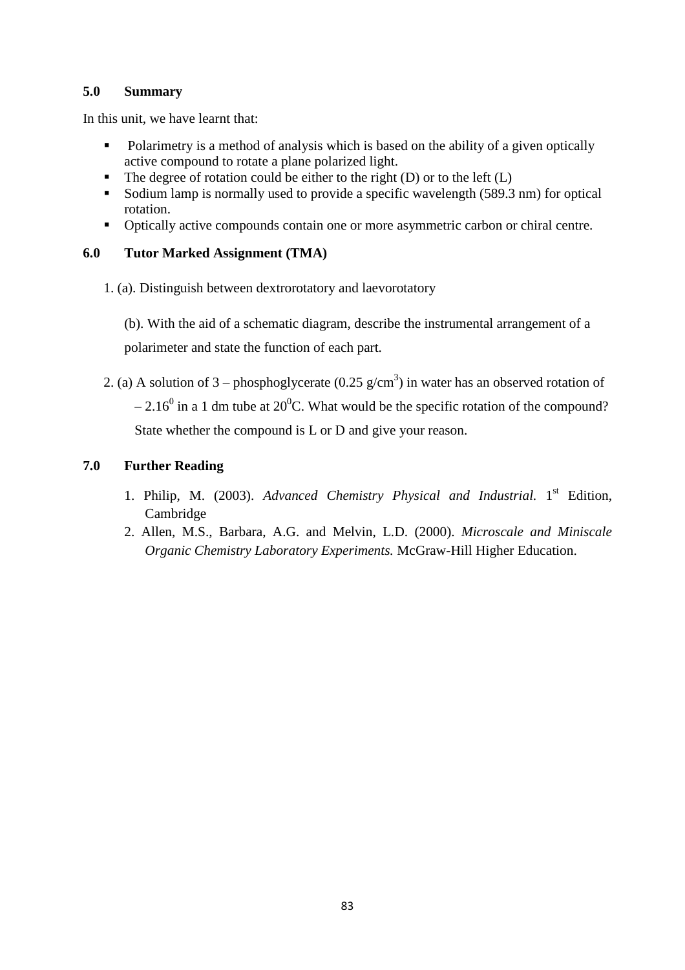## **5.0 Summary**

In this unit, we have learnt that:

- Polarimetry is a method of analysis which is based on the ability of a given optically active compound to rotate a plane polarized light.
- The degree of rotation could be either to the right (D) or to the left  $(L)$
- Sodium lamp is normally used to provide a specific wavelength (589.3 nm) for optical rotation.
- Optically active compounds contain one or more asymmetric carbon or chiral centre.

## **6.0 Tutor Marked Assignment (TMA)**

1. (a). Distinguish between dextrorotatory and laevorotatory

(b). With the aid of a schematic diagram, describe the instrumental arrangement of a polarimeter and state the function of each part.

2. (a) A solution of 3 – phosphoglycerate (0.25 g/cm<sup>3</sup>) in water has an observed rotation of  $-2.16^{\circ}$  in a 1 dm tube at 20<sup>°</sup>C. What would be the specific rotation of the compound? State whether the compound is L or D and give your reason.

## **7.0 Further Reading**

- 1. Philip, M. (2003). Advanced Chemistry Physical and Industrial. 1<sup>st</sup> Edition, Cambridge
- 2. Allen, M.S., Barbara, A.G. and Melvin, L.D. (2000). *Microscale and Miniscale Organic Chemistry Laboratory Experiments.* McGraw-Hill Higher Education.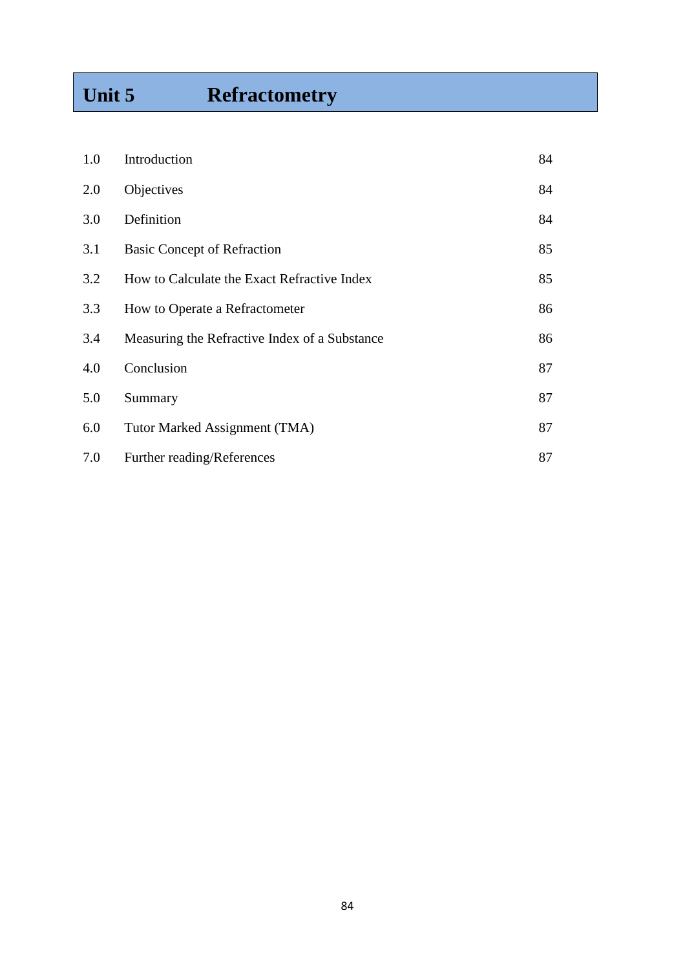# **Unit 5 Refractometry**

| 1.0 | Introduction                                  | 84 |
|-----|-----------------------------------------------|----|
| 2.0 | Objectives                                    | 84 |
| 3.0 | Definition                                    | 84 |
| 3.1 | <b>Basic Concept of Refraction</b>            | 85 |
| 3.2 | How to Calculate the Exact Refractive Index   | 85 |
| 3.3 | How to Operate a Refractometer                | 86 |
| 3.4 | Measuring the Refractive Index of a Substance | 86 |
| 4.0 | Conclusion                                    | 87 |
| 5.0 | Summary                                       | 87 |
| 6.0 | Tutor Marked Assignment (TMA)                 | 87 |
| 7.0 | Further reading/References                    | 87 |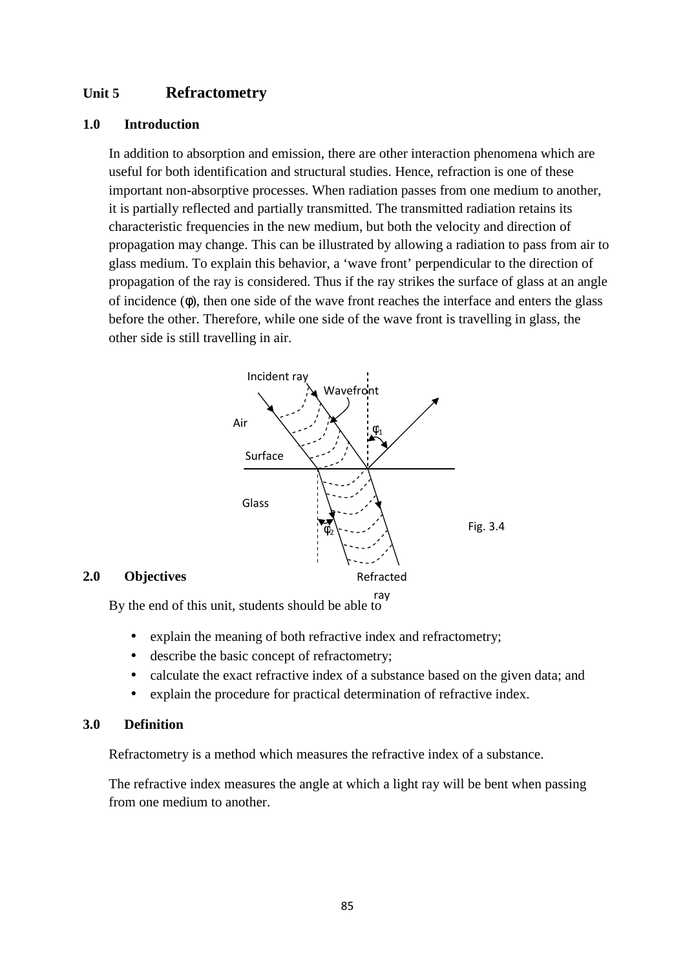## **Unit 5 Refractometry**

#### **1.0 Introduction**

In addition to absorption and emission, there are other interaction phenomena which are useful for both identification and structural studies. Hence, refraction is one of these important non-absorptive processes. When radiation passes from one medium to another, it is partially reflected and partially transmitted. The transmitted radiation retains its characteristic frequencies in the new medium, but both the velocity and direction of propagation may change. This can be illustrated by allowing a radiation to pass from air to glass medium. To explain this behavior, a 'wave front' perpendicular to the direction of propagation of the ray is considered. Thus if the ray strikes the surface of glass at an angle of incidence (φ), then one side of the wave front reaches the interface and enters the glass before the other. Therefore, while one side of the wave front is travelling in glass, the other side is still travelling in air.



#### **2.0 Objectives**

By the end of this unit, students should be able to

- explain the meaning of both refractive index and refractometry;
- describe the basic concept of refractometry;
- calculate the exact refractive index of a substance based on the given data; and
- explain the procedure for practical determination of refractive index.

#### **3.0 Definition**

Refractometry is a method which measures the refractive index of a substance.

The refractive index measures the angle at which a light ray will be bent when passing from one medium to another.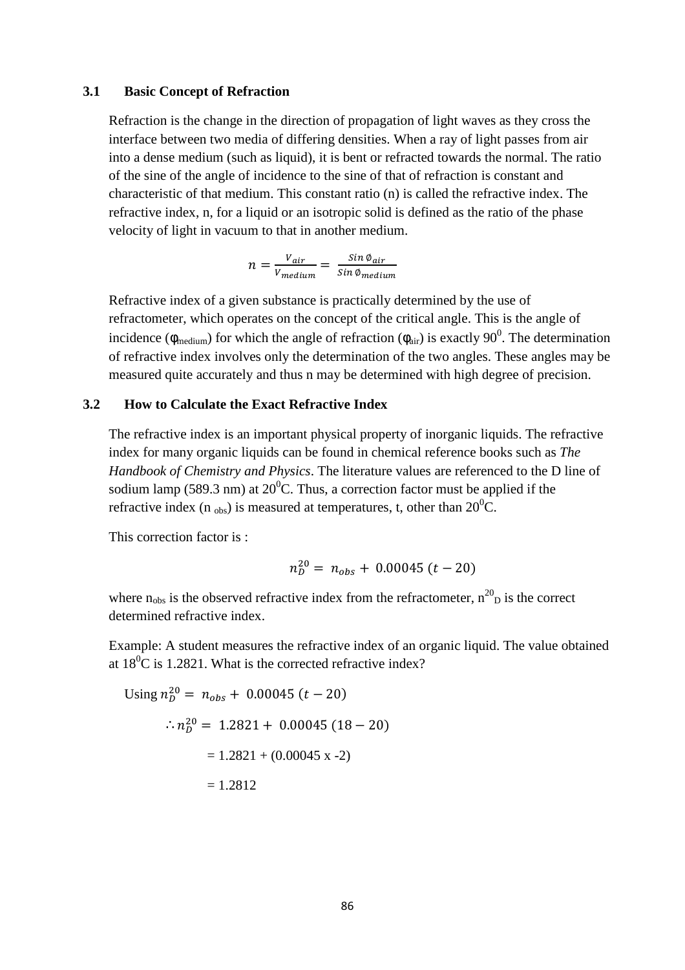#### **3.1 Basic Concept of Refraction**

Refraction is the change in the direction of propagation of light waves as they cross the interface between two media of differing densities. When a ray of light passes from air into a dense medium (such as liquid), it is bent or refracted towards the normal. The ratio of the sine of the angle of incidence to the sine of that of refraction is constant and characteristic of that medium. This constant ratio (n) is called the refractive index. The refractive index, n, for a liquid or an isotropic solid is defined as the ratio of the phase velocity of light in vacuum to that in another medium.

$$
n = \frac{V_{air}}{V_{medium}} = \frac{Sin \phi_{air}}{Sin \phi_{medium}}
$$

Refractive index of a given substance is practically determined by the use of refractometer, which operates on the concept of the critical angle. This is the angle of incidence ( $\phi_{\text{medium}}$ ) for which the angle of refraction ( $\phi_{\text{air}}$ ) is exactly 90<sup>0</sup>. The determination of refractive index involves only the determination of the two angles. These angles may be measured quite accurately and thus n may be determined with high degree of precision.

#### **3.2 How to Calculate the Exact Refractive Index**

The refractive index is an important physical property of inorganic liquids. The refractive index for many organic liquids can be found in chemical reference books such as *The Handbook of Chemistry and Physics*. The literature values are referenced to the D line of sodium lamp (589.3 nm) at  $20^{\circ}$ C. Thus, a correction factor must be applied if the refractive index (n  $_{\text{obs}}$ ) is measured at temperatures, t, other than 20<sup>0</sup>C.

This correction factor is :

$$
n_D^{20} = n_{obs} + 0.00045 (t - 20)
$$

where  $n_{obs}$  is the observed refractive index from the refractometer,  $n^{20}$  is the correct determined refractive index.

Example: A student measures the refractive index of an organic liquid. The value obtained at  $18^{\circ}$ C is 1.2821. What is the corrected refractive index?

Using 
$$
n_D^{20} = n_{obs} + 0.00045 (t - 20)
$$
  
\n
$$
\therefore n_D^{20} = 1.2821 + 0.00045 (18 - 20)
$$
\n
$$
= 1.2821 + (0.00045 \text{ x} - 2)
$$
\n
$$
= 1.2812
$$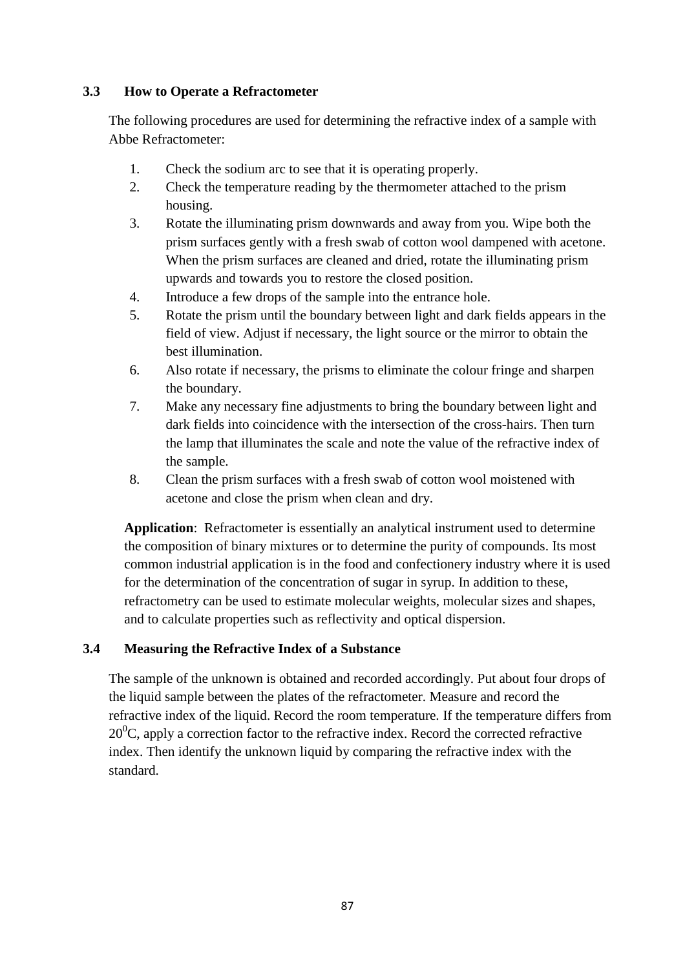## **3.3 How to Operate a Refractometer**

The following procedures are used for determining the refractive index of a sample with Abbe Refractometer:

- 1. Check the sodium arc to see that it is operating properly.
- 2. Check the temperature reading by the thermometer attached to the prism housing.
- 3. Rotate the illuminating prism downwards and away from you. Wipe both the prism surfaces gently with a fresh swab of cotton wool dampened with acetone. When the prism surfaces are cleaned and dried, rotate the illuminating prism upwards and towards you to restore the closed position.
- 4. Introduce a few drops of the sample into the entrance hole.
- 5. Rotate the prism until the boundary between light and dark fields appears in the field of view. Adjust if necessary, the light source or the mirror to obtain the best illumination.
- 6. Also rotate if necessary, the prisms to eliminate the colour fringe and sharpen the boundary.
- 7. Make any necessary fine adjustments to bring the boundary between light and dark fields into coincidence with the intersection of the cross-hairs. Then turn the lamp that illuminates the scale and note the value of the refractive index of the sample.
- 8. Clean the prism surfaces with a fresh swab of cotton wool moistened with acetone and close the prism when clean and dry.

**Application**: Refractometer is essentially an analytical instrument used to determine the composition of binary mixtures or to determine the purity of compounds. Its most common industrial application is in the food and confectionery industry where it is used for the determination of the concentration of sugar in syrup. In addition to these, refractometry can be used to estimate molecular weights, molecular sizes and shapes, and to calculate properties such as reflectivity and optical dispersion.

## **3.4 Measuring the Refractive Index of a Substance**

The sample of the unknown is obtained and recorded accordingly. Put about four drops of the liquid sample between the plates of the refractometer. Measure and record the refractive index of the liquid. Record the room temperature. If the temperature differs from  $20^0$ C, apply a correction factor to the refractive index. Record the corrected refractive index. Then identify the unknown liquid by comparing the refractive index with the standard.